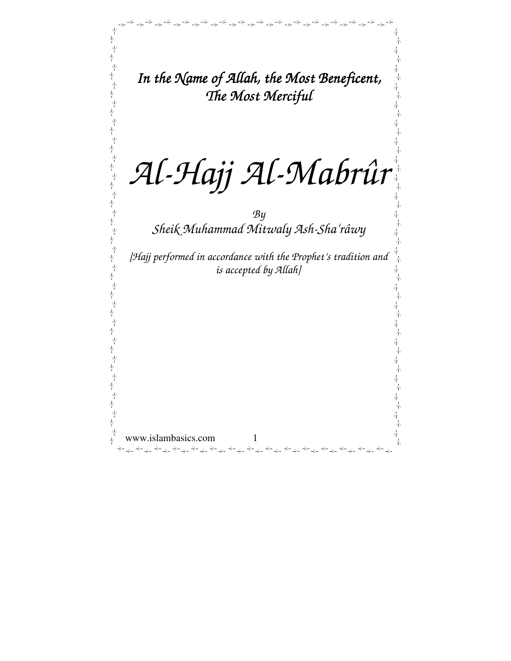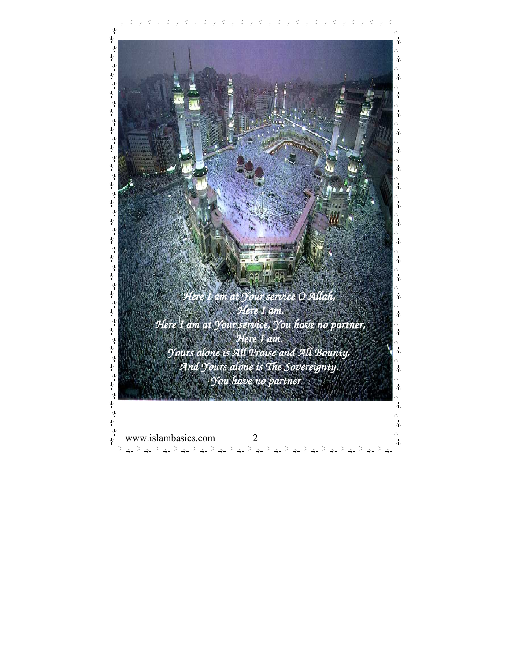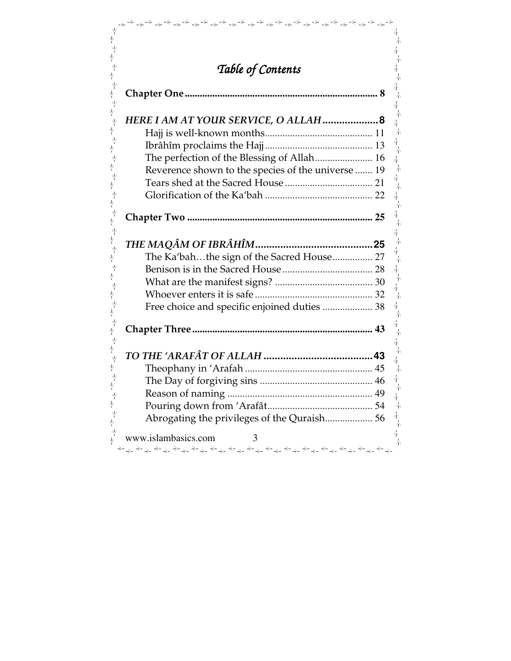| Table of Contents                                  |  |
|----------------------------------------------------|--|
|                                                    |  |
|                                                    |  |
| HERE I AM AT YOUR SERVICE, O ALLAH  8              |  |
|                                                    |  |
|                                                    |  |
| The perfection of the Blessing of Allah 16         |  |
| Reverence shown to the species of the universe  19 |  |
|                                                    |  |
|                                                    |  |
|                                                    |  |
|                                                    |  |
|                                                    |  |
| The Ka'bahthe sign of the Sacred House 27          |  |
|                                                    |  |
|                                                    |  |
|                                                    |  |
| Free choice and specific enjoined duties  38       |  |
|                                                    |  |
|                                                    |  |
|                                                    |  |
|                                                    |  |
|                                                    |  |
|                                                    |  |
|                                                    |  |
|                                                    |  |
| Abrogating the privileges of the Quraish 56        |  |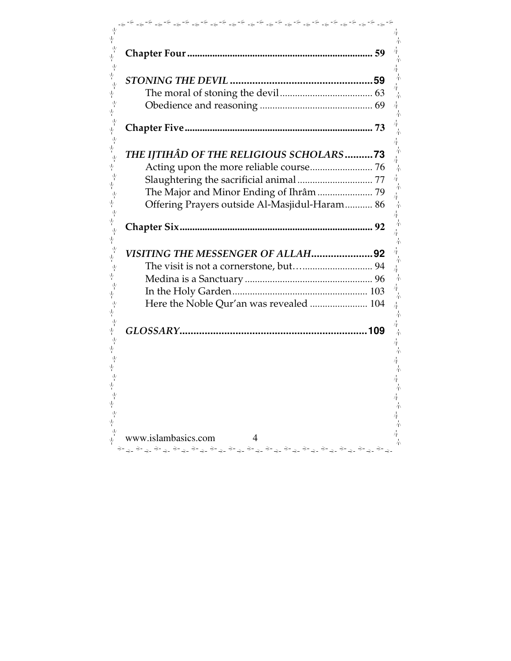| THE IJTIHÂD OF THE RELIGIOUS SCHOLARS73       |  |
|-----------------------------------------------|--|
|                                               |  |
|                                               |  |
| The Major and Minor Ending of Ihrâm  79       |  |
| Offering Prayers outside Al-Masjidul-Haram 86 |  |
|                                               |  |
|                                               |  |
|                                               |  |
| VISITING THE MESSENGER OF ALLAH92             |  |
|                                               |  |
|                                               |  |
|                                               |  |
| Here the Noble Qur'an was revealed  104       |  |
|                                               |  |
|                                               |  |
|                                               |  |
|                                               |  |
|                                               |  |
|                                               |  |
|                                               |  |
|                                               |  |
|                                               |  |
| www.islambasics.com<br>4                      |  |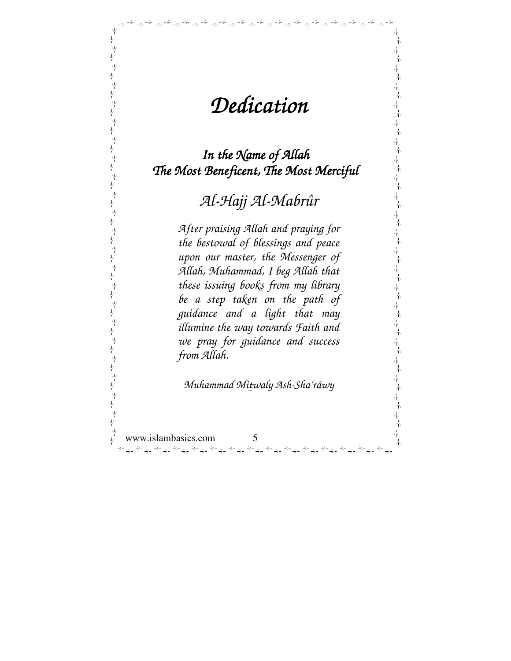# *Dedication Dedication*

فينضر والمحافظ والمحافظ والمحافظ والمحافظ والمحافظ والمحافظ والمحافظ والمحافظ والمحافظ والمحافظ والمحافظ والمحافظ

小

赤 木

 $\overline{\eta}$ 

 $\frac{1}{\sqrt{N}}$ 六 六 赤

六 春

六 春 六  $\frac{1}{4} \lambda$ 一本一本

本本

一本一本

六  $\frac{1}{4} \nabla$ 

六 氰

赤 春 赤 春 六 赤

六本

本本

六 赤

六 六

一本一本

六  $\frac{1}{4} \chi$ 

 $\overline{\eta}$ 六

木

木

*In the Name of Allah The Most Beneficent, The Most Merciful* 

*Al-Hajj Al-Mabrûr*

*After praising Allah and praying for the bestowal of blessings and peace upon our master, the Messenger of Allah, Muhammad, I beg Allah that these issuing books from my library be a step taken on the path of guidance and a light that may illumine the way towards Faith and we pray for guidance and success from Allah.* 

*Muhammad Mitwaly Ash-Sha'râwy* 

www.islambasics.com 5 لوائل والمحرام والمحرام والمحرام والمحرام والمحرام والمحرام والمحرام والمحرام والمحرام والمحرام والمحرام والمحر

ψ

,<br>平

 $\frac{\sqrt{2}}{4}$ 

 $\frac{\sqrt{2}}{4}$ 

不太不不

√<br>Y

本本在本在

 $\frac{1}{2}$  $\psi$ 

不太不不

√<br>Y

不从不不不

,<br>平

 $\frac{1}{2}$ ψ 下<br>平

,<br>平

,<br>平

।<br>प्⁄

业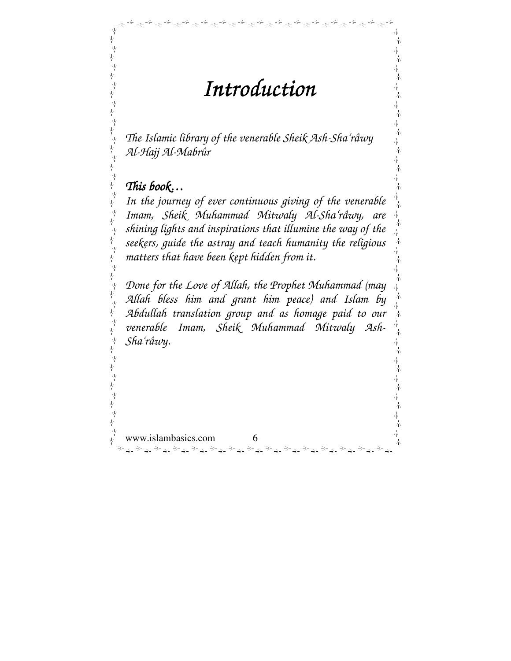*Introduction Introduction* 

فأحيافه المواطر في المواطر في المواطر في المواطر في المواطر المواطر المواطر المواطر المواطر المواطر المواطر ال

赤

赤

赤

六 六

六 木

六 六

六

六

赤 木

小

六

六

売 春

六 六

春

朩 六

六 春

六

六

六

六 本

六

赤

春

六

木

春

木

*The Islamic library of the venerable Sheik Ash-Sha'râwy Al-Hajj Al-Mabrûr* 

# *This book…*

ψ

 $\frac{\sqrt{2}}{4}$ 

 $\frac{\sqrt{2}}{4}$ 

-<br>- 포<br>- 포

√<br>√y

,<br>平

 $\frac{\sqrt{2}}{4}$ 

 $\frac{\sqrt{2}}{4}$ 

 $\frac{1}{2}$ 

ψ,

,<br>平

Ϋ́

専 平

ψ,

.<br>اړا

 $\frac{v}{v}$ 

국<br>국

Ϋ́ γķ  $\frac{\sqrt{2}}{4}$ 

ψ

 $\frac{1}{\sqrt{2}}$ 

,<br>平

 $\frac{1}{2}$ 

Ϋ́

业

ψ,

ψ

Υļ

业

*In the journey of ever continuous giving of the venerable Imam, Sheik Muhammad Mitwaly Al-Sha'râwy, are shining lights and inspirations that illumine the way of the seekers, guide the astray and teach humanity the religious matters that have been kept hidden from it.* 

 $\frac{1}{2}$ *Done for the Love of Allah, the Prophet Muhammad (may Allah bless him and grant him peace) and Islam by*  -<br>平<br>平 *Abdullah translation group and as homage paid to our venerable Imam, Sheik Muhammad Mitwaly Ash-Sha'râwy.*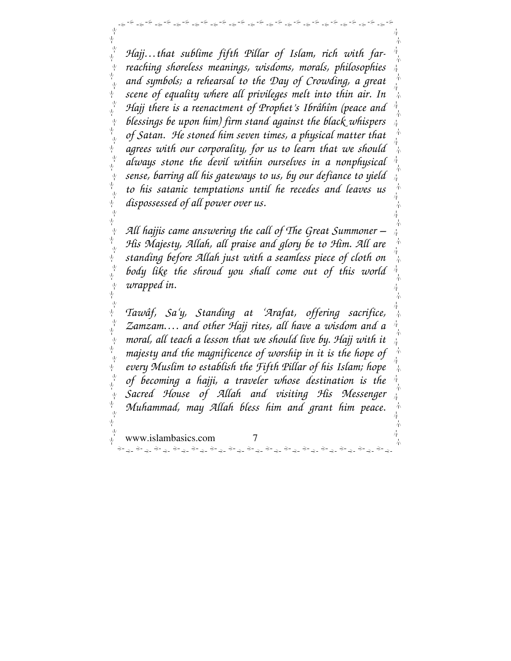*Hajj…that sublime fifth Pillar of Islam, rich with farreaching shoreless meanings, wisdoms, morals, philosophies and symbols; a rehearsal to the Day of Crowding, a great*  Ϋ́ *scene of equality where all privileges melt into thin air. In Hajj there is a reenactment of Prophet's Ibrâhîm (peace and blessings be upon him) firm stand against the black whispers of Satan. He stoned him seven times, a physical matter that agrees with our corporality, for us to learn that we should always stone the devil within ourselves in a nonphysical sense, barring all his gateways to us, by our defiance to yield to his satanic temptations until he recedes and leaves us dispossessed of all power over us.*   $\frac{\sqrt{2}}{4}$ 赤

ψ

ψ

业

业

ψ

业

ψ

ψ

业

 $\frac{1}{2}$ 

 $\frac{1}{2}$ 

국<br>국

ं<br>एं 平 ψ  $\frac{1}{\sqrt{2}}$ 

ψ

ψ

ψ

ψ

ψ

ψ

فينتهج الموالد والمتواطئة والمتواطئة والمتواطئة والمتواطئة والمتواطئة والمتواطئة والمتواطئة والمتواطئة والمتواطئة

*All hajjis came answering the call of The Great Summoner – His Majesty, Allah, all praise and glory be to Him. All are standing before Allah just with a seamless piece of cloth on body like the shroud you shall come out of this world wrapped in.* 

朩

六

六

六 六

六

朩

春

-<br>平<br>平 *Tawâf, Sa'y, Standing at 'Arafat, offering sacrifice,*  Ϋ́ *Zamzam…. and other Hajj rites, all have a wisdom and a moral, all teach a lesson that we should live by. Hajj with it*   $\frac{\sqrt{2}}{2}$ *majesty and the magnificence of worship in it is the hope of*  Ν *every Muslim to establish the Fifth Pillar of his Islam; hope*  平 *of becoming a hajji, a traveler whose destination is the Sacred House of Allah and visiting His Messenger Muhammad, may Allah bless him and grant him peace.* $\frac{\sqrt{2}}{4}$ 业 六 www.islambasics.com 7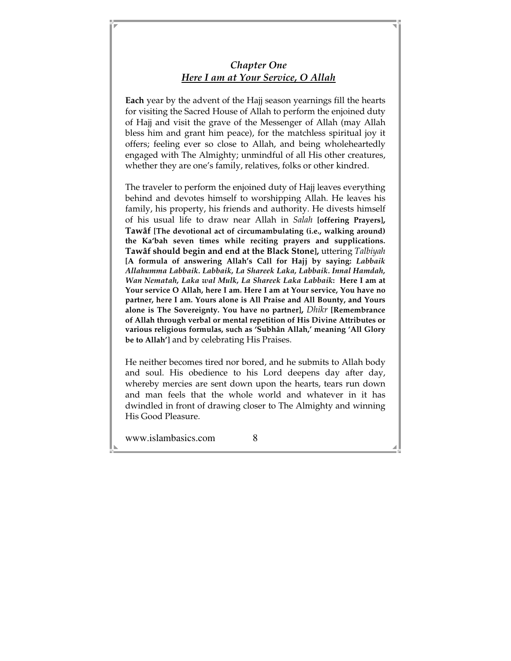### *Chapter One Here I am at Your Service, O Allah*

**Each** year by the advent of the Hajj season yearnings fill the hearts for visiting the Sacred House of Allah to perform the enjoined duty of Hajj and visit the grave of the Messenger of Allah (may Allah bless him and grant him peace), for the matchless spiritual joy it offers; feeling ever so close to Allah, and being wholeheartedly engaged with The Almighty; unmindful of all His other creatures, whether they are one's family, relatives, folks or other kindred.

The traveler to perform the enjoined duty of Hajj leaves everything behind and devotes himself to worshipping Allah. He leaves his family, his property, his friends and authority. He divests himself of his usual life to draw near Allah in *Salah* **[offering Prayers], Tawâf [The devotional act of circumambulating (i.e., walking around) the Ka'bah seven times while reciting prayers and supplications. Tawâf should begin and end at the Black Stone],** uttering *Talbiyah* **[A formula of answering Allah's Call for Hajj by saying:** *Labbaik Allahumma Labbaik. Labbaik, La Shareek Laka, Labbaik. Innal Hamdah, Wan Nematah, Laka wal Mulk, La Shareek Laka Labbaik***: Here I am at Your service O Allah, here I am. Here I am at Your service, You have no partner, here I am. Yours alone is All Praise and All Bounty, and Yours alone is The Sovereignty. You have no partner],** *Dhikr* **[Remembrance of Allah through verbal or mental repetition of His Divine Attributes or various religious formulas, such as 'Subhân Allah,' meaning 'All Glory be to Allah']** and by celebrating His Praises.

He neither becomes tired nor bored, and he submits to Allah body and soul. His obedience to his Lord deepens day after day, whereby mercies are sent down upon the hearts, tears run down and man feels that the whole world and whatever in it has dwindled in front of drawing closer to The Almighty and winning His Good Pleasure.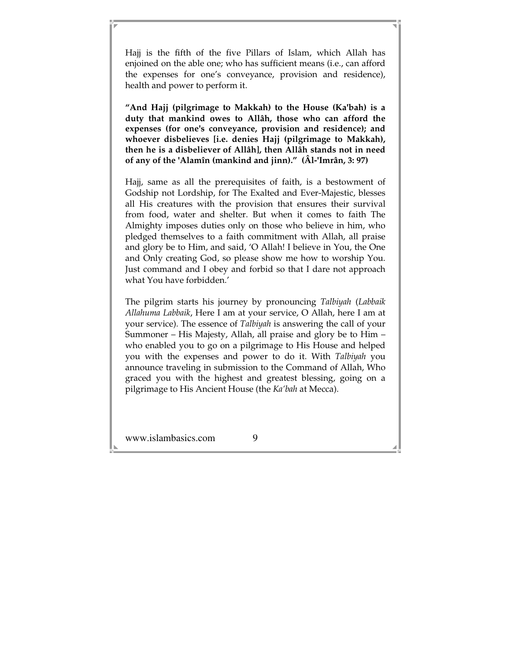Hajj is the fifth of the five Pillars of Islam, which Allah has enjoined on the able one; who has sufficient means (i.e., can afford the expenses for one's conveyance, provision and residence), health and power to perform it.

**"And Hajj (pilgrimage to Makkah) to the House (Ka'bah) is a duty that mankind owes to Allâh, those who can afford the expenses (for one's conveyance, provision and residence); and whoever disbelieves [i.e. denies Hajj (pilgrimage to Makkah), then he is a disbeliever of Allâh], then Allâh stands not in need of any of the 'Alamîn (mankind and jinn)." (Âl-'Imrân, 3: 97)**

Hajj, same as all the prerequisites of faith, is a bestowment of Godship not Lordship, for The Exalted and Ever-Majestic, blesses all His creatures with the provision that ensures their survival from food, water and shelter. But when it comes to faith The Almighty imposes duties only on those who believe in him, who pledged themselves to a faith commitment with Allah, all praise and glory be to Him, and said, 'O Allah! I believe in You, the One and Only creating God, so please show me how to worship You. Just command and I obey and forbid so that I dare not approach what You have forbidden.'

The pilgrim starts his journey by pronouncing *Talbiyah* (*Labbaik Allahuma Labbaik*, Here I am at your service, O Allah, here I am at your service). The essence of *Talbiyah* is answering the call of your Summoner – His Majesty, Allah, all praise and glory be to Him – who enabled you to go on a pilgrimage to His House and helped you with the expenses and power to do it. With *Talbiyah* you announce traveling in submission to the Command of Allah, Who graced you with the highest and greatest blessing, going on a pilgrimage to His Ancient House (the *Ka'bah* at Mecca).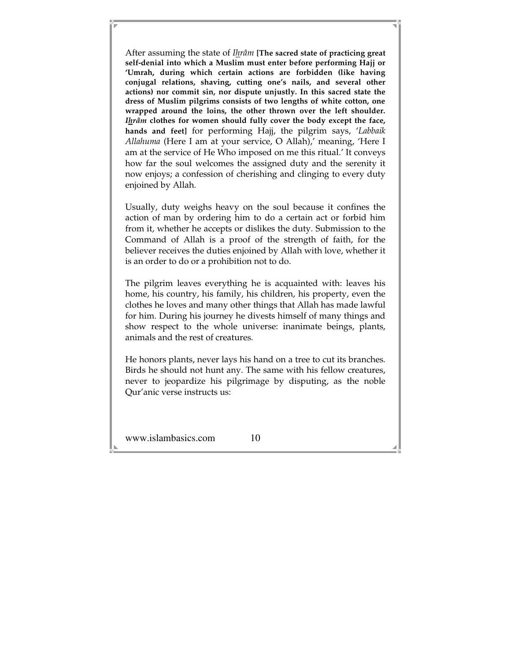After assuming the state of *Ihrâm* **[The sacred state of practicing great self-denial into which a Muslim must enter before performing Hajj or 'Umrah, during which certain actions are forbidden (like having conjugal relations, shaving, cutting one's nails, and several other actions) nor commit sin, nor dispute unjustly. In this sacred state the dress of Muslim pilgrims consists of two lengths of white cotton, one wrapped around the loins, the other thrown over the left shoulder.**  *Ihrâm* **clothes for women should fully cover the body except the face, hands and feet]** for performing Hajj, the pilgrim says, '*Labbaik Allahuma* (Here I am at your service, O Allah),' meaning, 'Here I am at the service of He Who imposed on me this ritual.' It conveys how far the soul welcomes the assigned duty and the serenity it now enjoys; a confession of cherishing and clinging to every duty enjoined by Allah.

Usually, duty weighs heavy on the soul because it confines the action of man by ordering him to do a certain act or forbid him from it, whether he accepts or dislikes the duty. Submission to the Command of Allah is a proof of the strength of faith, for the believer receives the duties enjoined by Allah with love, whether it is an order to do or a prohibition not to do.

The pilgrim leaves everything he is acquainted with: leaves his home, his country, his family, his children, his property, even the clothes he loves and many other things that Allah has made lawful for him. During his journey he divests himself of many things and show respect to the whole universe: inanimate beings, plants, animals and the rest of creatures.

He honors plants, never lays his hand on a tree to cut its branches. Birds he should not hunt any. The same with his fellow creatures, never to jeopardize his pilgrimage by disputing, as the noble Qur'anic verse instructs us: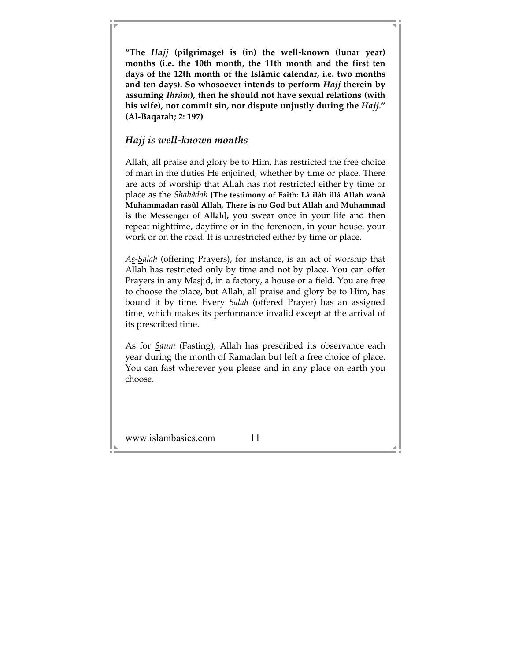**"The** *Hajj* **(pilgrimage) is (in) the well-known (lunar year) months (i.e. the 10th month, the 11th month and the first ten days of the 12th month of the Islâmic calendar, i.e. two months and ten days). So whosoever intends to perform** *Hajj* **therein by assuming** *Ihrâm***), then he should not have sexual relations (with his wife), nor commit sin, nor dispute unjustly during the** *Hajj***." (Al-Baqarah; 2: 197)** 

#### *Hajj is well-known months*

Allah, all praise and glory be to Him, has restricted the free choice of man in the duties He enjoined, whether by time or place. There are acts of worship that Allah has not restricted either by time or place as the *Shahâdah* **[The testimony of Faith: Lâ ilâh illâ Allah wanâ Muhammadan rasûl Allah, There is no God but Allah and Muhammad is the Messenger of Allah],** you swear once in your life and then repeat nighttime, daytime or in the forenoon, in your house, your work or on the road. It is unrestricted either by time or place.

*As-Salah* (offering Prayers), for instance, is an act of worship that Allah has restricted only by time and not by place. You can offer Prayers in any Masjid, in a factory, a house or a field. You are free to choose the place, but Allah, all praise and glory be to Him, has bound it by time. Every *Salah* (offered Prayer) has an assigned time, which makes its performance invalid except at the arrival of its prescribed time.

As for *Saum* (Fasting), Allah has prescribed its observance each year during the month of Ramadan but left a free choice of place. You can fast wherever you please and in any place on earth you choose.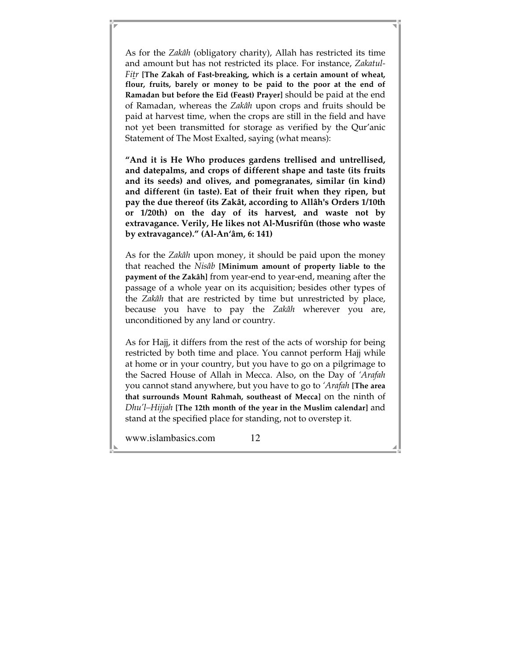As for the *Zakâh* (obligatory charity), Allah has restricted its time and amount but has not restricted its place. For instance, *Zakatul-Fitr* **[The Zakah of Fast-breaking, which is a certain amount of wheat, flour, fruits, barely or money to be paid to the poor at the end of Ramadan but before the Eid (Feast) Prayer]** should be paid at the end of Ramadan, whereas the *Zakâh* upon crops and fruits should be paid at harvest time, when the crops are still in the field and have not yet been transmitted for storage as verified by the Qur'anic Statement of The Most Exalted, saying (what means):

**"And it is He Who produces gardens trellised and untrellised, and datepalms, and crops of different shape and taste (its fruits and its seeds) and olives, and pomegranates, similar (in kind) and different (in taste). Eat of their fruit when they ripen, but pay the due thereof (its Zakât, according to Allâh's Orders 1/10th or 1/20th) on the day of its harvest, and waste not by extravagance. Verily, He likes not Al-Musrifûn (those who waste by extravagance)." (Al-An'âm, 6: 141)** 

As for the *Zakâh* upon money, it should be paid upon the money that reached the *Nisâb* **[Minimum amount of property liable to the payment of the Zakâh]** from year-end to year-end, meaning after the passage of a whole year on its acquisition; besides other types of the *Zakâh* that are restricted by time but unrestricted by place, because you have to pay the *Zakâh* wherever you are, unconditioned by any land or country.

As for Hajj, it differs from the rest of the acts of worship for being restricted by both time and place. You cannot perform Hajj while at home or in your country, but you have to go on a pilgrimage to the Sacred House of Allah in Mecca. Also, on the Day of *'Arafah* you cannot stand anywhere, but you have to go to *'Arafah* **[The area that surrounds Mount Rahmah, southeast of Mecca]** on the ninth of *Dhu'l–Hijjah* **[The 12th month of the year in the Muslim calendar]** and stand at the specified place for standing, not to overstep it.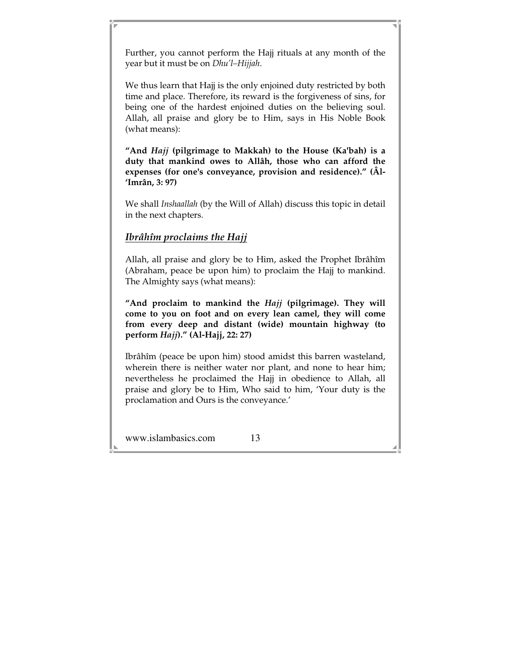Further, you cannot perform the Hajj rituals at any month of the year but it must be on *Dhu'l–Hijjah*.

We thus learn that Hajj is the only enjoined duty restricted by both time and place. Therefore, its reward is the forgiveness of sins, for being one of the hardest enjoined duties on the believing soul. Allah, all praise and glory be to Him, says in His Noble Book (what means):

**"And** *Hajj* **(pilgrimage to Makkah) to the House (Ka'bah) is a duty that mankind owes to Allâh, those who can afford the expenses (for one's conveyance, provision and residence)." (Âl- 'Imrân, 3: 97)** 

We shall *Inshaallah* (by the Will of Allah) discuss this topic in detail in the next chapters.

# *Ibrâhîm proclaims the Hajj*

Allah, all praise and glory be to Him, asked the Prophet Ibrâhîm (Abraham, peace be upon him) to proclaim the Hajj to mankind. The Almighty says (what means):

**"And proclaim to mankind the** *Hajj* **(pilgrimage). They will come to you on foot and on every lean camel, they will come from every deep and distant (wide) mountain highway (to perform** *Hajj***)." (Al-Hajj, 22: 27)** 

Ibrâhîm (peace be upon him) stood amidst this barren wasteland, wherein there is neither water nor plant, and none to hear him; nevertheless he proclaimed the Hajj in obedience to Allah, all praise and glory be to Him, Who said to him, 'Your duty is the proclamation and Ours is the conveyance.'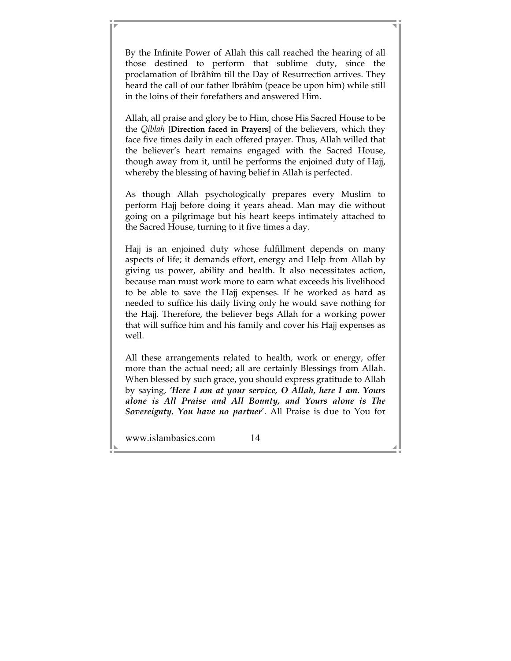By the Infinite Power of Allah this call reached the hearing of all those destined to perform that sublime duty, since the proclamation of Ibrâhîm till the Day of Resurrection arrives. They heard the call of our father Ibrâhîm (peace be upon him) while still in the loins of their forefathers and answered Him.

Allah, all praise and glory be to Him, chose His Sacred House to be the *Qiblah* **[Direction faced in Prayers]** of the believers, which they face five times daily in each offered prayer. Thus, Allah willed that the believer's heart remains engaged with the Sacred House, though away from it, until he performs the enjoined duty of Hajj, whereby the blessing of having belief in Allah is perfected.

As though Allah psychologically prepares every Muslim to perform Hajj before doing it years ahead. Man may die without going on a pilgrimage but his heart keeps intimately attached to the Sacred House, turning to it five times a day.

Hajj is an enjoined duty whose fulfillment depends on many aspects of life; it demands effort, energy and Help from Allah by giving us power, ability and health. It also necessitates action, because man must work more to earn what exceeds his livelihood to be able to save the Hajj expenses. If he worked as hard as needed to suffice his daily living only he would save nothing for the Hajj. Therefore, the believer begs Allah for a working power that will suffice him and his family and cover his Hajj expenses as well.

All these arrangements related to health, work or energy, offer more than the actual need; all are certainly Blessings from Allah. When blessed by such grace, you should express gratitude to Allah by saying, *'Here I am at your service, O Allah, here I am. Yours alone is All Praise and All Bounty, and Yours alone is The Sovereignty. You have no partner*'. All Praise is due to You for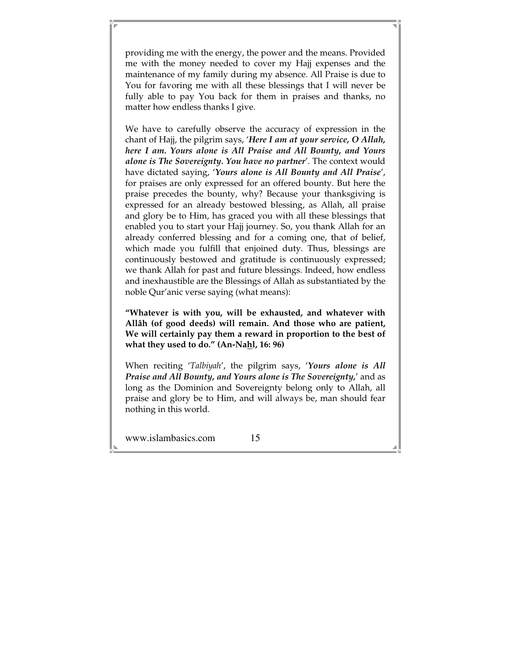providing me with the energy, the power and the means. Provided me with the money needed to cover my Hajj expenses and the maintenance of my family during my absence. All Praise is due to You for favoring me with all these blessings that I will never be fully able to pay You back for them in praises and thanks, no matter how endless thanks I give.

We have to carefully observe the accuracy of expression in the chant of Hajj, the pilgrim says, '*Here I am at your service, O Allah, here I am. Yours alone is All Praise and All Bounty, and Yours alone is The Sovereignty. You have no partner*'. The context would have dictated saying, '*Yours alone is All Bounty and All Praise*', for praises are only expressed for an offered bounty. But here the praise precedes the bounty, why? Because your thanksgiving is expressed for an already bestowed blessing, as Allah, all praise and glory be to Him, has graced you with all these blessings that enabled you to start your Hajj journey. So, you thank Allah for an already conferred blessing and for a coming one, that of belief, which made you fulfill that enjoined duty. Thus, blessings are continuously bestowed and gratitude is continuously expressed; we thank Allah for past and future blessings. Indeed, how endless and inexhaustible are the Blessings of Allah as substantiated by the noble Qur'anic verse saying (what means):

**"Whatever is with you, will be exhausted, and whatever with Allâh (of good deeds) will remain. And those who are patient, We will certainly pay them a reward in proportion to the best of what they used to do." (An-Nahl, 16: 96)** 

When reciting '*Talbiyah*', the pilgrim says, '*Yours alone is All Praise and All Bounty, and Yours alone is The Sovereignty,*' and as long as the Dominion and Sovereignty belong only to Allah, all praise and glory be to Him, and will always be, man should fear nothing in this world.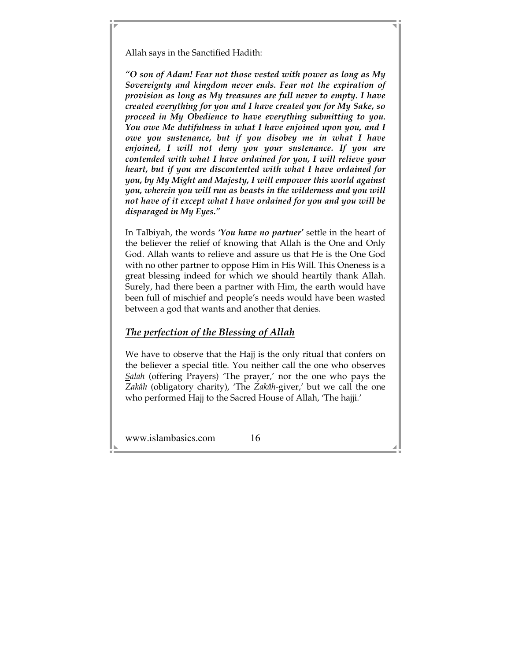Allah says in the Sanctified Hadith:

*"O son of Adam! Fear not those vested with power as long as My Sovereignty and kingdom never ends. Fear not the expiration of provision as long as My treasures are full never to empty. I have created everything for you and I have created you for My Sake, so proceed in My Obedience to have everything submitting to you. You owe Me dutifulness in what I have enjoined upon you, and I owe you sustenance, but if you disobey me in what I have enjoined, I will not deny you your sustenance. If you are contended with what I have ordained for you, I will relieve your heart, but if you are discontented with what I have ordained for you, by My Might and Majesty, I will empower this world against you, wherein you will run as beasts in the wilderness and you will not have of it except what I have ordained for you and you will be disparaged in My Eyes."*

In Talbiyah, the words *'You have no partner'* settle in the heart of the believer the relief of knowing that Allah is the One and Only God. Allah wants to relieve and assure us that He is the One God with no other partner to oppose Him in His Will. This Oneness is a great blessing indeed for which we should heartily thank Allah. Surely, had there been a partner with Him, the earth would have been full of mischief and people's needs would have been wasted between a god that wants and another that denies.

# *The perfection of the Blessing of Allah*

We have to observe that the Hajj is the only ritual that confers on the believer a special title. You neither call the one who observes *Salah* (offering Prayers) 'The prayer,' nor the one who pays the *Zakâh* (obligatory charity), 'The *Zakâh-*giver,' but we call the one who performed Hajj to the Sacred House of Allah, 'The hajji.'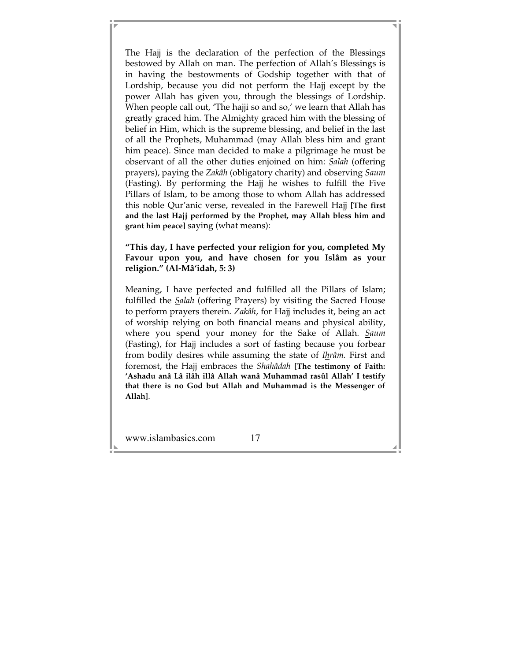The Hajj is the declaration of the perfection of the Blessings bestowed by Allah on man. The perfection of Allah's Blessings is in having the bestowments of Godship together with that of Lordship, because you did not perform the Hajj except by the power Allah has given you, through the blessings of Lordship. When people call out, 'The hajji so and so,' we learn that Allah has greatly graced him. The Almighty graced him with the blessing of belief in Him, which is the supreme blessing, and belief in the last of all the Prophets, Muhammad (may Allah bless him and grant him peace). Since man decided to make a pilgrimage he must be observant of all the other duties enjoined on him: *Salah* (offering prayers), paying the *Zakâh* (obligatory charity) and observing *Saum* (Fasting). By performing the Hajj he wishes to fulfill the Five Pillars of Islam, to be among those to whom Allah has addressed this noble Qur'anic verse, revealed in the Farewell Hajj **[The first and the last Hajj performed by the Prophet, may Allah bless him and grant him peace]** saying (what means):

#### **"This day, I have perfected your religion for you, completed My Favour upon you, and have chosen for you Islâm as your religion." (Al-Mâ'idah, 5: 3)**

Meaning, I have perfected and fulfilled all the Pillars of Islam; fulfilled the *Salah* (offering Prayers) by visiting the Sacred House to perform prayers therein. *Zakâh*, for Hajj includes it, being an act of worship relying on both financial means and physical ability, where you spend your money for the Sake of Allah. *Saum* (Fasting), for Hajj includes a sort of fasting because you forbear from bodily desires while assuming the state of *Ihrâm.* First and foremost, the Hajj embraces the *Shahâdah* **[The testimony of Faith: 'Ashadu anâ Lâ ilâh illâ Allah wanâ Muhammad rasûl Allah' I testify that there is no God but Allah and Muhammad is the Messenger of Allah]**.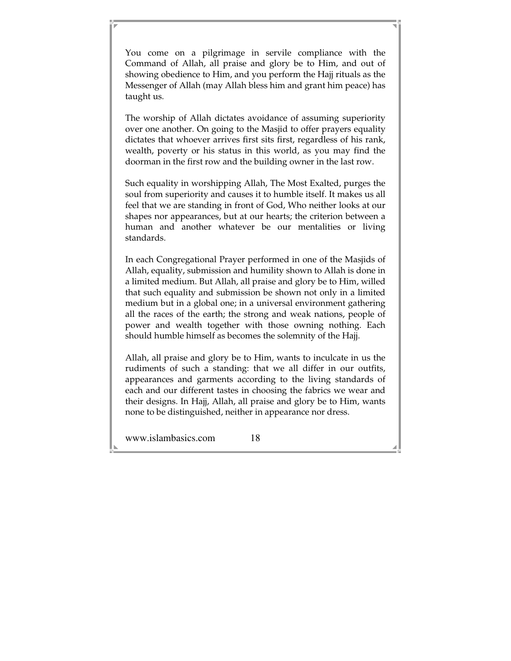You come on a pilgrimage in servile compliance with the Command of Allah, all praise and glory be to Him, and out of showing obedience to Him, and you perform the Hajj rituals as the Messenger of Allah (may Allah bless him and grant him peace) has taught us.

The worship of Allah dictates avoidance of assuming superiority over one another. On going to the Masjid to offer prayers equality dictates that whoever arrives first sits first, regardless of his rank, wealth, poverty or his status in this world, as you may find the doorman in the first row and the building owner in the last row.

Such equality in worshipping Allah, The Most Exalted, purges the soul from superiority and causes it to humble itself. It makes us all feel that we are standing in front of God, Who neither looks at our shapes nor appearances, but at our hearts; the criterion between a human and another whatever be our mentalities or living standards.

In each Congregational Prayer performed in one of the Masjids of Allah, equality, submission and humility shown to Allah is done in a limited medium. But Allah, all praise and glory be to Him, willed that such equality and submission be shown not only in a limited medium but in a global one; in a universal environment gathering all the races of the earth; the strong and weak nations, people of power and wealth together with those owning nothing. Each should humble himself as becomes the solemnity of the Hajj.

Allah, all praise and glory be to Him, wants to inculcate in us the rudiments of such a standing: that we all differ in our outfits, appearances and garments according to the living standards of each and our different tastes in choosing the fabrics we wear and their designs. In Hajj, Allah, all praise and glory be to Him, wants none to be distinguished, neither in appearance nor dress.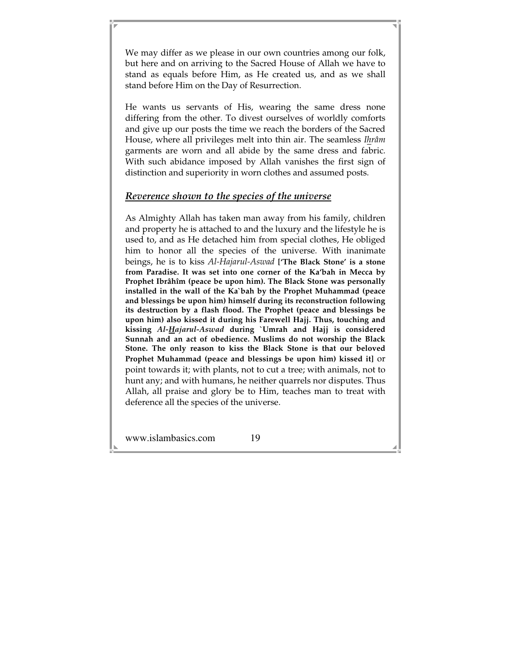We may differ as we please in our own countries among our folk, but here and on arriving to the Sacred House of Allah we have to stand as equals before Him, as He created us, and as we shall stand before Him on the Day of Resurrection.

He wants us servants of His, wearing the same dress none differing from the other. To divest ourselves of worldly comforts and give up our posts the time we reach the borders of the Sacred House, where all privileges melt into thin air. The seamless *Ihrâm* garments are worn and all abide by the same dress and fabric. With such abidance imposed by Allah vanishes the first sign of distinction and superiority in worn clothes and assumed posts.

#### *Reverence shown to the species of the universe*

As Almighty Allah has taken man away from his family, children and property he is attached to and the luxury and the lifestyle he is used to, and as He detached him from special clothes, He obliged him to honor all the species of the universe. With inanimate beings, he is to kiss *Al-Hajarul-Aswad* **['The Black Stone' is a stone from Paradise. It was set into one corner of the Ka'bah in Mecca by Prophet Ibrâhîm (peace be upon him). The Black Stone was personally installed in the wall of the Ka`bah by the Prophet Muhammad (peace and blessings be upon him) himself during its reconstruction following its destruction by a flash flood. The Prophet (peace and blessings be upon him) also kissed it during his Farewell Hajj. Thus, touching and kissing** *Al-Hajarul-Aswad* **during `Umrah and Hajj is considered Sunnah and an act of obedience. Muslims do not worship the Black Stone. The only reason to kiss the Black Stone is that our beloved Prophet Muhammad (peace and blessings be upon him) kissed it]** or point towards it; with plants, not to cut a tree; with animals, not to hunt any; and with humans, he neither quarrels nor disputes. Thus Allah, all praise and glory be to Him, teaches man to treat with deference all the species of the universe.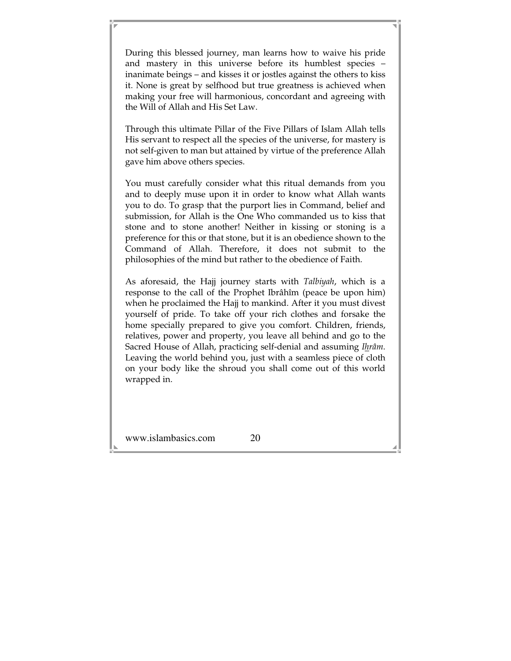During this blessed journey, man learns how to waive his pride and mastery in this universe before its humblest species – inanimate beings – and kisses it or jostles against the others to kiss it. None is great by selfhood but true greatness is achieved when making your free will harmonious, concordant and agreeing with the Will of Allah and His Set Law.

Through this ultimate Pillar of the Five Pillars of Islam Allah tells His servant to respect all the species of the universe, for mastery is not self-given to man but attained by virtue of the preference Allah gave him above others species.

You must carefully consider what this ritual demands from you and to deeply muse upon it in order to know what Allah wants you to do. To grasp that the purport lies in Command, belief and submission, for Allah is the One Who commanded us to kiss that stone and to stone another! Neither in kissing or stoning is a preference for this or that stone, but it is an obedience shown to the Command of Allah. Therefore, it does not submit to the philosophies of the mind but rather to the obedience of Faith.

As aforesaid, the Hajj journey starts with *Talbiyah*, which is a response to the call of the Prophet Ibrâhîm (peace be upon him) when he proclaimed the Hajj to mankind. After it you must divest yourself of pride. To take off your rich clothes and forsake the home specially prepared to give you comfort. Children, friends, relatives, power and property, you leave all behind and go to the Sacred House of Allah, practicing self-denial and assuming *Ihrâm*. Leaving the world behind you, just with a seamless piece of cloth on your body like the shroud you shall come out of this world wrapped in.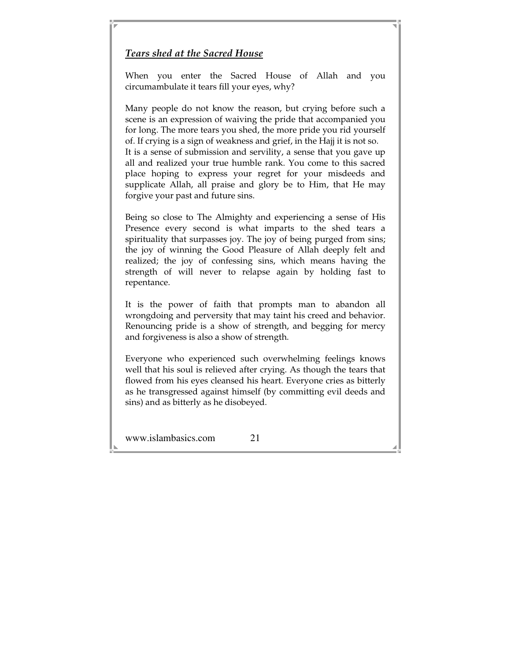## *Tears shed at the Sacred House*

When you enter the Sacred House of Allah and you circumambulate it tears fill your eyes, why?

Many people do not know the reason, but crying before such a scene is an expression of waiving the pride that accompanied you for long. The more tears you shed, the more pride you rid yourself of. If crying is a sign of weakness and grief, in the Hajj it is not so. It is a sense of submission and servility, a sense that you gave up all and realized your true humble rank. You come to this sacred place hoping to express your regret for your misdeeds and supplicate Allah, all praise and glory be to Him, that He may forgive your past and future sins.

Being so close to The Almighty and experiencing a sense of His Presence every second is what imparts to the shed tears a spirituality that surpasses joy. The joy of being purged from sins; the joy of winning the Good Pleasure of Allah deeply felt and realized; the joy of confessing sins, which means having the strength of will never to relapse again by holding fast to repentance.

It is the power of faith that prompts man to abandon all wrongdoing and perversity that may taint his creed and behavior. Renouncing pride is a show of strength, and begging for mercy and forgiveness is also a show of strength.

Everyone who experienced such overwhelming feelings knows well that his soul is relieved after crying. As though the tears that flowed from his eyes cleansed his heart. Everyone cries as bitterly as he transgressed against himself (by committing evil deeds and sins) and as bitterly as he disobeyed.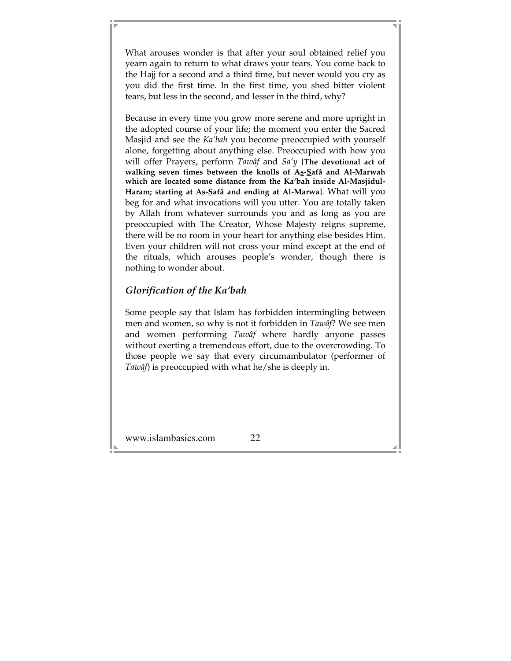What arouses wonder is that after your soul obtained relief you yearn again to return to what draws your tears. You come back to the Hajj for a second and a third time, but never would you cry as you did the first time. In the first time, you shed bitter violent tears, but less in the second, and lesser in the third, why?

Because in every time you grow more serene and more upright in the adopted course of your life; the moment you enter the Sacred Masjid and see the *Ka'bah* you become preoccupied with yourself alone, forgetting about anything else. Preoccupied with how you will offer Prayers, perform *Tawâf* and *Sa'y* **[The devotional act of walking seven times between the knolls of As-Safâ and Al-Marwah which are located some distance from the Ka'bah inside Al-Masjidul-**Haram; starting at As-Safâ and ending at Al-Marwa]. What will you beg for and what invocations will you utter. You are totally taken by Allah from whatever surrounds you and as long as you are preoccupied with The Creator, Whose Majesty reigns supreme, there will be no room in your heart for anything else besides Him. Even your children will not cross your mind except at the end of the rituals, which arouses people's wonder, though there is nothing to wonder about.

### *Glorification of the Ka'bah*

Some people say that Islam has forbidden intermingling between men and women, so why is not it forbidden in *Tawâf*? We see men and women performing *Tawâf* where hardly anyone passes without exerting a tremendous effort, due to the overcrowding. To those people we say that every circumambulator (performer of *Tawâf*) is preoccupied with what he/she is deeply in.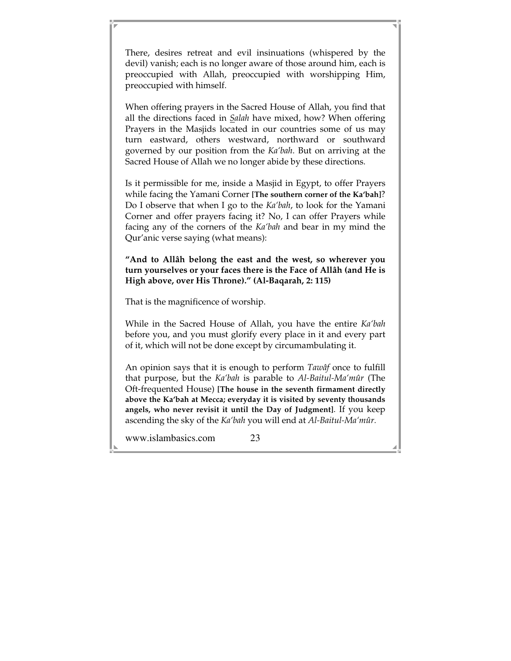There, desires retreat and evil insinuations (whispered by the devil) vanish; each is no longer aware of those around him, each is preoccupied with Allah, preoccupied with worshipping Him, preoccupied with himself.

When offering prayers in the Sacred House of Allah, you find that all the directions faced in *Salah* have mixed, how? When offering Prayers in the Masjids located in our countries some of us may turn eastward, others westward, northward or southward governed by our position from the *Ka'bah*. But on arriving at the Sacred House of Allah we no longer abide by these directions.

Is it permissible for me, inside a Masjid in Egypt, to offer Prayers while facing the Yamani Corner **[The southern corner of the Ka'bah]**? Do I observe that when I go to the *Ka'bah*, to look for the Yamani Corner and offer prayers facing it? No, I can offer Prayers while facing any of the corners of the *Ka'bah* and bear in my mind the Qur'anic verse saying (what means):

**"And to Allâh belong the east and the west, so wherever you turn yourselves or your faces there is the Face of Allâh (and He is High above, over His Throne)." (Al-Baqarah, 2: 115)** 

That is the magnificence of worship.

While in the Sacred House of Allah, you have the entire *Ka'bah* before you, and you must glorify every place in it and every part of it, which will not be done except by circumambulating it.

An opinion says that it is enough to perform *Tawâf* once to fulfill that purpose, but the *Ka'bah* is parable to *Al-Baitul-Ma'mûr* (The Oft-frequented House) **[The house in the seventh firmament directly above the Ka'bah at Mecca; everyday it is visited by seventy thousands angels, who never revisit it until the Day of Judgment]**. If you keep ascending the sky of the *Ka'bah* you will end at *Al-Baitul-Ma'mûr.*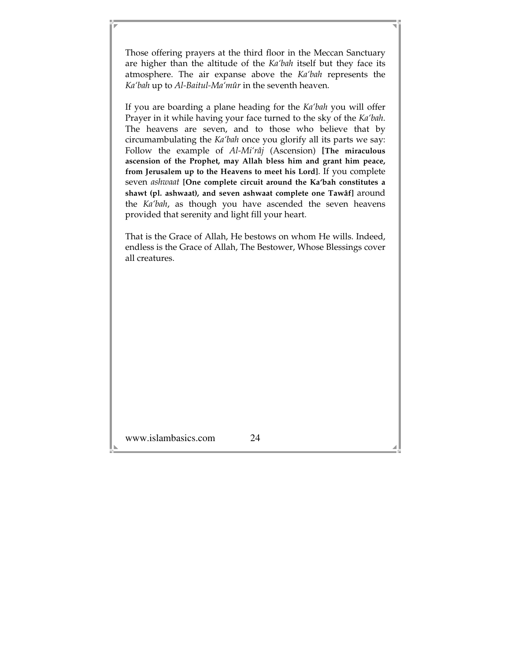Those offering prayers at the third floor in the Meccan Sanctuary are higher than the altitude of the *Ka'bah* itself but they face its atmosphere. The air expanse above the *Ka'bah* represents the *Ka'bah* up to *Al-Baitul-Ma'mûr* in the seventh heaven.

If you are boarding a plane heading for the *Ka'bah* you will offer Prayer in it while having your face turned to the sky of the *Ka'bah*. The heavens are seven, and to those who believe that by circumambulating the *Ka'bah* once you glorify all its parts we say: Follow the example of *Al-Mi'râj* (Ascension) **[The miraculous ascension of the Prophet, may Allah bless him and grant him peace, from Jerusalem up to the Heavens to meet his Lord]**. If you complete seven *ashwaat* **[One complete circuit around the Ka'bah constitutes a shawt (pl. ashwaat), and seven ashwaat complete one Tawâf]** around the *Ka'bah*, as though you have ascended the seven heavens provided that serenity and light fill your heart.

That is the Grace of Allah, He bestows on whom He wills. Indeed, endless is the Grace of Allah, The Bestower, Whose Blessings cover all creatures.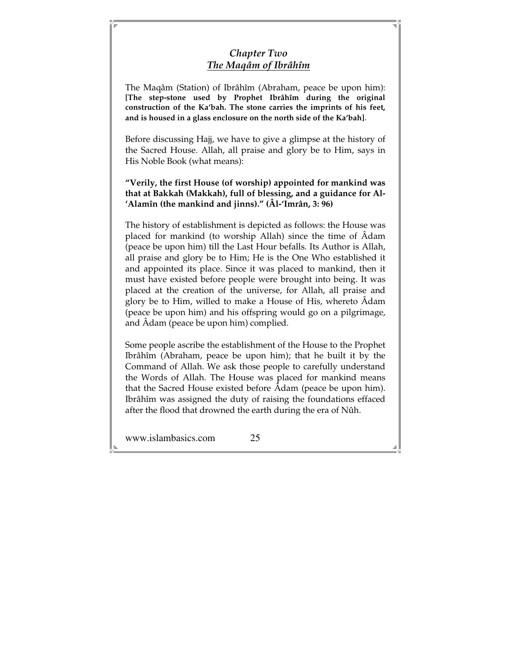# *Chapter Two The Maqâm of Ibrâhîm*

The Maqâm (Station) of Ibrâhîm (Abraham, peace be upon him): **[The step-stone used by Prophet Ibrâhîm during the original construction of the Ka'bah. The stone carries the imprints of his feet, and is housed in a glass enclosure on the north side of the Ka'bah]**.

Before discussing Hajj, we have to give a glimpse at the history of the Sacred House. Allah, all praise and glory be to Him, says in His Noble Book (what means):

**"Verily, the first House (of worship) appointed for mankind was that at Bakkah (Makkah), full of blessing, and a guidance for Al- 'Alamîn (the mankind and jinns)." (Âl-'Imrân, 3: 96)**

The history of establishment is depicted as follows: the House was placed for mankind (to worship Allah) since the time of Âdam (peace be upon him) till the Last Hour befalls. Its Author is Allah, all praise and glory be to Him; He is the One Who established it and appointed its place. Since it was placed to mankind, then it must have existed before people were brought into being. It was placed at the creation of the universe, for Allah, all praise and glory be to Him, willed to make a House of His, whereto Âdam (peace be upon him) and his offspring would go on a pilgrimage, and Âdam (peace be upon him) complied.

Some people ascribe the establishment of the House to the Prophet Ibrâhîm (Abraham, peace be upon him); that he built it by the Command of Allah. We ask those people to carefully understand the Words of Allah. The House was placed for mankind means that the Sacred House existed before Âdam (peace be upon him). Ibrâhîm was assigned the duty of raising the foundations effaced after the flood that drowned the earth during the era of Nûh.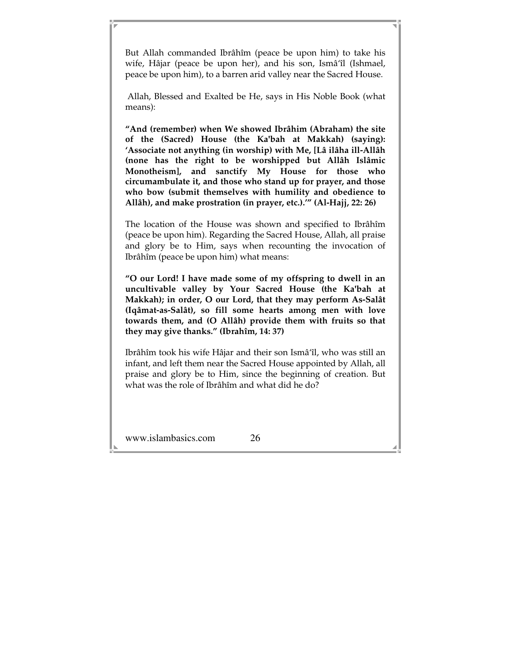But Allah commanded Ibrâhîm (peace be upon him) to take his wife, Hâjar (peace be upon her), and his son, Ismâ'îl (Ishmael, peace be upon him), to a barren arid valley near the Sacred House.

 Allah, Blessed and Exalted be He, says in His Noble Book (what means):

**"And (remember) when We showed Ibrâhim (Abraham) the site of the (Sacred) House (the Ka'bah at Makkah) (saying): 'Associate not anything (in worship) with Me, [Lâ ilâha ill-Allâh (none has the right to be worshipped but Allâh Islâmic Monotheism], and sanctify My House for those who circumambulate it, and those who stand up for prayer, and those who bow (submit themselves with humility and obedience to Allâh), and make prostration (in prayer, etc.).'" (Al-Hajj, 22: 26)** 

The location of the House was shown and specified to Ibrâhîm (peace be upon him). Regarding the Sacred House, Allah, all praise and glory be to Him, says when recounting the invocation of Ibrâhîm (peace be upon him) what means:

**"O our Lord! I have made some of my offspring to dwell in an uncultivable valley by Your Sacred House (the Ka'bah at Makkah); in order, O our Lord, that they may perform As-Salât (Iqâmat-as-Salât), so fill some hearts among men with love towards them, and (O Allâh) provide them with fruits so that they may give thanks." (Ibrahîm, 14: 37)** 

Ibrâhîm took his wife Hâjar and their son Ismâ'îl, who was still an infant, and left them near the Sacred House appointed by Allah, all praise and glory be to Him, since the beginning of creation. But what was the role of Ibrâhîm and what did he do?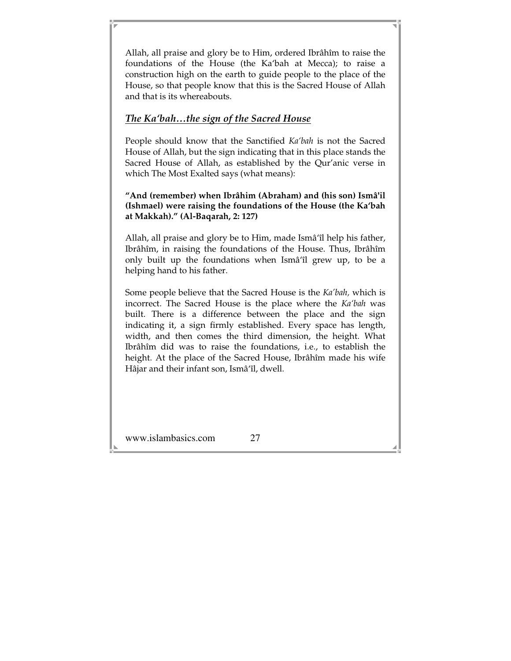Allah, all praise and glory be to Him, ordered Ibrâhîm to raise the foundations of the House (the Ka'bah at Mecca); to raise a construction high on the earth to guide people to the place of the House, so that people know that this is the Sacred House of Allah and that is its whereabouts.

### *The Ka'bah…the sign of the Sacred House*

People should know that the Sanctified *Ka'bah* is not the Sacred House of Allah, but the sign indicating that in this place stands the Sacred House of Allah, as established by the Qur'anic verse in which The Most Exalted says (what means):

**"And (remember) when Ibrâhim (Abraham) and (his son) Ismâ'il (Ishmael) were raising the foundations of the House (the Ka'bah at Makkah)." (Al-Baqarah, 2: 127)** 

Allah, all praise and glory be to Him, made Ismâ'îl help his father, Ibrâhîm, in raising the foundations of the House. Thus, Ibrâhîm only built up the foundations when Ismâ'îl grew up, to be a helping hand to his father.

Some people believe that the Sacred House is the *Ka'bah,* which is incorrect. The Sacred House is the place where the *Ka'bah* was built. There is a difference between the place and the sign indicating it, a sign firmly established. Every space has length, width, and then comes the third dimension, the height. What Ibrâhîm did was to raise the foundations, i.e., to establish the height. At the place of the Sacred House, Ibrâhîm made his wife Hâjar and their infant son, Ismâ'îl, dwell.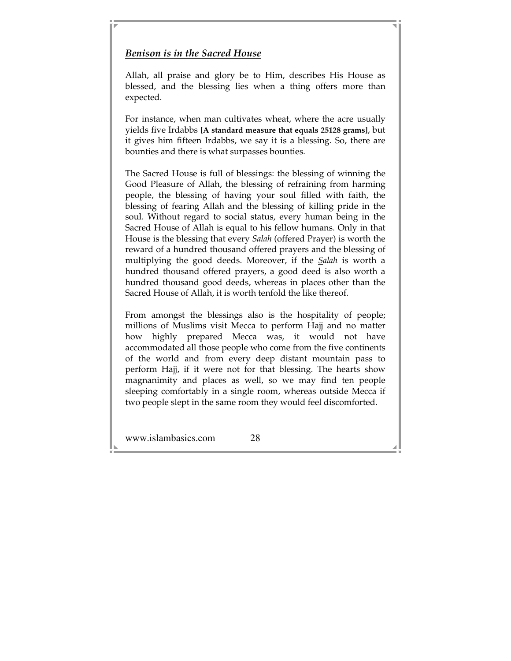#### *Benison is in the Sacred House*

Allah, all praise and glory be to Him, describes His House as blessed, and the blessing lies when a thing offers more than expected.

For instance, when man cultivates wheat, where the acre usually yields five Irdabbs **[A standard measure that equals 25128 grams]**, but it gives him fifteen Irdabbs, we say it is a blessing. So, there are bounties and there is what surpasses bounties.

The Sacred House is full of blessings: the blessing of winning the Good Pleasure of Allah, the blessing of refraining from harming people, the blessing of having your soul filled with faith, the blessing of fearing Allah and the blessing of killing pride in the soul. Without regard to social status, every human being in the Sacred House of Allah is equal to his fellow humans. Only in that House is the blessing that every *Salah* (offered Prayer) is worth the reward of a hundred thousand offered prayers and the blessing of multiplying the good deeds. Moreover, if the *Salah* is worth a hundred thousand offered prayers, a good deed is also worth a hundred thousand good deeds, whereas in places other than the Sacred House of Allah, it is worth tenfold the like thereof.

From amongst the blessings also is the hospitality of people; millions of Muslims visit Mecca to perform Hajj and no matter how highly prepared Mecca was, it would not have accommodated all those people who come from the five continents of the world and from every deep distant mountain pass to perform Hajj, if it were not for that blessing. The hearts show magnanimity and places as well, so we may find ten people sleeping comfortably in a single room, whereas outside Mecca if two people slept in the same room they would feel discomforted.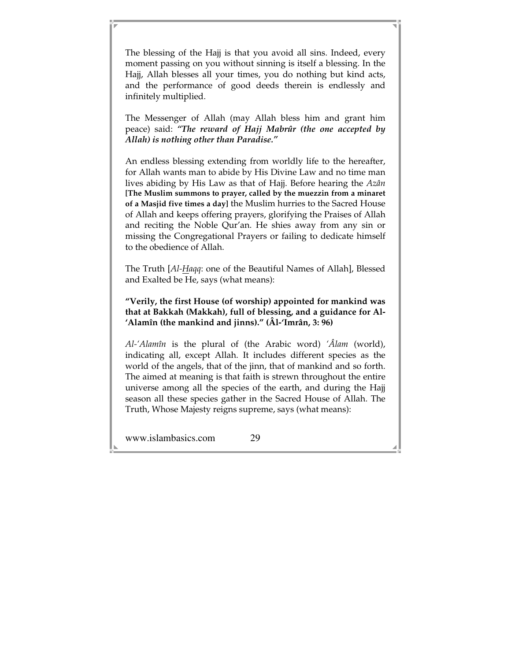The blessing of the Hajj is that you avoid all sins. Indeed, every moment passing on you without sinning is itself a blessing. In the Hajj, Allah blesses all your times, you do nothing but kind acts, and the performance of good deeds therein is endlessly and infinitely multiplied.

The Messenger of Allah (may Allah bless him and grant him peace) said: *"The reward of Hajj Mabrûr (the one accepted by Allah) is nothing other than Paradise."* 

An endless blessing extending from worldly life to the hereafter, for Allah wants man to abide by His Divine Law and no time man lives abiding by His Law as that of Hajj. Before hearing the *Azân* **[The Muslim summons to prayer, called by the muezzin from a minaret of a Masjid five times a day]** the Muslim hurries to the Sacred House of Allah and keeps offering prayers, glorifying the Praises of Allah and reciting the Noble Qur'an. He shies away from any sin or missing the Congregational Prayers or failing to dedicate himself to the obedience of Allah.

The Truth [*Al-Haqq*: one of the Beautiful Names of Allah], Blessed and Exalted be He, says (what means):

**"Verily, the first House (of worship) appointed for mankind was that at Bakkah (Makkah), full of blessing, and a guidance for Al- 'Alamîn (the mankind and jinns)." (Âl-'Imrân, 3: 96)**

*Al-'Alamîn* is the plural of (the Arabic word) *'Âlam* (world), indicating all, except Allah. It includes different species as the world of the angels, that of the jinn, that of mankind and so forth. The aimed at meaning is that faith is strewn throughout the entire universe among all the species of the earth, and during the Hajj season all these species gather in the Sacred House of Allah. The Truth, Whose Majesty reigns supreme, says (what means):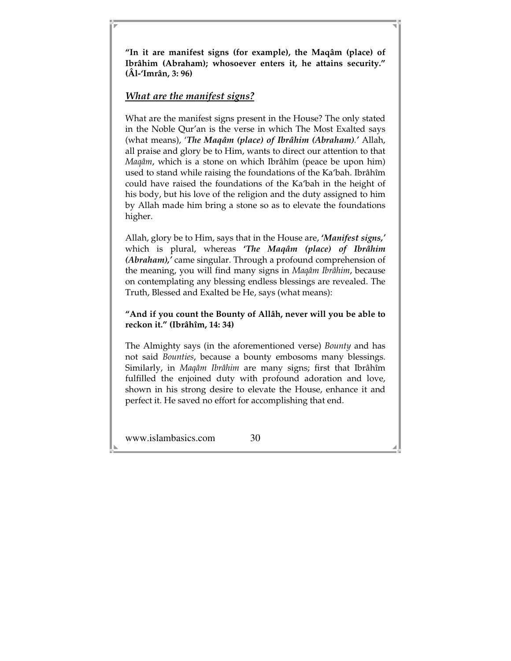**"In it are manifest signs (for example), the Maqâm (place) of Ibrâhim (Abraham); whosoever enters it, he attains security." (Âl-'Imrân, 3: 96)** 

### *What are the manifest signs?*

What are the manifest signs present in the House? The only stated in the Noble Qur'an is the verse in which The Most Exalted says (what means), '*The Maqâm (place) of Ibrâhim (Abraham).'* Allah, all praise and glory be to Him, wants to direct our attention to that *Maqâm*, which is a stone on which Ibrâhîm (peace be upon him) used to stand while raising the foundations of the Ka'bah. Ibrâhîm could have raised the foundations of the Ka'bah in the height of his body, but his love of the religion and the duty assigned to him by Allah made him bring a stone so as to elevate the foundations higher.

Allah, glory be to Him, says that in the House are, **'***Manifest signs,'* which is plural, whereas **'***The Maqâm (place) of Ibrâhim (Abraham),'* came singular. Through a profound comprehension of the meaning, you will find many signs in *Maqâm Ibrâhim*, because on contemplating any blessing endless blessings are revealed. The Truth, Blessed and Exalted be He, says (what means):

#### **"And if you count the Bounty of Allâh, never will you be able to reckon it." (Ibrâhîm, 14: 34)**

The Almighty says (in the aforementioned verse) *Bounty* and has not said *Bounties*, because a bounty embosoms many blessings. Similarly, in *Maqâm Ibrâhim* are many signs; first that Ibrâhîm fulfilled the enjoined duty with profound adoration and love, shown in his strong desire to elevate the House, enhance it and perfect it. He saved no effort for accomplishing that end.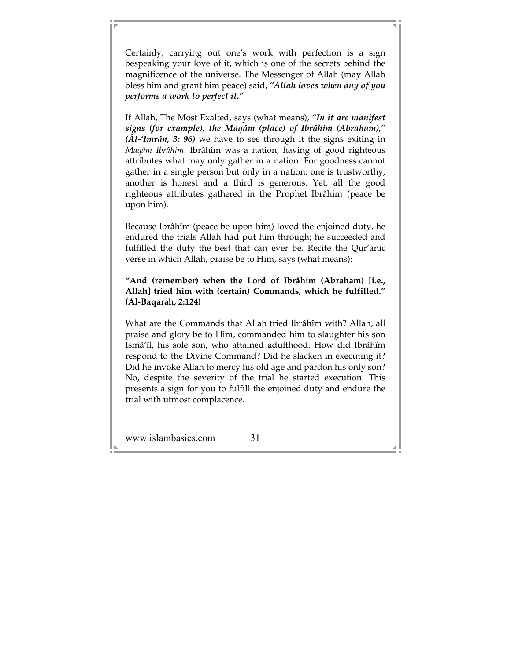Certainly, carrying out one's work with perfection is a sign bespeaking your love of it, which is one of the secrets behind the magnificence of the universe. The Messenger of Allah (may Allah bless him and grant him peace) said, *"Allah loves when any of you performs a work to perfect it."*

If Allah, The Most Exalted, says (what means), *"In it are manifest signs (for example), the Maqâm (place) of Ibrâhim (Abraham)," (Âl-'Imrân, 3: 96)* we have to see through it the signs exiting in *Maqâm Ibrâhim*. Ibrâhîm was a nation, having of good righteous attributes what may only gather in a nation. For goodness cannot gather in a single person but only in a nation: one is trustworthy, another is honest and a third is generous. Yet, all the good righteous attributes gathered in the Prophet Ibrâhim (peace be upon him).

Because Ibrâhîm (peace be upon him) loved the enjoined duty, he endured the trials Allah had put him through; he succeeded and fulfilled the duty the best that can ever be. Recite the Qur'anic verse in which Allah, praise be to Him, says (what means):

**"And (remember) when the Lord of Ibrâhim (Abraham) [i.e., Allah] tried him with (certain) Commands, which he fulfilled." (Al-Baqarah, 2:124)** 

What are the Commands that Allah tried Ibrâhîm with? Allah, all praise and glory be to Him, commanded him to slaughter his son Ismâ'îl, his sole son, who attained adulthood. How did Ibrâhîm respond to the Divine Command? Did he slacken in executing it? Did he invoke Allah to mercy his old age and pardon his only son? No, despite the severity of the trial he started execution. This presents a sign for you to fulfill the enjoined duty and endure the trial with utmost complacence.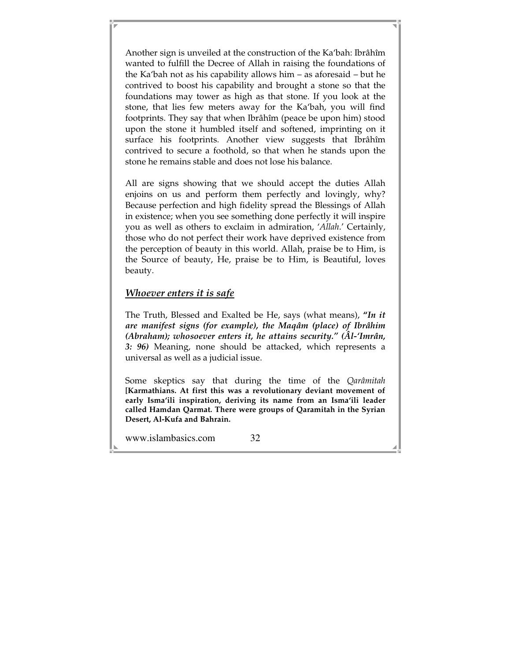Another sign is unveiled at the construction of the Ka'bah: Ibrâhîm wanted to fulfill the Decree of Allah in raising the foundations of the Ka'bah not as his capability allows him – as aforesaid – but he contrived to boost his capability and brought a stone so that the foundations may tower as high as that stone. If you look at the stone, that lies few meters away for the Ka'bah, you will find footprints. They say that when Ibrâhîm (peace be upon him) stood upon the stone it humbled itself and softened, imprinting on it surface his footprints. Another view suggests that Ibrâhîm contrived to secure a foothold, so that when he stands upon the stone he remains stable and does not lose his balance.

All are signs showing that we should accept the duties Allah enjoins on us and perform them perfectly and lovingly, why? Because perfection and high fidelity spread the Blessings of Allah in existence; when you see something done perfectly it will inspire you as well as others to exclaim in admiration, '*Allah*.' Certainly, those who do not perfect their work have deprived existence from the perception of beauty in this world. Allah, praise be to Him, is the Source of beauty, He, praise be to Him, is Beautiful, loves beauty.

#### *Whoever enters it is safe*

The Truth, Blessed and Exalted be He, says (what means), **"***In it are manifest signs (for example), the Maqâm (place) of Ibrâhim (Abraham); whosoever enters it, he attains security." (Âl-'Imrân, 3: 96)* Meaning, none should be attacked, which represents a universal as well as a judicial issue.

Some skeptics say that during the time of the *Qarâmitah* **[Karmathians. At first this was a revolutionary deviant movement of early Isma'ili inspiration, deriving its name from an Isma'ili leader called Hamdan Qarmat. There were groups of Qaramitah in the Syrian Desert, Al-Kufa and Bahrain.**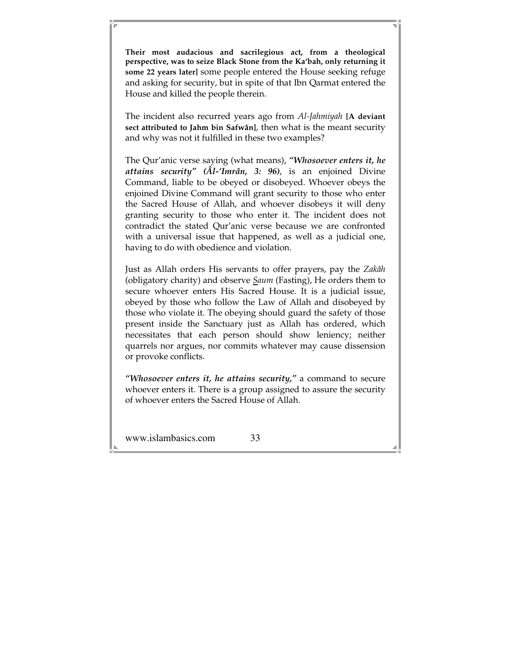**Their most audacious and sacrilegious act, from a theological perspective, was to seize Black Stone from the Ka'bah, only returning it some 22 years later]** some people entered the House seeking refuge and asking for security, but in spite of that Ibn Qarmat entered the House and killed the people therein.

The incident also recurred years ago from *Al-Jahmiyah* **[A deviant sect attributed to Jahm bin Safwân]**, then what is the meant security and why was not it fulfilled in these two examples?

The Qur'anic verse saying (what means), *"Whosoever enters it, he attains security" (Âl-'Imrân, 3: 96)*, is an enjoined Divine Command, liable to be obeyed or disobeyed. Whoever obeys the enjoined Divine Command will grant security to those who enter the Sacred House of Allah, and whoever disobeys it will deny granting security to those who enter it. The incident does not contradict the stated Qur'anic verse because we are confronted with a universal issue that happened, as well as a judicial one, having to do with obedience and violation.

Just as Allah orders His servants to offer prayers, pay the *Zakâh* (obligatory charity) and observe *Saum* (Fasting), He orders them to secure whoever enters His Sacred House. It is a judicial issue, obeyed by those who follow the Law of Allah and disobeyed by those who violate it. The obeying should guard the safety of those present inside the Sanctuary just as Allah has ordered, which necessitates that each person should show leniency; neither quarrels nor argues, nor commits whatever may cause dissension or provoke conflicts.

*"Whosoever enters it, he attains security,"* a command to secure whoever enters it. There is a group assigned to assure the security of whoever enters the Sacred House of Allah.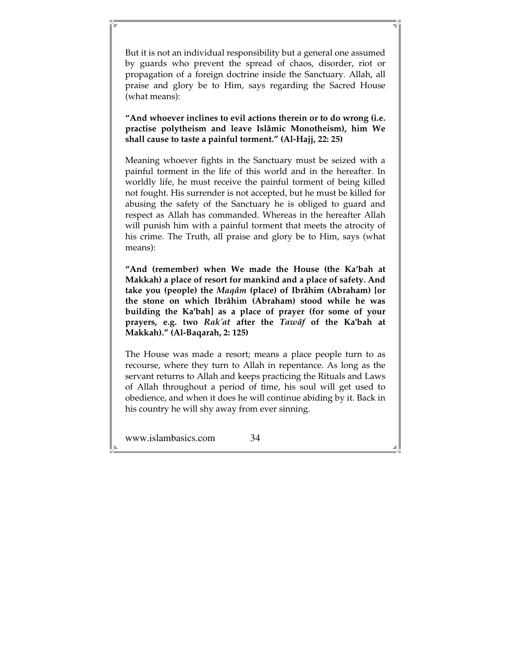But it is not an individual responsibility but a general one assumed by guards who prevent the spread of chaos, disorder, riot or propagation of a foreign doctrine inside the Sanctuary. Allah, all praise and glory be to Him, says regarding the Sacred House (what means):

**"And whoever inclines to evil actions therein or to do wrong (i.e. practise polytheism and leave Islâmic Monotheism), him We shall cause to taste a painful torment." (Al-Hajj, 22: 25)** 

Meaning whoever fights in the Sanctuary must be seized with a painful torment in the life of this world and in the hereafter. In worldly life, he must receive the painful torment of being killed not fought. His surrender is not accepted, but he must be killed for abusing the safety of the Sanctuary he is obliged to guard and respect as Allah has commanded. Whereas in the hereafter Allah will punish him with a painful torment that meets the atrocity of his crime. The Truth, all praise and glory be to Him, says (what means):

**"And (remember) when We made the House (the Ka'bah at Makkah) a place of resort for mankind and a place of safety. And take you (people) the** *Maqâm* **(place) of Ibrâhim (Abraham) [or the stone on which Ibrâhim (Abraham) stood while he was building the Ka'bah] as a place of prayer (for some of your prayers, e.g. two** *Rak'at* **after the** *Tawâf* **of the Ka'bah at Makkah)." (Al-Baqarah, 2: 125)** 

The House was made a resort; means a place people turn to as recourse, where they turn to Allah in repentance. As long as the servant returns to Allah and keeps practicing the Rituals and Laws of Allah throughout a period of time, his soul will get used to obedience, and when it does he will continue abiding by it. Back in his country he will shy away from ever sinning.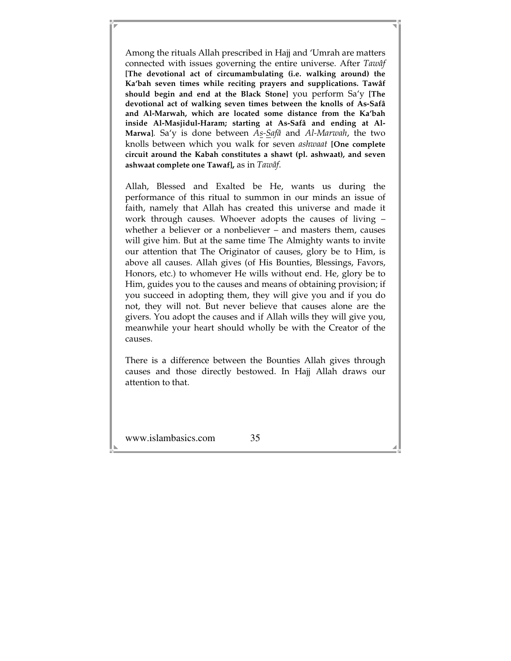Among the rituals Allah prescribed in Hajj and 'Umrah are matters connected with issues governing the entire universe. After *Tawâf*  **[The devotional act of circumambulating (i.e. walking around) the Ka'bah seven times while reciting prayers and supplications. Tawâf should begin and end at the Black Stone]** you perform Sa'y **[The devotional act of walking seven times between the knolls of As-Safâ and Al-Marwah, which are located some distance from the Ka'bah inside Al-Masjidul-Haram; starting at As-Safâ and ending at Al-Marwa]***.* Sa'y is done between *As-Safâ* and *Al-Marwah*, the two knolls between which you walk for seven *ashwaat* **[One complete circuit around the Kabah constitutes a shawt (pl. ashwaat), and seven ashwaat complete one Tawaf],** as in *Tawâf*.

Allah, Blessed and Exalted be He, wants us during the performance of this ritual to summon in our minds an issue of faith, namely that Allah has created this universe and made it work through causes. Whoever adopts the causes of living – whether a believer or a nonbeliever – and masters them, causes will give him. But at the same time The Almighty wants to invite our attention that The Originator of causes, glory be to Him, is above all causes. Allah gives (of His Bounties, Blessings, Favors, Honors, etc.) to whomever He wills without end. He, glory be to Him, guides you to the causes and means of obtaining provision; if you succeed in adopting them, they will give you and if you do not, they will not. But never believe that causes alone are the givers. You adopt the causes and if Allah wills they will give you, meanwhile your heart should wholly be with the Creator of the causes.

There is a difference between the Bounties Allah gives through causes and those directly bestowed. In Hajj Allah draws our attention to that.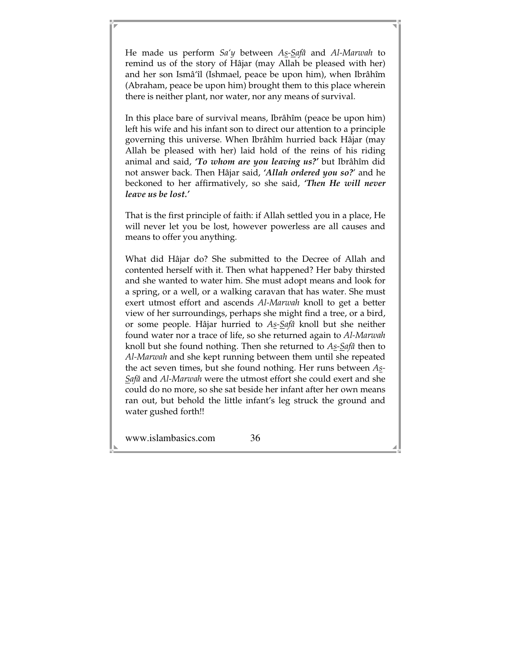He made us perform *Sa'y* between *As-Safâ* and *Al-Marwah* to remind us of the story of Hâjar (may Allah be pleased with her) and her son Ismâ'îl (Ishmael, peace be upon him), when Ibrâhîm (Abraham, peace be upon him) brought them to this place wherein there is neither plant, nor water, nor any means of survival.

In this place bare of survival means, Ibrâhîm (peace be upon him) left his wife and his infant son to direct our attention to a principle governing this universe. When Ibrâhîm hurried back Hâjar (may Allah be pleased with her) laid hold of the reins of his riding animal and said, *'To whom are you leaving us?'* but Ibrâhîm did not answer back. Then Hâjar said, *'Allah ordered you so?*' and he beckoned to her affirmatively, so she said, *'Then He will never leave us be lost.'* 

That is the first principle of faith: if Allah settled you in a place, He will never let you be lost, however powerless are all causes and means to offer you anything.

What did Hâjar do? She submitted to the Decree of Allah and contented herself with it. Then what happened? Her baby thirsted and she wanted to water him. She must adopt means and look for a spring, or a well, or a walking caravan that has water. She must exert utmost effort and ascends *Al-Marwah* knoll to get a better view of her surroundings, perhaps she might find a tree, or a bird, or some people. Hâjar hurried to *As-Safâ* knoll but she neither found water nor a trace of life, so she returned again to *Al-Marwah* knoll but she found nothing. Then she returned to *As-Safâ* then to *Al-Marwah* and she kept running between them until she repeated the act seven times, but she found nothing. Her runs between *As-Safâ* and *Al-Marwah* were the utmost effort she could exert and she could do no more, so she sat beside her infant after her own means ran out, but behold the little infant's leg struck the ground and water gushed forth!!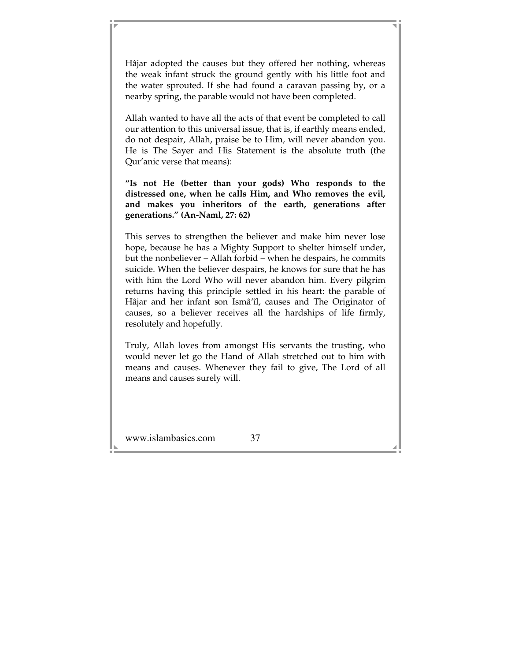Hâjar adopted the causes but they offered her nothing, whereas the weak infant struck the ground gently with his little foot and the water sprouted. If she had found a caravan passing by, or a nearby spring, the parable would not have been completed.

Allah wanted to have all the acts of that event be completed to call our attention to this universal issue, that is, if earthly means ended, do not despair, Allah, praise be to Him, will never abandon you. He is The Sayer and His Statement is the absolute truth (the Qur'anic verse that means):

**"Is not He (better than your gods) Who responds to the distressed one, when he calls Him, and Who removes the evil, and makes you inheritors of the earth, generations after generations." (An-Naml, 27: 62)** 

This serves to strengthen the believer and make him never lose hope, because he has a Mighty Support to shelter himself under, but the nonbeliever – Allah forbid – when he despairs, he commits suicide. When the believer despairs, he knows for sure that he has with him the Lord Who will never abandon him. Every pilgrim returns having this principle settled in his heart: the parable of Hâjar and her infant son Ismâ'îl, causes and The Originator of causes, so a believer receives all the hardships of life firmly, resolutely and hopefully.

Truly, Allah loves from amongst His servants the trusting, who would never let go the Hand of Allah stretched out to him with means and causes. Whenever they fail to give, The Lord of all means and causes surely will.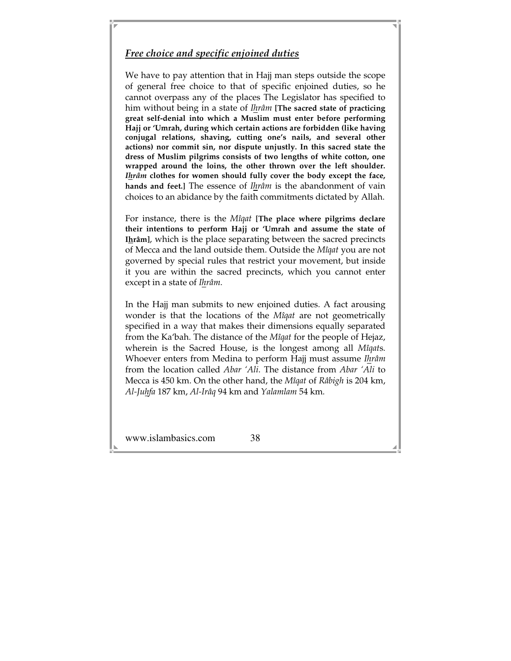## *Free choice and specific enjoined duties*

We have to pay attention that in Hajj man steps outside the scope of general free choice to that of specific enjoined duties, so he cannot overpass any of the places The Legislator has specified to him without being in a state of *Ihrâm* **[The sacred state of practicing great self-denial into which a Muslim must enter before performing Hajj or 'Umrah, during which certain actions are forbidden (like having conjugal relations, shaving, cutting one's nails, and several other actions) nor commit sin, nor dispute unjustly. In this sacred state the dress of Muslim pilgrims consists of two lengths of white cotton, one wrapped around the loins, the other thrown over the left shoulder.**  *Ihrâm* **clothes for women should fully cover the body except the face, hands and feet.]** The essence of *Ihrâm* is the abandonment of vain choices to an abidance by the faith commitments dictated by Allah.

For instance, there is the *Mîqat* **[The place where pilgrims declare their intentions to perform Hajj or 'Umrah and assume the state of Ihrâm]**, which is the place separating between the sacred precincts of Mecca and the land outside them. Outside the *Mîqat* you are not governed by special rules that restrict your movement, but inside it you are within the sacred precincts, which you cannot enter except in a state of *Ihrâm*.

In the Hajj man submits to new enjoined duties. A fact arousing wonder is that the locations of the *Mîqat* are not geometrically specified in a way that makes their dimensions equally separated from the Ka'bah. The distance of the *Mîqat* for the people of Hejaz, wherein is the Sacred House, is the longest among all *Mîqat*s. Whoever enters from Medina to perform Hajj must assume *Ihrâm*  from the location called *Abar 'Ali*. The distance from *Abar 'Ali* to Mecca is 450 km. On the other hand, the *Mîqat* of *Râbigh* is 204 km, *Al-Juhfa* 187 km, *Al-Irâq* 94 km and *Yalamlam* 54 km.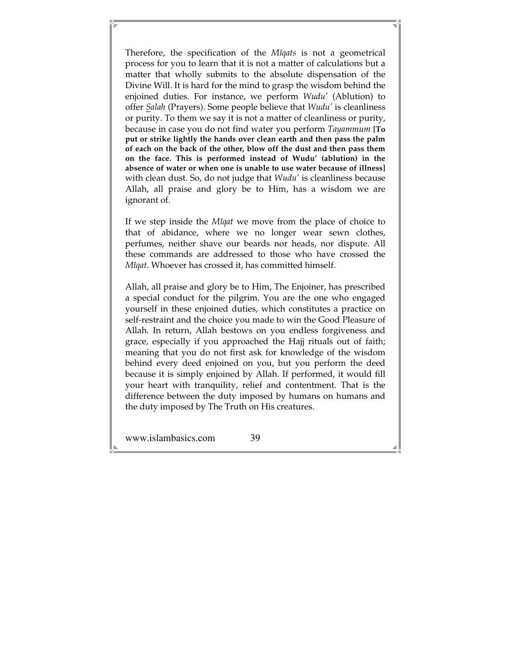Therefore, the specification of the *Mîqats* is not a geometrical process for you to learn that it is not a matter of calculations but a matter that wholly submits to the absolute dispensation of the Divine Will. It is hard for the mind to grasp the wisdom behind the enjoined duties. For instance, we perform *Wudu'* (Ablution) to offer *Salah* (Prayers). Some people believe that *Wudu'* is cleanliness or purity. To them we say it is not a matter of cleanliness or purity, because in case you do not find water you perform *Tayammum* **[To put or strike lightly the hands over clean earth and then pass the palm of each on the back of the other, blow off the dust and then pass them on the face. This is performed instead of Wudu' (ablution) in the absence of water or when one is unable to use water because of illness]** with clean dust. So, do not judge that *Wudu'* is cleanliness because Allah, all praise and glory be to Him, has a wisdom we are ignorant of.

If we step inside the *Mîqat* we move from the place of choice to that of abidance, where we no longer wear sewn clothes, perfumes, neither shave our beards nor heads, nor dispute. All these commands are addressed to those who have crossed the *Mîqat*. Whoever has crossed it, has committed himself.

Allah, all praise and glory be to Him, The Enjoiner, has prescribed a special conduct for the pilgrim. You are the one who engaged yourself in these enjoined duties, which constitutes a practice on self-restraint and the choice you made to win the Good Pleasure of Allah. In return, Allah bestows on you endless forgiveness and grace, especially if you approached the Hajj rituals out of faith; meaning that you do not first ask for knowledge of the wisdom behind every deed enjoined on you, but you perform the deed because it is simply enjoined by Allah. If performed, it would fill your heart with tranquility, relief and contentment. That is the difference between the duty imposed by humans on humans and the duty imposed by The Truth on His creatures.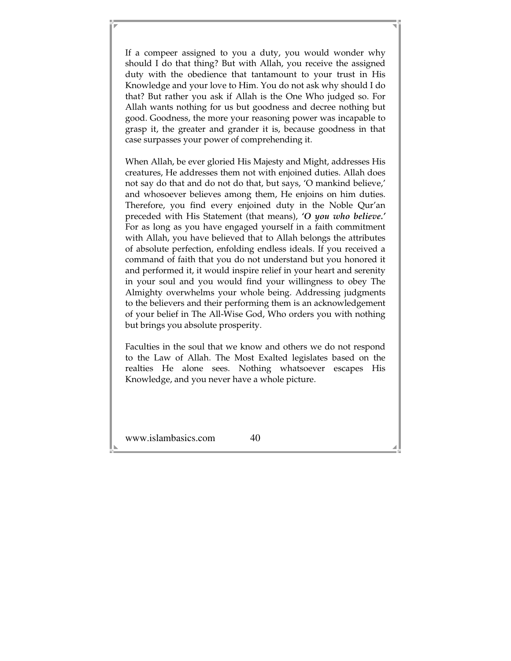If a compeer assigned to you a duty, you would wonder why should I do that thing? But with Allah, you receive the assigned duty with the obedience that tantamount to your trust in His Knowledge and your love to Him. You do not ask why should I do that? But rather you ask if Allah is the One Who judged so. For Allah wants nothing for us but goodness and decree nothing but good. Goodness, the more your reasoning power was incapable to grasp it, the greater and grander it is, because goodness in that case surpasses your power of comprehending it.

When Allah, be ever gloried His Majesty and Might, addresses His creatures, He addresses them not with enjoined duties. Allah does not say do that and do not do that, but says, 'O mankind believe,' and whosoever believes among them, He enjoins on him duties. Therefore, you find every enjoined duty in the Noble Qur'an preceded with His Statement (that means), *'O you who believe.'* For as long as you have engaged yourself in a faith commitment with Allah, you have believed that to Allah belongs the attributes of absolute perfection, enfolding endless ideals. If you received a command of faith that you do not understand but you honored it and performed it, it would inspire relief in your heart and serenity in your soul and you would find your willingness to obey The Almighty overwhelms your whole being. Addressing judgments to the believers and their performing them is an acknowledgement of your belief in The All-Wise God, Who orders you with nothing but brings you absolute prosperity.

Faculties in the soul that we know and others we do not respond to the Law of Allah. The Most Exalted legislates based on the realties He alone sees. Nothing whatsoever escapes His Knowledge, and you never have a whole picture.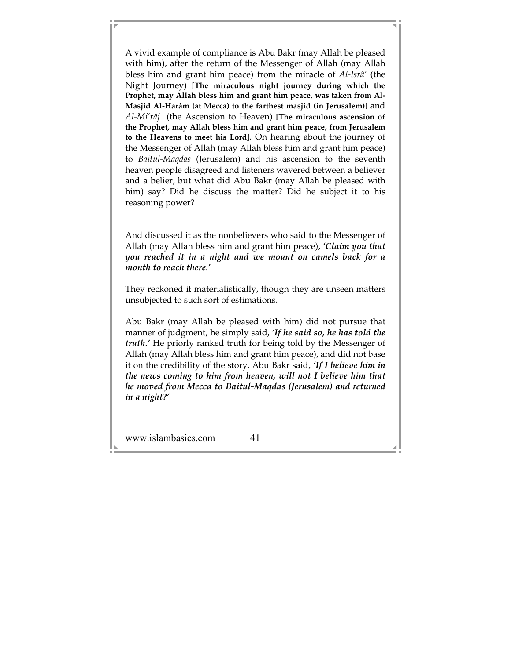A vivid example of compliance is Abu Bakr (may Allah be pleased with him), after the return of the Messenger of Allah (may Allah bless him and grant him peace) from the miracle of *Al-Isrâ'* (the Night Journey) **[The miraculous night journey during which the Prophet, may Allah bless him and grant him peace, was taken from Al-Masjid Al-Harâm (at Mecca) to the farthest masjid (in Jerusalem)]** and *Al-Mi'râj* (the Ascension to Heaven) **[The miraculous ascension of the Prophet, may Allah bless him and grant him peace, from Jerusalem to the Heavens to meet his Lord]**. On hearing about the journey of the Messenger of Allah (may Allah bless him and grant him peace) to *Baitul-Maqdas* (Jerusalem) and his ascension to the seventh heaven people disagreed and listeners wavered between a believer and a belier, but what did Abu Bakr (may Allah be pleased with him) say? Did he discuss the matter? Did he subject it to his reasoning power?

And discussed it as the nonbelievers who said to the Messenger of Allah (may Allah bless him and grant him peace), *'Claim you that you reached it in a night and we mount on camels back for a month to reach there.'*

They reckoned it materialistically, though they are unseen matters unsubjected to such sort of estimations.

Abu Bakr (may Allah be pleased with him) did not pursue that manner of judgment, he simply said, *'If he said so, he has told the truth.'* He priorly ranked truth for being told by the Messenger of Allah (may Allah bless him and grant him peace), and did not base it on the credibility of the story. Abu Bakr said, *'If I believe him in the news coming to him from heaven, will not I believe him that he moved from Mecca to Baitul-Maqdas (Jerusalem) and returned in a night?'*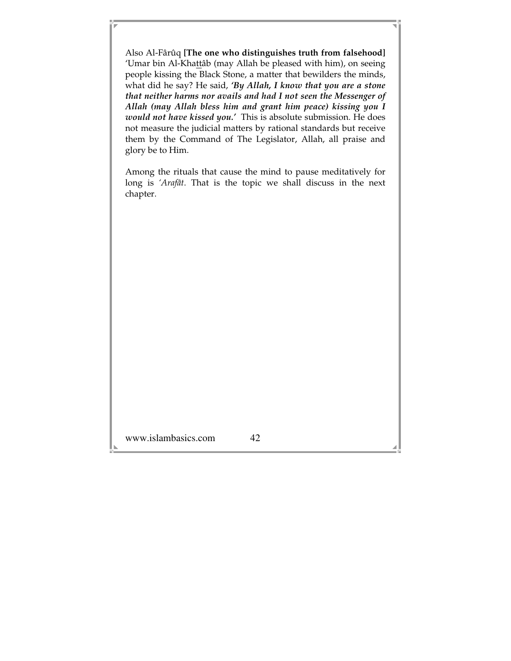Also Al-Fârûq **[The one who distinguishes truth from falsehood]** 'Umar bin Al-Khattâb (may Allah be pleased with him), on seeing people kissing the Black Stone, a matter that bewilders the minds, what did he say? He said, *'By Allah, I know that you are a stone that neither harms nor avails and had I not seen the Messenger of Allah (may Allah bless him and grant him peace) kissing you I would not have kissed you.'* This is absolute submission. He does not measure the judicial matters by rational standards but receive them by the Command of The Legislator, Allah, all praise and glory be to Him.

Among the rituals that cause the mind to pause meditatively for long is *'Arafât*. That is the topic we shall discuss in the next chapter.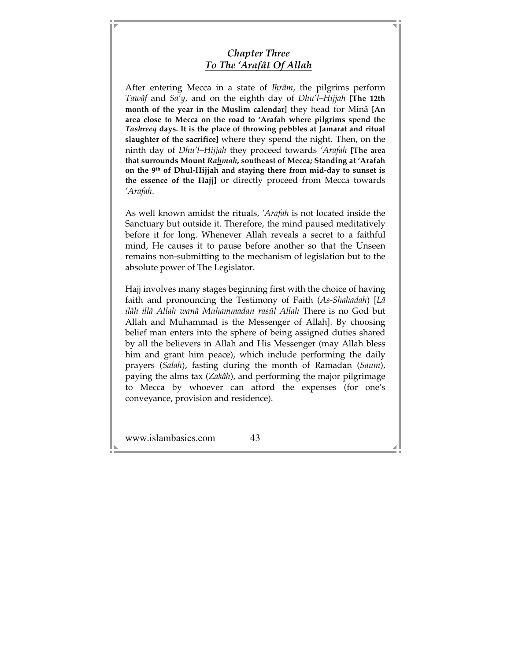# *Chapter Three To The 'Arafât Of Allah*

After entering Mecca in a state of *Ihrâm*, the pilgrims perform *Tawâf* and *Sa'y*, and on the eighth day of *Dhu'l–Hijjah* **[The 12th month of the year in the Muslim calendar]** they head for Minâ **[An area close to Mecca on the road to 'Arafah where pilgrims spend the**  *Tashreeq* **days. It is the place of throwing pebbles at Jamarat and ritual slaughter of the sacrifice]** where they spend the night. Then, on the ninth day of *Dhu'l–Hijjah* they proceed towards *'Arafah* **[The area that surrounds Mount** *Rahmah***, southeast of Mecca; Standing at 'Arafah on the 9th of Dhul-Hijjah and staying there from mid-day to sunset is the essence of the Hajj]** or directly proceed from Mecca towards *'Arafah*.

As well known amidst the rituals, *'Arafah* is not located inside the Sanctuary but outside it. Therefore, the mind paused meditatively before it for long. Whenever Allah reveals a secret to a faithful mind, He causes it to pause before another so that the Unseen remains non-submitting to the mechanism of legislation but to the absolute power of The Legislator.

Hajj involves many stages beginning first with the choice of having faith and pronouncing the Testimony of Faith (*As-Shahadah*) [*Lâ ilâh illâ Allah wanâ Muhammadan rasûl Allah* There is no God but Allah and Muhammad is the Messenger of Allah]. By choosing belief man enters into the sphere of being assigned duties shared by all the believers in Allah and His Messenger (may Allah bless him and grant him peace), which include performing the daily prayers (*Salah*), fasting during the month of Ramadan (*Saum*), paying the alms tax (*Zakâh*), and performing the major pilgrimage to Mecca by whoever can afford the expenses (for one's conveyance, provision and residence).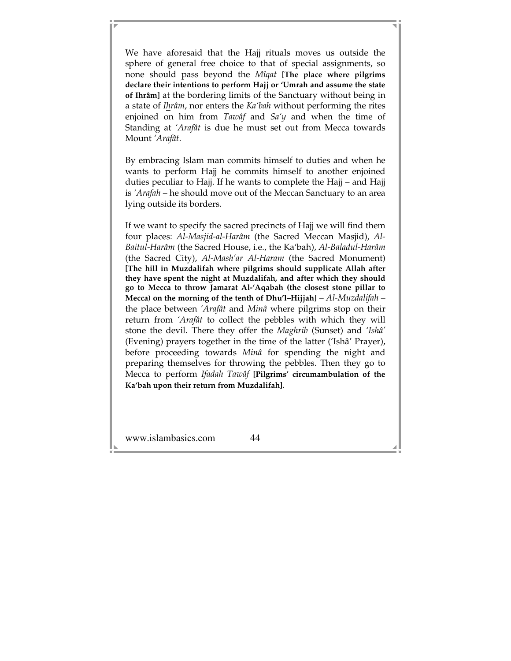We have aforesaid that the Hajj rituals moves us outside the sphere of general free choice to that of special assignments, so none should pass beyond the *Mîqat* **[The place where pilgrims declare their intentions to perform Hajj or 'Umrah and assume the state of Ihrâm]** at the bordering limits of the Sanctuary without being in a state of *Ihrâm*, nor enters the *Ka'bah* without performing the rites enjoined on him from *Tawâf* and *Sa'y* and when the time of Standing at *'Arafât* is due he must set out from Mecca towards Mount *'Arafât*.

By embracing Islam man commits himself to duties and when he wants to perform Hajj he commits himself to another enjoined duties peculiar to Hajj. If he wants to complete the Hajj – and Hajj is *'Arafah* – he should move out of the Meccan Sanctuary to an area lying outside its borders.

If we want to specify the sacred precincts of Hajj we will find them four places: *Al-Masjid-al-Harâm* (the Sacred Meccan Masjid), *Al-Baitul-Harâm* (the Sacred House, i.e., the Ka'bah), *Al-Baladul-Harâm* (the Sacred City), *Al-Mash'ar Al-Haram* (the Sacred Monument) **[The hill in Muzdalifah where pilgrims should supplicate Allah after they have spent the night at Muzdalifah, and after which they should go to Mecca to throw Jamarat Al-'Aqabah (the closest stone pillar to Mecca) on the morning of the tenth of Dhu'l–Hijjah]** – *Al-Muzdalifah* – the place between *'Arafât* and *Minâ* where pilgrims stop on their return from *'Arafât* to collect the pebbles with which they will stone the devil. There they offer the *Maghrib* (Sunset) and *'Ishâ'* (Evening) prayers together in the time of the latter ('Ishâ' Prayer), before proceeding towards *Minâ* for spending the night and preparing themselves for throwing the pebbles. Then they go to Mecca to perform *Ifadah Tawâf* **[Pilgrims' circumambulation of the Ka'bah upon their return from Muzdalifah]**.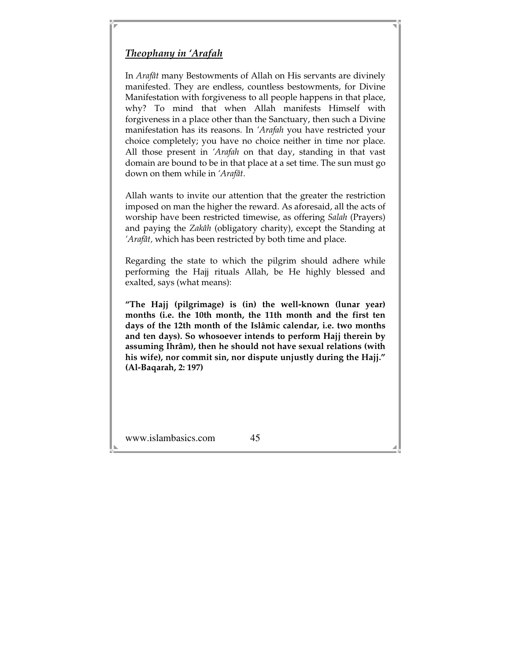# *Theophany in 'Arafah*

In *Arafât* many Bestowments of Allah on His servants are divinely manifested. They are endless, countless bestowments, for Divine Manifestation with forgiveness to all people happens in that place, why? To mind that when Allah manifests Himself with forgiveness in a place other than the Sanctuary, then such a Divine manifestation has its reasons. In *'Arafah* you have restricted your choice completely; you have no choice neither in time nor place. All those present in *'Arafah* on that day, standing in that vast domain are bound to be in that place at a set time. The sun must go down on them while in *'Arafât*.

Allah wants to invite our attention that the greater the restriction imposed on man the higher the reward. As aforesaid, all the acts of worship have been restricted timewise, as offering *Salah* (Prayers) and paying the *Zakâh* (obligatory charity), except the Standing at *'Arafât,* which has been restricted by both time and place.

Regarding the state to which the pilgrim should adhere while performing the Hajj rituals Allah, be He highly blessed and exalted, says (what means):

**"The Hajj (pilgrimage) is (in) the well-known (lunar year) months (i.e. the 10th month, the 11th month and the first ten days of the 12th month of the Islâmic calendar, i.e. two months and ten days). So whosoever intends to perform Hajj therein by assuming Ihrâm), then he should not have sexual relations (with his wife), nor commit sin, nor dispute unjustly during the Hajj." (Al-Baqarah, 2: 197)**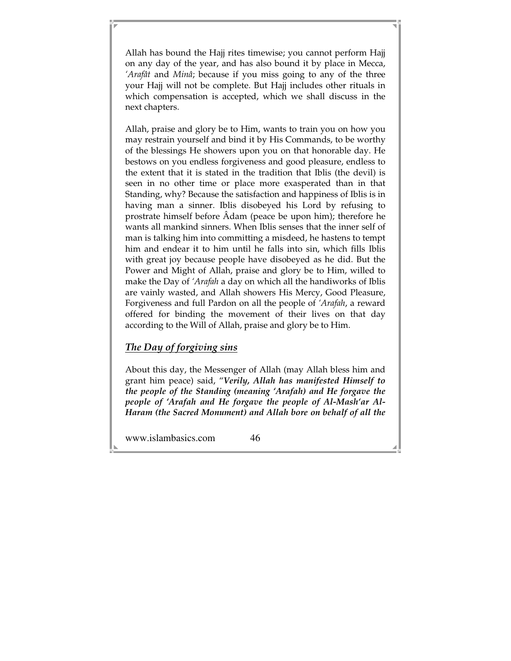Allah has bound the Hajj rites timewise; you cannot perform Hajj on any day of the year, and has also bound it by place in Mecca, *'Arafât* and *Minâ*; because if you miss going to any of the three your Hajj will not be complete. But Hajj includes other rituals in which compensation is accepted, which we shall discuss in the next chapters.

Allah, praise and glory be to Him, wants to train you on how you may restrain yourself and bind it by His Commands, to be worthy of the blessings He showers upon you on that honorable day. He bestows on you endless forgiveness and good pleasure, endless to the extent that it is stated in the tradition that Iblis (the devil) is seen in no other time or place more exasperated than in that Standing, why? Because the satisfaction and happiness of Iblis is in having man a sinner. Iblis disobeyed his Lord by refusing to prostrate himself before Âdam (peace be upon him); therefore he wants all mankind sinners. When Iblis senses that the inner self of man is talking him into committing a misdeed, he hastens to tempt him and endear it to him until he falls into sin, which fills Iblis with great joy because people have disobeyed as he did. But the Power and Might of Allah, praise and glory be to Him, willed to make the Day of *'Arafah* a day on which all the handiworks of Iblis are vainly wasted, and Allah showers His Mercy, Good Pleasure, Forgiveness and full Pardon on all the people of *'Arafah*, a reward offered for binding the movement of their lives on that day according to the Will of Allah, praise and glory be to Him.

# *The Day of forgiving sins*

About this day, the Messenger of Allah (may Allah bless him and grant him peace) said, "*Verily, Allah has manifested Himself to the people of the Standing (meaning 'Arafah) and He forgave the people of 'Arafah and He forgave the people of Al-Mash'ar Al-Haram (the Sacred Monument) and Allah bore on behalf of all the*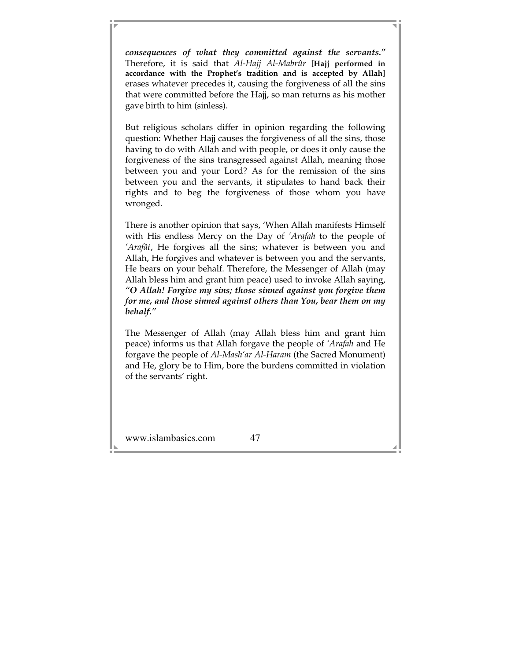*consequences of what they committed against the servants."* Therefore, it is said that *Al-Hajj Al-Mabrûr* **[Hajj performed in accordance with the Prophet's tradition and is accepted by Allah]** erases whatever precedes it, causing the forgiveness of all the sins that were committed before the Hajj, so man returns as his mother gave birth to him (sinless).

But religious scholars differ in opinion regarding the following question: Whether Hajj causes the forgiveness of all the sins, those having to do with Allah and with people, or does it only cause the forgiveness of the sins transgressed against Allah, meaning those between you and your Lord? As for the remission of the sins between you and the servants, it stipulates to hand back their rights and to beg the forgiveness of those whom you have wronged.

There is another opinion that says, 'When Allah manifests Himself with His endless Mercy on the Day of *'Arafah* to the people of *'Arafât*, He forgives all the sins; whatever is between you and Allah, He forgives and whatever is between you and the servants, He bears on your behalf. Therefore, the Messenger of Allah (may Allah bless him and grant him peace) used to invoke Allah saying, *"O Allah! Forgive my sins; those sinned against you forgive them for me, and those sinned against others than You, bear them on my behalf."* 

The Messenger of Allah (may Allah bless him and grant him peace) informs us that Allah forgave the people of *'Arafah* and He forgave the people of *Al-Mash'ar Al-Haram* (the Sacred Monument) and He, glory be to Him, bore the burdens committed in violation of the servants' right.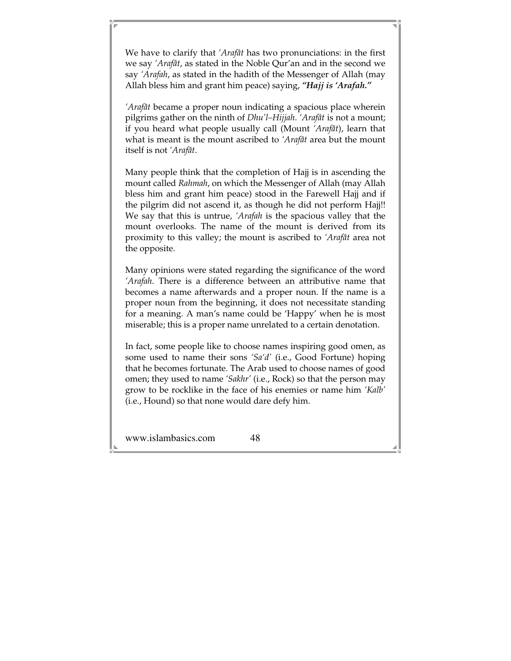We have to clarify that *'Arafât* has two pronunciations: in the first we say *'Arafât*, as stated in the Noble Qur'an and in the second we say *'Arafah*, as stated in the hadith of the Messenger of Allah (may Allah bless him and grant him peace) saying, *"Hajj is 'Arafah."* 

*'Arafât* became a proper noun indicating a spacious place wherein pilgrims gather on the ninth of *Dhu'l–Hijjah*. *'Arafât* is not a mount; if you heard what people usually call (Mount *'Arafât*), learn that what is meant is the mount ascribed to *'Arafât* area but the mount itself is not *'Arafât*.

Many people think that the completion of Hajj is in ascending the mount called *Rahmah*, on which the Messenger of Allah (may Allah bless him and grant him peace) stood in the Farewell Hajj and if the pilgrim did not ascend it, as though he did not perform Hajj!! We say that this is untrue, *'Arafah* is the spacious valley that the mount overlooks. The name of the mount is derived from its proximity to this valley; the mount is ascribed to *'Arafât* area not the opposite.

Many opinions were stated regarding the significance of the word *'Arafah*. There is a difference between an attributive name that becomes a name afterwards and a proper noun. If the name is a proper noun from the beginning, it does not necessitate standing for a meaning. A man's name could be 'Happy' when he is most miserable; this is a proper name unrelated to a certain denotation.

In fact, some people like to choose names inspiring good omen, as some used to name their sons *'Sa'd'* (i.e., Good Fortune) hoping that he becomes fortunate. The Arab used to choose names of good omen; they used to name *'Sakhr'* (i.e., Rock) so that the person may grow to be rocklike in the face of his enemies or name him *'Kalb'*  (i.e., Hound) so that none would dare defy him.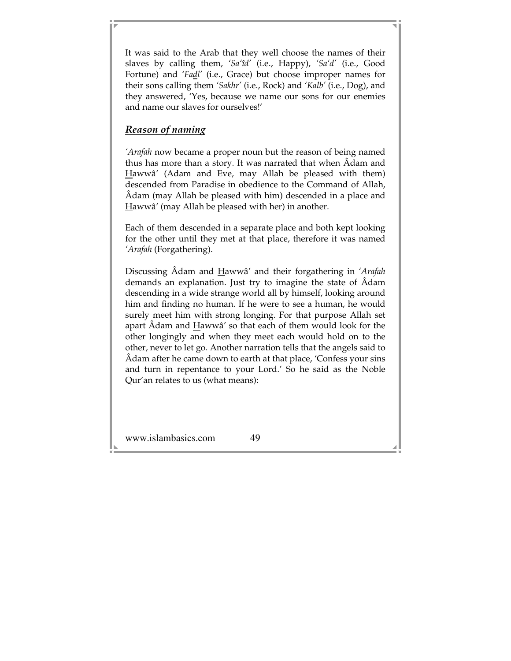It was said to the Arab that they well choose the names of their slaves by calling them, *'Sa'îd'* (i.e., Happy), *'Sa'd'* (i.e., Good Fortune) and *'Fadl'* (i.e., Grace) but choose improper names for their sons calling them *'Sakhr'* (i.e., Rock) and *'Kalb'* (i.e., Dog), and they answered, 'Yes, because we name our sons for our enemies and name our slaves for ourselves!'

## *Reason of naming*

*'Arafah* now became a proper noun but the reason of being named thus has more than a story. It was narrated that when Âdam and Hawwâ' (Adam and Eve, may Allah be pleased with them) descended from Paradise in obedience to the Command of Allah, Âdam (may Allah be pleased with him) descended in a place and Hawwâ' (may Allah be pleased with her) in another.

Each of them descended in a separate place and both kept looking for the other until they met at that place, therefore it was named *'Arafah* (Forgathering).

Discussing Âdam and Hawwâ' and their forgathering in *'Arafah*  demands an explanation. Just try to imagine the state of Âdam descending in a wide strange world all by himself, looking around him and finding no human. If he were to see a human, he would surely meet him with strong longing. For that purpose Allah set apart Âdam and Hawwâ' so that each of them would look for the other longingly and when they meet each would hold on to the other, never to let go. Another narration tells that the angels said to Âdam after he came down to earth at that place, 'Confess your sins and turn in repentance to your Lord.' So he said as the Noble Qur'an relates to us (what means):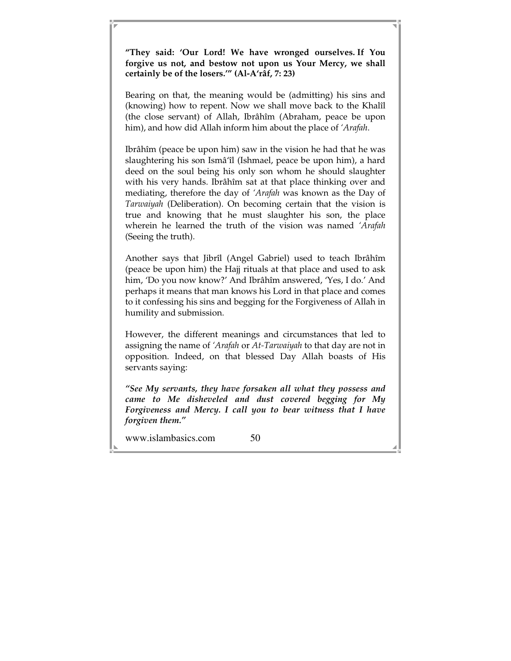**"They said: 'Our Lord! We have wronged ourselves. If You forgive us not, and bestow not upon us Your Mercy, we shall certainly be of the losers.'" (Al-A'râf, 7: 23)** 

Bearing on that, the meaning would be (admitting) his sins and (knowing) how to repent. Now we shall move back to the Khalîl (the close servant) of Allah, Ibrâhîm (Abraham, peace be upon him), and how did Allah inform him about the place of *'Arafah*.

Ibrâhîm (peace be upon him) saw in the vision he had that he was slaughtering his son Ismâ'îl (Ishmael, peace be upon him), a hard deed on the soul being his only son whom he should slaughter with his very hands. Ibrâhîm sat at that place thinking over and mediating, therefore the day of *'Arafah* was known as the Day of *Tarwaiyah* (Deliberation). On becoming certain that the vision is true and knowing that he must slaughter his son, the place wherein he learned the truth of the vision was named *'Arafah* (Seeing the truth).

Another says that Jibrîl (Angel Gabriel) used to teach Ibrâhîm (peace be upon him) the Hajj rituals at that place and used to ask him, 'Do you now know?' And Ibrâhîm answered, 'Yes, I do.' And perhaps it means that man knows his Lord in that place and comes to it confessing his sins and begging for the Forgiveness of Allah in humility and submission.

However, the different meanings and circumstances that led to assigning the name of *'Arafah* or *At-Tarwaiyah* to that day are not in opposition. Indeed, on that blessed Day Allah boasts of His servants saying:

*"See My servants, they have forsaken all what they possess and came to Me disheveled and dust covered begging for My Forgiveness and Mercy. I call you to bear witness that I have forgiven them."*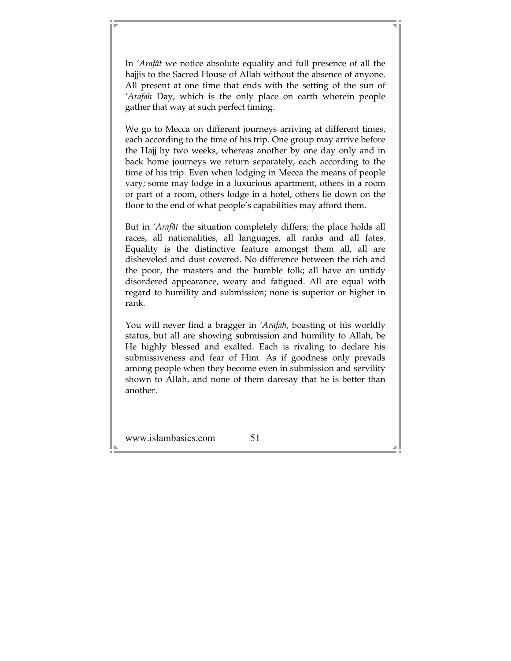In *'Arafât* we notice absolute equality and full presence of all the hajjis to the Sacred House of Allah without the absence of anyone. All present at one time that ends with the setting of the sun of *'Arafah* Day, which is the only place on earth wherein people gather that way at such perfect timing.

We go to Mecca on different journeys arriving at different times, each according to the time of his trip. One group may arrive before the Hajj by two weeks, whereas another by one day only and in back home journeys we return separately, each according to the time of his trip. Even when lodging in Mecca the means of people vary; some may lodge in a luxurious apartment, others in a room or part of a room, others lodge in a hotel, others lie down on the floor to the end of what people's capabilities may afford them.

But in *'Arafât* the situation completely differs; the place holds all races, all nationalities, all languages, all ranks and all fates. Equality is the distinctive feature amongst them all, all are disheveled and dust covered. No difference between the rich and the poor, the masters and the humble folk; all have an untidy disordered appearance, weary and fatigued. All are equal with regard to humility and submission; none is superior or higher in rank.

You will never find a bragger in *'Arafah*, boasting of his worldly status, but all are showing submission and humility to Allah, be He highly blessed and exalted. Each is rivaling to declare his submissiveness and fear of Him. As if goodness only prevails among people when they become even in submission and servility shown to Allah, and none of them daresay that he is better than another.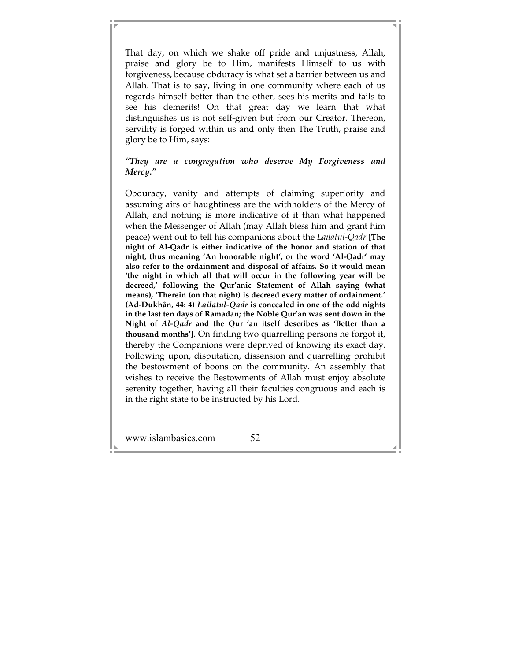That day, on which we shake off pride and unjustness, Allah, praise and glory be to Him, manifests Himself to us with forgiveness, because obduracy is what set a barrier between us and Allah. That is to say, living in one community where each of us regards himself better than the other, sees his merits and fails to see his demerits! On that great day we learn that what distinguishes us is not self-given but from our Creator. Thereon, servility is forged within us and only then The Truth, praise and glory be to Him, says:

### *"They are a congregation who deserve My Forgiveness and Mercy."*

Obduracy, vanity and attempts of claiming superiority and assuming airs of haughtiness are the withholders of the Mercy of Allah, and nothing is more indicative of it than what happened when the Messenger of Allah (may Allah bless him and grant him peace) went out to tell his companions about the *Lailatul-Qadr* **[The night of Al-Qadr is either indicative of the honor and station of that night, thus meaning 'An honorable night', or the word 'Al-Qadr' may also refer to the ordainment and disposal of affairs. So it would mean 'the night in which all that will occur in the following year will be decreed,' following the Qur'anic Statement of Allah saying (what means), 'Therein (on that night) is decreed every matter of ordainment.' (Ad-Dukhân, 44: 4)** *Lailatul-Qadr* **is concealed in one of the odd nights in the last ten days of Ramadan; the Noble Qur'an was sent down in the Night of** *Al-Qadr* **and the Qur 'an itself describes as 'Better than a thousand months']**. On finding two quarrelling persons he forgot it, thereby the Companions were deprived of knowing its exact day. Following upon, disputation, dissension and quarrelling prohibit the bestowment of boons on the community. An assembly that wishes to receive the Bestowments of Allah must enjoy absolute serenity together, having all their faculties congruous and each is in the right state to be instructed by his Lord.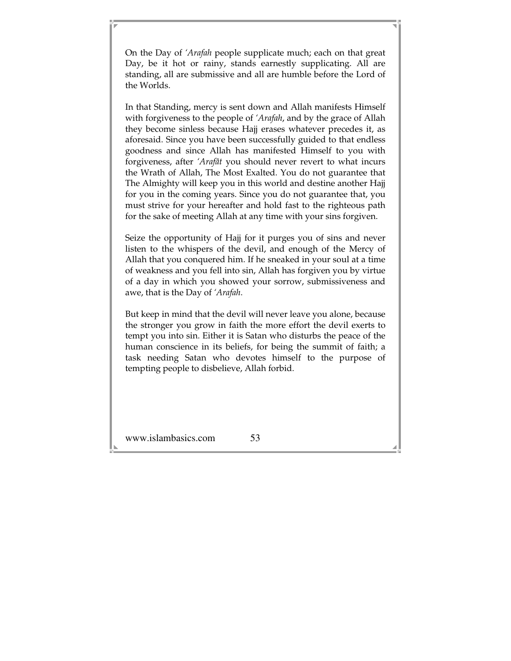On the Day of *'Arafah* people supplicate much; each on that great Day, be it hot or rainy, stands earnestly supplicating. All are standing, all are submissive and all are humble before the Lord of the Worlds.

In that Standing, mercy is sent down and Allah manifests Himself with forgiveness to the people of *'Arafah*, and by the grace of Allah they become sinless because Hajj erases whatever precedes it, as aforesaid. Since you have been successfully guided to that endless goodness and since Allah has manifested Himself to you with forgiveness, after *'Arafât* you should never revert to what incurs the Wrath of Allah, The Most Exalted. You do not guarantee that The Almighty will keep you in this world and destine another Hajj for you in the coming years. Since you do not guarantee that, you must strive for your hereafter and hold fast to the righteous path for the sake of meeting Allah at any time with your sins forgiven.

Seize the opportunity of Hajj for it purges you of sins and never listen to the whispers of the devil, and enough of the Mercy of Allah that you conquered him. If he sneaked in your soul at a time of weakness and you fell into sin, Allah has forgiven you by virtue of a day in which you showed your sorrow, submissiveness and awe, that is the Day of *'Arafah*.

But keep in mind that the devil will never leave you alone, because the stronger you grow in faith the more effort the devil exerts to tempt you into sin. Either it is Satan who disturbs the peace of the human conscience in its beliefs, for being the summit of faith; a task needing Satan who devotes himself to the purpose of tempting people to disbelieve, Allah forbid.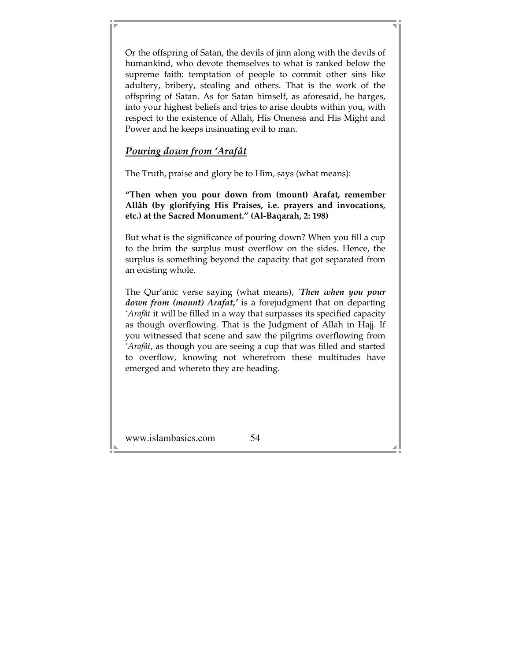Or the offspring of Satan, the devils of jinn along with the devils of humankind, who devote themselves to what is ranked below the supreme faith: temptation of people to commit other sins like adultery, bribery, stealing and others. That is the work of the offspring of Satan. As for Satan himself, as aforesaid, he barges, into your highest beliefs and tries to arise doubts within you, with respect to the existence of Allah, His Oneness and His Might and Power and he keeps insinuating evil to man.

## *Pouring down from 'Arafât*

The Truth, praise and glory be to Him, says (what means):

**"Then when you pour down from (mount) Arafat***,* **remember Allâh (by glorifying His Praises, i.e. prayers and invocations, etc.) at the Sacred Monument." (Al-Baqarah, 2: 198)** 

But what is the significance of pouring down? When you fill a cup to the brim the surplus must overflow on the sides. Hence, the surplus is something beyond the capacity that got separated from an existing whole.

The Qur'anic verse saying (what means), *'Then when you pour down from (mount) Arafat,'* is a forejudgment that on departing *'Arafât* it will be filled in a way that surpasses its specified capacity as though overflowing. That is the Judgment of Allah in Hajj. If you witnessed that scene and saw the pilgrims overflowing from *'Arafât*, as though you are seeing a cup that was filled and started to overflow, knowing not wherefrom these multitudes have emerged and whereto they are heading.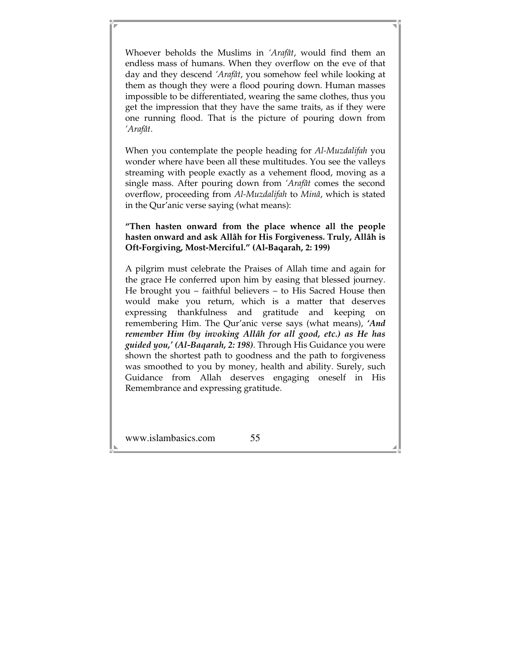Whoever beholds the Muslims in *'Arafât*, would find them an endless mass of humans. When they overflow on the eve of that day and they descend *'Arafât*, you somehow feel while looking at them as though they were a flood pouring down. Human masses impossible to be differentiated, wearing the same clothes, thus you get the impression that they have the same traits, as if they were one running flood. That is the picture of pouring down from *'Arafât*.

When you contemplate the people heading for *Al-Muzdalifah* you wonder where have been all these multitudes. You see the valleys streaming with people exactly as a vehement flood, moving as a single mass. After pouring down from *'Arafât* comes the second overflow, proceeding from *Al-Muzdalifah* to *Minâ*, which is stated in the Qur'anic verse saying (what means):

#### **"Then hasten onward from the place whence all the people hasten onward and ask Allâh for His Forgiveness. Truly, Allâh is Oft-Forgiving, Most-Merciful." (Al-Baqarah, 2: 199)**

A pilgrim must celebrate the Praises of Allah time and again for the grace He conferred upon him by easing that blessed journey. He brought you – faithful believers – to His Sacred House then would make you return, which is a matter that deserves expressing thankfulness and gratitude and keeping on remembering Him. The Qur'anic verse says (what means), *'And remember Him (by invoking Allâh for all good, etc.) as He has guided you,' (Al-Baqarah, 2: 198)*. Through His Guidance you were shown the shortest path to goodness and the path to forgiveness was smoothed to you by money, health and ability. Surely, such Guidance from Allah deserves engaging oneself in His Remembrance and expressing gratitude.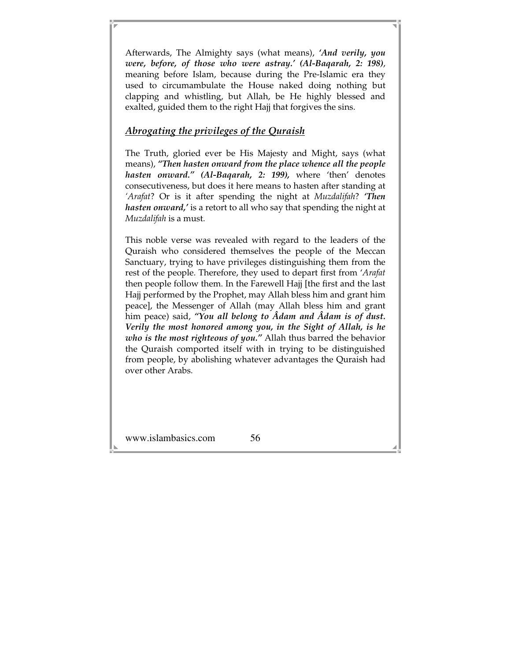Afterwards, The Almighty says (what means), *'And verily, you were, before, of those who were astray.' (Al-Baqarah, 2: 198)*, meaning before Islam, because during the Pre-Islamic era they used to circumambulate the House naked doing nothing but clapping and whistling, but Allah, be He highly blessed and exalted, guided them to the right Hajj that forgives the sins.

## *Abrogating the privileges of the Quraish*

The Truth, gloried ever be His Majesty and Might, says (what means), *"Then hasten onward from the place whence all the people hasten onward." (Al-Baqarah, 2: 199),* where 'then' denotes consecutiveness, but does it here means to hasten after standing at *'Arafat*? Or is it after spending the night at *Muzdalifah*? *'Then hasten onward,'* is a retort to all who say that spending the night at *Muzdalifah* is a must.

This noble verse was revealed with regard to the leaders of the Quraish who considered themselves the people of the Meccan Sanctuary, trying to have privileges distinguishing them from the rest of the people. Therefore, they used to depart first from '*Arafat*  then people follow them. In the Farewell Hajj [the first and the last Hajj performed by the Prophet, may Allah bless him and grant him peace], the Messenger of Allah (may Allah bless him and grant him peace) said, *"You all belong to Âdam and Âdam is of dust. Verily the most honored among you, in the Sight of Allah, is he who is the most righteous of you."* Allah thus barred the behavior the Quraish comported itself with in trying to be distinguished from people, by abolishing whatever advantages the Quraish had over other Arabs.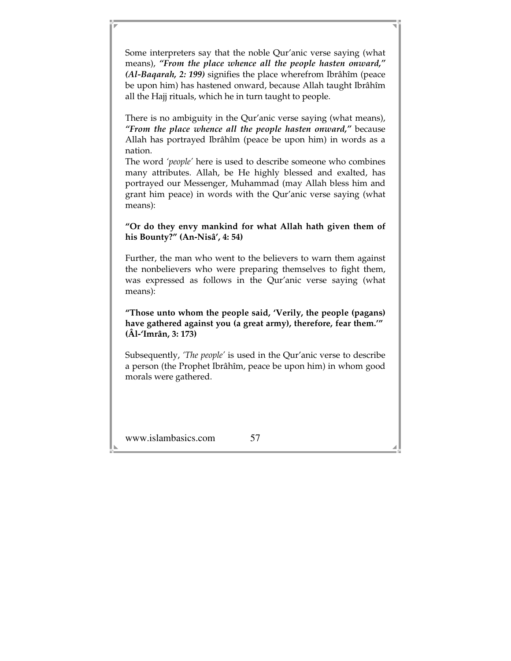Some interpreters say that the noble Qur'anic verse saying (what means), *"From the place whence all the people hasten onward," (Al-Baqarah, 2: 199)* signifies the place wherefrom Ibrâhîm (peace be upon him) has hastened onward, because Allah taught Ibrâhîm all the Hajj rituals, which he in turn taught to people.

There is no ambiguity in the Qur'anic verse saying (what means), *"From the place whence all the people hasten onward,"* because Allah has portrayed Ibrâhîm (peace be upon him) in words as a nation.

The word *'people'* here is used to describe someone who combines many attributes. Allah, be He highly blessed and exalted, has portrayed our Messenger, Muhammad (may Allah bless him and grant him peace) in words with the Qur'anic verse saying (what means):

#### **"Or do they envy mankind for what Allah hath given them of his Bounty?" (An-Nisâ', 4: 54)**

Further, the man who went to the believers to warn them against the nonbelievers who were preparing themselves to fight them, was expressed as follows in the Qur'anic verse saying (what means):

**"Those unto whom the people said, 'Verily, the people (pagans) have gathered against you (a great army), therefore, fear them.'" (Âl-'Imrân, 3: 173)** 

Subsequently, *'The people'* is used in the Qur'anic verse to describe a person (the Prophet Ibrâhîm, peace be upon him) in whom good morals were gathered.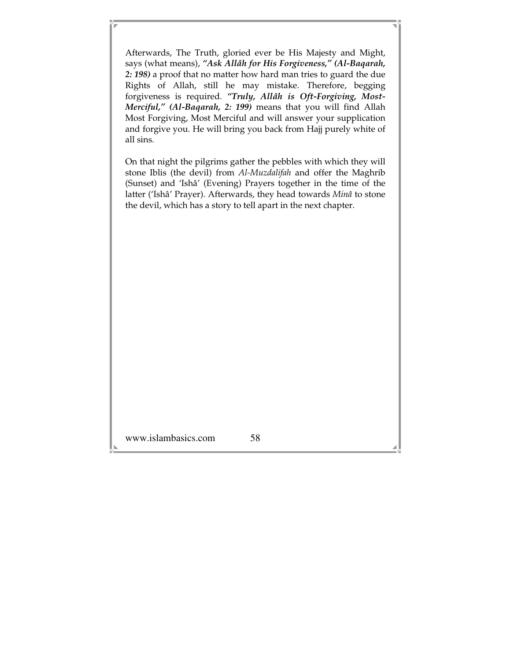Afterwards, The Truth, gloried ever be His Majesty and Might, says (what means), *"Ask Allâh for His Forgiveness," (Al-Baqarah, 2: 198)* a proof that no matter how hard man tries to guard the due Rights of Allah, still he may mistake. Therefore, begging forgiveness is required. *"Truly, Allâh is Oft-Forgiving, Most-Merciful," (Al-Baqarah, 2: 199)* means that you will find Allah Most Forgiving, Most Merciful and will answer your supplication and forgive you. He will bring you back from Hajj purely white of all sins.

On that night the pilgrims gather the pebbles with which they will stone Iblis (the devil) from *Al-Muzdalifah* and offer the Maghrib (Sunset) and 'Ishâ' (Evening) Prayers together in the time of the latter ('Ishâ' Prayer). Afterwards, they head towards *Minâ* to stone the devil, which has a story to tell apart in the next chapter.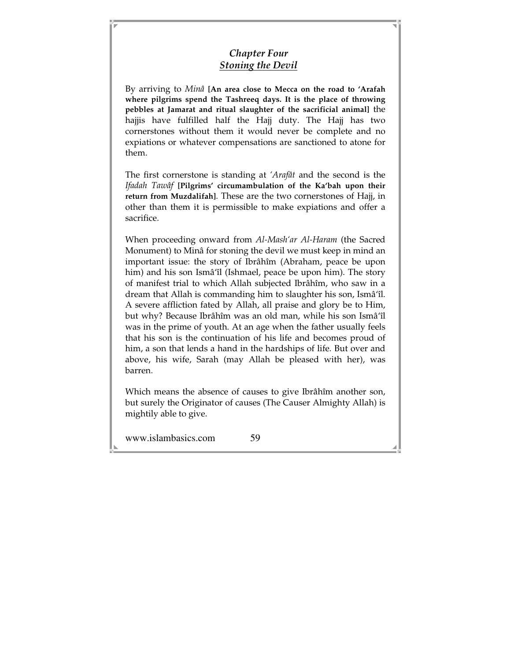## *Chapter Four Stoning the Devil*

By arriving to *Minâ* **[An area close to Mecca on the road to 'Arafah where pilgrims spend the Tashreeq days. It is the place of throwing pebbles at Jamarat and ritual slaughter of the sacrificial animal]** the hajjis have fulfilled half the Hajj duty. The Hajj has two cornerstones without them it would never be complete and no expiations or whatever compensations are sanctioned to atone for them.

The first cornerstone is standing at *'Arafât* and the second is the *Ifadah Tawâf* **[Pilgrims' circumambulation of the Ka'bah upon their return from Muzdalifah]**. These are the two cornerstones of Hajj, in other than them it is permissible to make expiations and offer a sacrifice.

When proceeding onward from *Al-Mash'ar Al-Haram* (the Sacred Monument) to Minâ for stoning the devil we must keep in mind an important issue: the story of Ibrâhîm (Abraham, peace be upon him) and his son Ismâ'îl (Ishmael, peace be upon him). The story of manifest trial to which Allah subjected Ibrâhîm, who saw in a dream that Allah is commanding him to slaughter his son, Ismâ'îl. A severe affliction fated by Allah, all praise and glory be to Him, but why? Because Ibrâhîm was an old man, while his son Ismâ'îl was in the prime of youth. At an age when the father usually feels that his son is the continuation of his life and becomes proud of him, a son that lends a hand in the hardships of life. But over and above, his wife, Sarah (may Allah be pleased with her), was barren.

Which means the absence of causes to give Ibrâhîm another son, but surely the Originator of causes (The Causer Almighty Allah) is mightily able to give.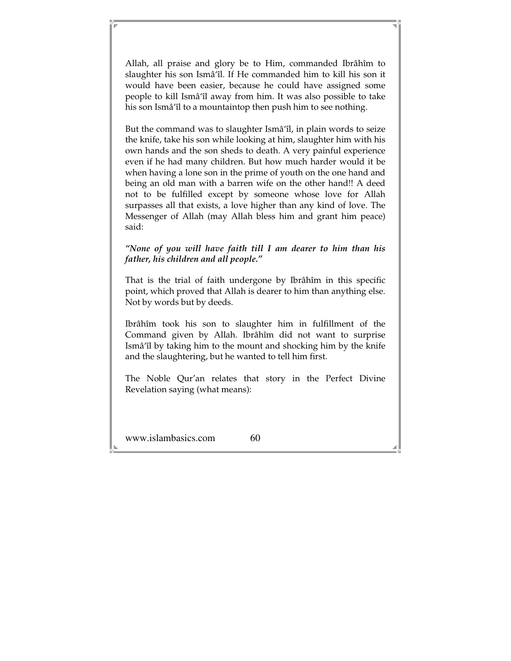Allah, all praise and glory be to Him, commanded Ibrâhîm to slaughter his son Ismâ'îl. If He commanded him to kill his son it would have been easier, because he could have assigned some people to kill Ismâ'îl away from him. It was also possible to take his son Ismâ'îl to a mountaintop then push him to see nothing.

But the command was to slaughter Ismâ'îl, in plain words to seize the knife, take his son while looking at him, slaughter him with his own hands and the son sheds to death. A very painful experience even if he had many children. But how much harder would it be when having a lone son in the prime of youth on the one hand and being an old man with a barren wife on the other hand!! A deed not to be fulfilled except by someone whose love for Allah surpasses all that exists, a love higher than any kind of love. The Messenger of Allah (may Allah bless him and grant him peace) said:

*"None of you will have faith till I am dearer to him than his father, his children and all people."* 

That is the trial of faith undergone by Ibrâhîm in this specific point, which proved that Allah is dearer to him than anything else. Not by words but by deeds.

Ibrâhîm took his son to slaughter him in fulfillment of the Command given by Allah. Ibrâhîm did not want to surprise Ismâ'îl by taking him to the mount and shocking him by the knife and the slaughtering, but he wanted to tell him first.

The Noble Qur'an relates that story in the Perfect Divine Revelation saying (what means):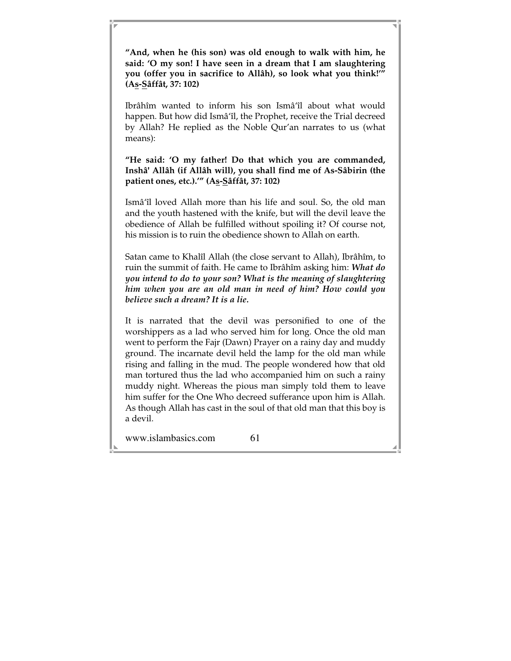**"And, when he (his son) was old enough to walk with him, he said: 'O my son! I have seen in a dream that I am slaughtering you (offer you in sacrifice to Allâh), so look what you think!'" (As-Sâffât, 37: 102)** 

Ibrâhîm wanted to inform his son Ismâ'îl about what would happen. But how did Ismâ'îl, the Prophet, receive the Trial decreed by Allah? He replied as the Noble Qur'an narrates to us (what means):

**"He said: 'O my father! Do that which you are commanded, Inshâ' Allâh (if Allâh will), you shall find me of As-Sâbirin (the patient ones, etc.).'" (As-Sâffât, 37: 102)** 

Ismâ'îl loved Allah more than his life and soul. So, the old man and the youth hastened with the knife, but will the devil leave the obedience of Allah be fulfilled without spoiling it? Of course not, his mission is to ruin the obedience shown to Allah on earth.

Satan came to Khalîl Allah (the close servant to Allah), Ibrâhîm, to ruin the summit of faith. He came to Ibrâhîm asking him: *What do you intend to do to your son? What is the meaning of slaughtering him when you are an old man in need of him? How could you believe such a dream? It is a lie.* 

It is narrated that the devil was personified to one of the worshippers as a lad who served him for long. Once the old man went to perform the Fajr (Dawn) Prayer on a rainy day and muddy ground. The incarnate devil held the lamp for the old man while rising and falling in the mud. The people wondered how that old man tortured thus the lad who accompanied him on such a rainy muddy night. Whereas the pious man simply told them to leave him suffer for the One Who decreed sufferance upon him is Allah. As though Allah has cast in the soul of that old man that this boy is a devil.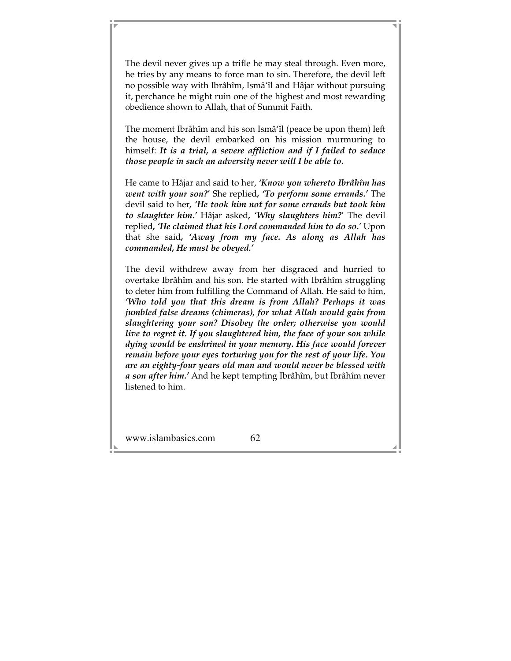The devil never gives up a trifle he may steal through. Even more, he tries by any means to force man to sin. Therefore, the devil left no possible way with Ibrâhîm, Ismâ'îl and Hâjar without pursuing it, perchance he might ruin one of the highest and most rewarding obedience shown to Allah, that of Summit Faith.

The moment Ibrâhîm and his son Ismâ'îl (peace be upon them) left the house, the devil embarked on his mission murmuring to himself: *It is a trial, a severe affliction and if I failed to seduce those people in such an adversity never will I be able to.* 

He came to Hâjar and said to her, *'Know you whereto Ibrâhîm has went with your son?*' She replied*, 'To perform some errands.'* The devil said to her*, 'He took him not for some errands but took him to slaughter him.'* Hâjar asked*, 'Why slaughters him?*' The devil replied*, 'He claimed that his Lord commanded him to do so.*' Upon that she said*, 'Away from my face. As along as Allah has commanded, He must be obeyed.'* 

The devil withdrew away from her disgraced and hurried to overtake Ibrâhîm and his son. He started with Ibrâhîm struggling to deter him from fulfilling the Command of Allah. He said to him, *'Who told you that this dream is from Allah? Perhaps it was jumbled false dreams (chimeras), for what Allah would gain from slaughtering your son? Disobey the order; otherwise you would live to regret it. If you slaughtered him, the face of your son while dying would be enshrined in your memory. His face would forever remain before your eyes torturing you for the rest of your life. You are an eighty-four years old man and would never be blessed with a son after him.'* And he kept tempting Ibrâhîm, but Ibrâhîm never listened to him.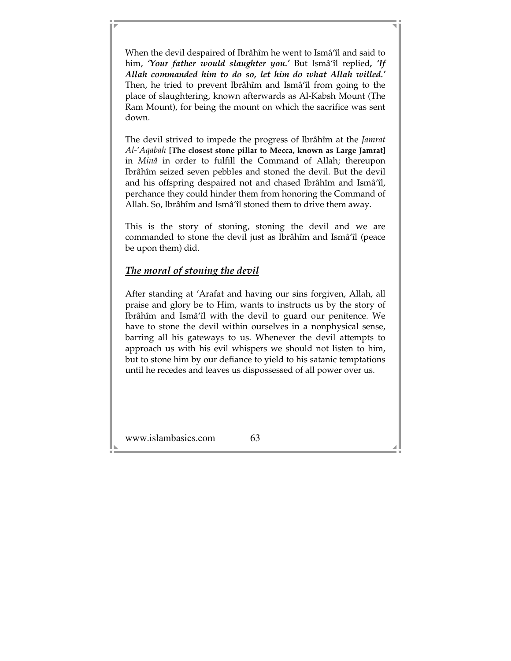When the devil despaired of Ibrâhîm he went to Ismâ'îl and said to him, *'Your father would slaughter you.'* But Ismâ'îl replied*, 'If Allah commanded him to do so, let him do what Allah willed.'*  Then, he tried to prevent Ibrâhîm and Ismâ'îl from going to the place of slaughtering, known afterwards as Al-Kabsh Mount (The Ram Mount), for being the mount on which the sacrifice was sent down.

The devil strived to impede the progress of Ibrâhîm at the *Jamrat Al-'Aqabah* **[The closest stone pillar to Mecca, known as Large Jamrat]** in *Minâ* in order to fulfill the Command of Allah; thereupon Ibrâhîm seized seven pebbles and stoned the devil. But the devil and his offspring despaired not and chased Ibrâhîm and Ismâ'îl, perchance they could hinder them from honoring the Command of Allah. So, Ibrâhîm and Ismâ'îl stoned them to drive them away.

This is the story of stoning, stoning the devil and we are commanded to stone the devil just as Ibrâhîm and Ismâ'îl (peace be upon them) did.

### *The moral of stoning the devil*

After standing at 'Arafat and having our sins forgiven, Allah, all praise and glory be to Him, wants to instructs us by the story of Ibrâhîm and Ismâ'îl with the devil to guard our penitence. We have to stone the devil within ourselves in a nonphysical sense, barring all his gateways to us. Whenever the devil attempts to approach us with his evil whispers we should not listen to him, but to stone him by our defiance to yield to his satanic temptations until he recedes and leaves us dispossessed of all power over us.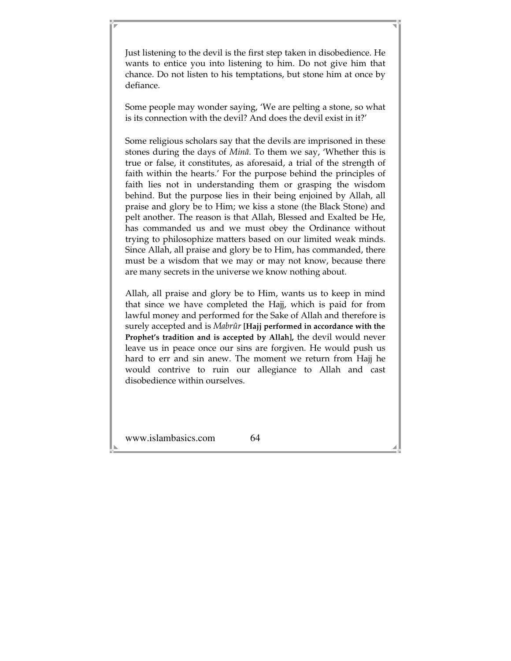Just listening to the devil is the first step taken in disobedience. He wants to entice you into listening to him. Do not give him that chance. Do not listen to his temptations, but stone him at once by defiance.

Some people may wonder saying, 'We are pelting a stone, so what is its connection with the devil? And does the devil exist in it?'

Some religious scholars say that the devils are imprisoned in these stones during the days of *Minâ*. To them we say, 'Whether this is true or false, it constitutes, as aforesaid, a trial of the strength of faith within the hearts.' For the purpose behind the principles of faith lies not in understanding them or grasping the wisdom behind. But the purpose lies in their being enjoined by Allah, all praise and glory be to Him; we kiss a stone (the Black Stone) and pelt another. The reason is that Allah, Blessed and Exalted be He, has commanded us and we must obey the Ordinance without trying to philosophize matters based on our limited weak minds. Since Allah, all praise and glory be to Him, has commanded, there must be a wisdom that we may or may not know, because there are many secrets in the universe we know nothing about.

Allah, all praise and glory be to Him, wants us to keep in mind that since we have completed the Hajj, which is paid for from lawful money and performed for the Sake of Allah and therefore is surely accepted and is *Mabrûr* **[Hajj performed in accordance with the Prophet's tradition and is accepted by Allah],** the devil would never leave us in peace once our sins are forgiven. He would push us hard to err and sin anew. The moment we return from Hajj he would contrive to ruin our allegiance to Allah and cast disobedience within ourselves.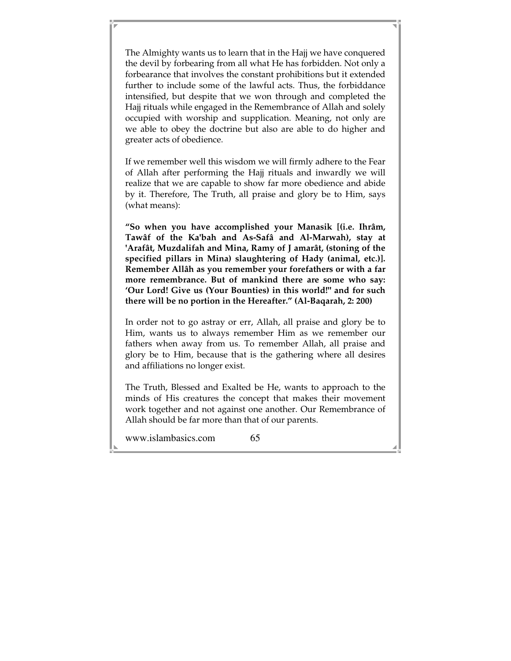The Almighty wants us to learn that in the Hajj we have conquered the devil by forbearing from all what He has forbidden. Not only a forbearance that involves the constant prohibitions but it extended further to include some of the lawful acts. Thus, the forbiddance intensified, but despite that we won through and completed the Hajj rituals while engaged in the Remembrance of Allah and solely occupied with worship and supplication. Meaning, not only are we able to obey the doctrine but also are able to do higher and greater acts of obedience.

If we remember well this wisdom we will firmly adhere to the Fear of Allah after performing the Hajj rituals and inwardly we will realize that we are capable to show far more obedience and abide by it. Therefore, The Truth, all praise and glory be to Him, says (what means):

**"So when you have accomplished your Manasik [(i.e. Ihrâm, Tawâf of the Ka'bah and As-Safâ and Al-Marwah), stay at 'Arafât, Muzdalifah and Mina, Ramy of J amarât, (stoning of the specified pillars in Mina) slaughtering of Hady (animal, etc.)]. Remember Allâh as you remember your forefathers or with a far more remembrance. But of mankind there are some who say: 'Our Lord! Give us (Your Bounties) in this world!" and for such there will be no portion in the Hereafter." (Al-Baqarah, 2: 200)** 

In order not to go astray or err, Allah, all praise and glory be to Him, wants us to always remember Him as we remember our fathers when away from us. To remember Allah, all praise and glory be to Him, because that is the gathering where all desires and affiliations no longer exist.

The Truth, Blessed and Exalted be He, wants to approach to the minds of His creatures the concept that makes their movement work together and not against one another. Our Remembrance of Allah should be far more than that of our parents.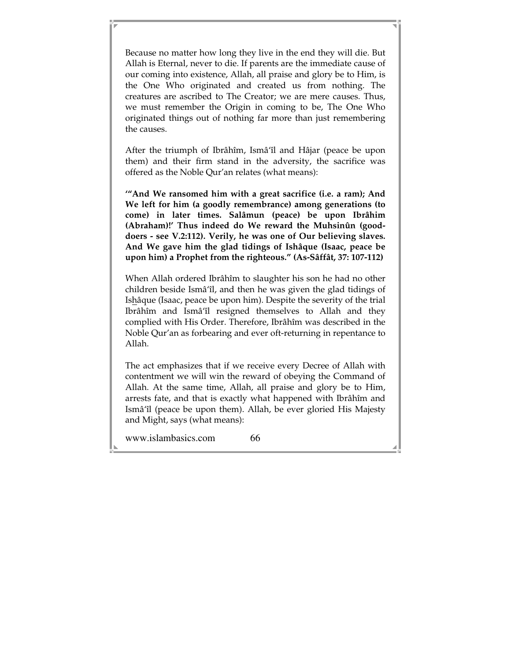Because no matter how long they live in the end they will die. But Allah is Eternal, never to die. If parents are the immediate cause of our coming into existence, Allah, all praise and glory be to Him, is the One Who originated and created us from nothing. The creatures are ascribed to The Creator; we are mere causes. Thus, we must remember the Origin in coming to be, The One Who originated things out of nothing far more than just remembering the causes.

After the triumph of Ibrâhîm, Ismâ'îl and Hâjar (peace be upon them) and their firm stand in the adversity, the sacrifice was offered as the Noble Qur'an relates (what means):

**'"And We ransomed him with a great sacrifice (i.e. a ram); And We left for him (a goodly remembrance) among generations (to come) in later times. Salâmun (peace) be upon Ibrâhim (Abraham)!' Thus indeed do We reward the Muhsinûn (gooddoers - see V.2:112). Verily, he was one of Our believing slaves. And We gave him the glad tidings of Ishâque (Isaac, peace be upon him) a Prophet from the righteous." (As-Sâffât, 37: 107-112)** 

When Allah ordered Ibrâhîm to slaughter his son he had no other children beside Ismâ'îl, and then he was given the glad tidings of Ishâque (Isaac, peace be upon him). Despite the severity of the trial Ibrâhîm and Ismâ'îl resigned themselves to Allah and they complied with His Order. Therefore, Ibrâhîm was described in the Noble Qur'an as forbearing and ever oft-returning in repentance to Allah.

The act emphasizes that if we receive every Decree of Allah with contentment we will win the reward of obeying the Command of Allah. At the same time, Allah, all praise and glory be to Him, arrests fate, and that is exactly what happened with Ibrâhîm and Ismâ'îl (peace be upon them). Allah, be ever gloried His Majesty and Might, says (what means):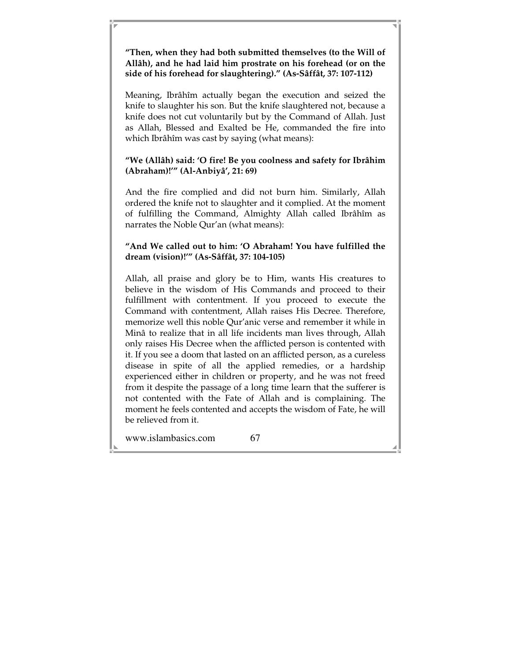#### **"Then, when they had both submitted themselves (to the Will of Allâh), and he had laid him prostrate on his forehead (or on the side of his forehead for slaughtering)." (As-Sâffât, 37: 107-112)**

Meaning, Ibrâhîm actually began the execution and seized the knife to slaughter his son. But the knife slaughtered not, because a knife does not cut voluntarily but by the Command of Allah. Just as Allah, Blessed and Exalted be He, commanded the fire into which Ibrâhîm was cast by saying (what means):

### **"We (Allâh) said: 'O fire! Be you coolness and safety for Ibrâhim (Abraham)!'" (Al-Anbiyâ', 21: 69)**

And the fire complied and did not burn him. Similarly, Allah ordered the knife not to slaughter and it complied. At the moment of fulfilling the Command, Almighty Allah called Ibrâhîm as narrates the Noble Qur'an (what means):

### **"And We called out to him: 'O Abraham! You have fulfilled the dream (vision)!'" (As-Sâffât, 37: 104-105)**

Allah, all praise and glory be to Him, wants His creatures to believe in the wisdom of His Commands and proceed to their fulfillment with contentment. If you proceed to execute the Command with contentment, Allah raises His Decree. Therefore, memorize well this noble Qur'anic verse and remember it while in Minâ to realize that in all life incidents man lives through, Allah only raises His Decree when the afflicted person is contented with it. If you see a doom that lasted on an afflicted person, as a cureless disease in spite of all the applied remedies, or a hardship experienced either in children or property, and he was not freed from it despite the passage of a long time learn that the sufferer is not contented with the Fate of Allah and is complaining. The moment he feels contented and accepts the wisdom of Fate, he will be relieved from it.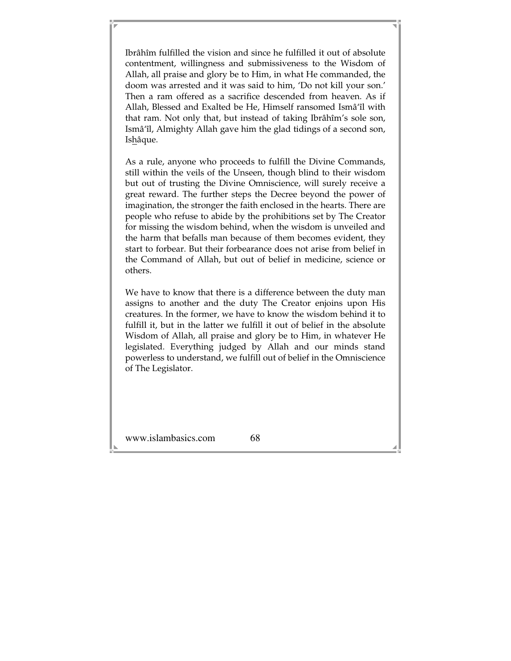Ibrâhîm fulfilled the vision and since he fulfilled it out of absolute contentment, willingness and submissiveness to the Wisdom of Allah, all praise and glory be to Him, in what He commanded, the doom was arrested and it was said to him, 'Do not kill your son.' Then a ram offered as a sacrifice descended from heaven. As if Allah, Blessed and Exalted be He, Himself ransomed Ismâ'îl with that ram. Not only that, but instead of taking Ibrâhîm's sole son, Ismâ'îl, Almighty Allah gave him the glad tidings of a second son, Ishâque.

As a rule, anyone who proceeds to fulfill the Divine Commands, still within the veils of the Unseen, though blind to their wisdom but out of trusting the Divine Omniscience, will surely receive a great reward. The further steps the Decree beyond the power of imagination, the stronger the faith enclosed in the hearts. There are people who refuse to abide by the prohibitions set by The Creator for missing the wisdom behind, when the wisdom is unveiled and the harm that befalls man because of them becomes evident, they start to forbear. But their forbearance does not arise from belief in the Command of Allah, but out of belief in medicine, science or others.

We have to know that there is a difference between the duty man assigns to another and the duty The Creator enjoins upon His creatures. In the former, we have to know the wisdom behind it to fulfill it, but in the latter we fulfill it out of belief in the absolute Wisdom of Allah, all praise and glory be to Him, in whatever He legislated. Everything judged by Allah and our minds stand powerless to understand, we fulfill out of belief in the Omniscience of The Legislator.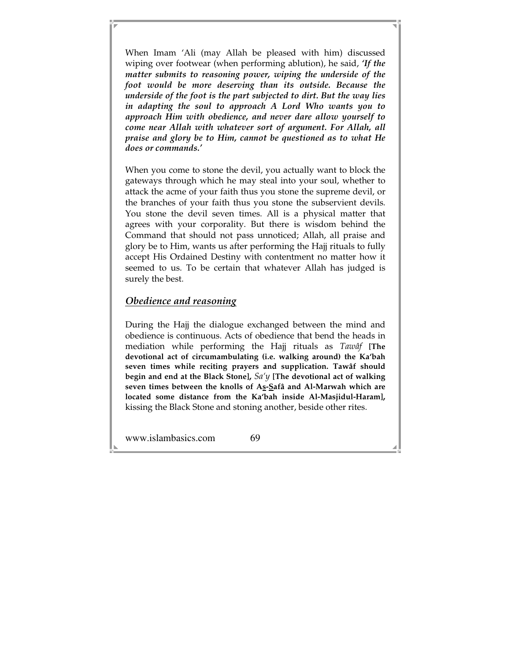When Imam 'Ali (may Allah be pleased with him) discussed wiping over footwear (when performing ablution), he said, *'If the matter submits to reasoning power, wiping the underside of the foot would be more deserving than its outside. Because the underside of the foot is the part subjected to dirt. But the way lies in adapting the soul to approach A Lord Who wants you to approach Him with obedience, and never dare allow yourself to come near Allah with whatever sort of argument. For Allah, all praise and glory be to Him, cannot be questioned as to what He does or commands.'* 

When you come to stone the devil, you actually want to block the gateways through which he may steal into your soul, whether to attack the acme of your faith thus you stone the supreme devil, or the branches of your faith thus you stone the subservient devils. You stone the devil seven times. All is a physical matter that agrees with your corporality. But there is wisdom behind the Command that should not pass unnoticed; Allah, all praise and glory be to Him, wants us after performing the Hajj rituals to fully accept His Ordained Destiny with contentment no matter how it seemed to us. To be certain that whatever Allah has judged is surely the best.

### *Obedience and reasoning*

During the Hajj the dialogue exchanged between the mind and obedience is continuous. Acts of obedience that bend the heads in mediation while performing the Hajj rituals as *Tawâf* **[The devotional act of circumambulating (i.e. walking around) the Ka'bah seven times while reciting prayers and supplication. Tawâf should begin and end at the Black Stone],** *Sa'y* **[The devotional act of walking seven times between the knolls of As-Safâ and Al-Marwah which are located some distance from the Ka'bah inside Al-Masjidul-Haram],** kissing the Black Stone and stoning another, beside other rites.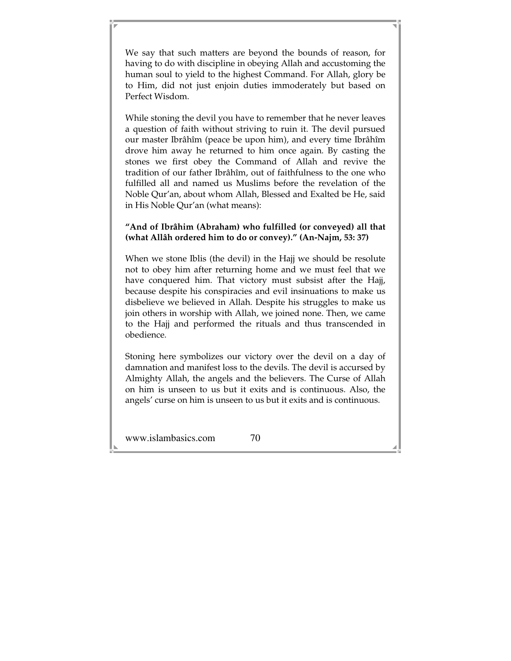We say that such matters are beyond the bounds of reason, for having to do with discipline in obeying Allah and accustoming the human soul to yield to the highest Command. For Allah, glory be to Him, did not just enjoin duties immoderately but based on Perfect Wisdom.

While stoning the devil you have to remember that he never leaves a question of faith without striving to ruin it. The devil pursued our master Ibrâhîm (peace be upon him), and every time Ibrâhîm drove him away he returned to him once again. By casting the stones we first obey the Command of Allah and revive the tradition of our father Ibrâhîm, out of faithfulness to the one who fulfilled all and named us Muslims before the revelation of the Noble Qur'an, about whom Allah, Blessed and Exalted be He, said in His Noble Qur'an (what means):

### **"And of Ibrâhim (Abraham) who fulfilled (or conveyed) all that (what Allâh ordered him to do or convey)." (An-Najm, 53: 37)**

When we stone Iblis (the devil) in the Hajj we should be resolute not to obey him after returning home and we must feel that we have conquered him. That victory must subsist after the Hajj, because despite his conspiracies and evil insinuations to make us disbelieve we believed in Allah. Despite his struggles to make us join others in worship with Allah, we joined none. Then, we came to the Hajj and performed the rituals and thus transcended in obedience.

Stoning here symbolizes our victory over the devil on a day of damnation and manifest loss to the devils. The devil is accursed by Almighty Allah, the angels and the believers. The Curse of Allah on him is unseen to us but it exits and is continuous. Also, the angels' curse on him is unseen to us but it exits and is continuous.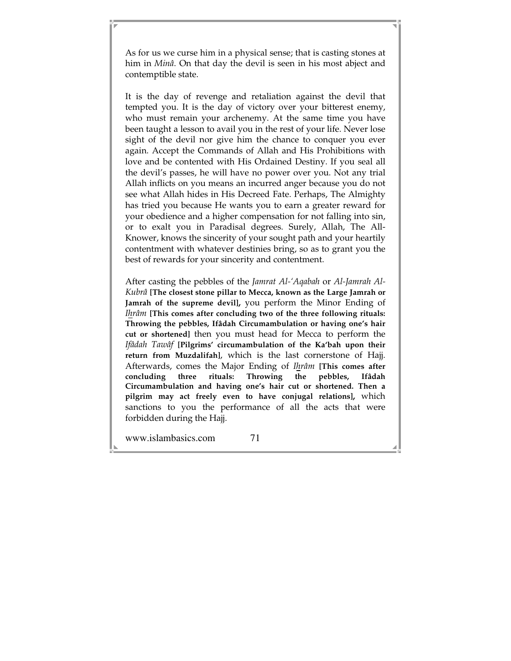As for us we curse him in a physical sense; that is casting stones at him in *Minâ*. On that day the devil is seen in his most abject and contemptible state.

It is the day of revenge and retaliation against the devil that tempted you. It is the day of victory over your bitterest enemy, who must remain your archenemy. At the same time you have been taught a lesson to avail you in the rest of your life. Never lose sight of the devil nor give him the chance to conquer you ever again. Accept the Commands of Allah and His Prohibitions with love and be contented with His Ordained Destiny. If you seal all the devil's passes, he will have no power over you. Not any trial Allah inflicts on you means an incurred anger because you do not see what Allah hides in His Decreed Fate. Perhaps, The Almighty has tried you because He wants you to earn a greater reward for your obedience and a higher compensation for not falling into sin, or to exalt you in Paradisal degrees. Surely, Allah, The All-Knower, knows the sincerity of your sought path and your heartily contentment with whatever destinies bring, so as to grant you the best of rewards for your sincerity and contentment.

After casting the pebbles of the *Jamrat Al-'Aqabah* or *Al-Jamrah Al-Kubrâ* **[The closest stone pillar to Mecca, known as the Large Jamrah or Jamrah of the supreme devil],** you perform the Minor Ending of *Ihrâm* **[This comes after concluding two of the three following rituals: Throwing the pebbles, Ifâdah Circumambulation or having one's hair cut or shortened]** then you must head for Mecca to perform the *Ifâdah Tawâf* **[Pilgrims' circumambulation of the Ka'bah upon their return from Muzdalifah]**, which is the last cornerstone of Hajj. Afterwards, comes the Major Ending of *Ihrâm* **[This comes after concluding three rituals: Throwing the pebbles, Ifâdah Circumambulation and having one's hair cut or shortened. Then a pilgrim may act freely even to have conjugal relations],** which sanctions to you the performance of all the acts that were forbidden during the Hajj.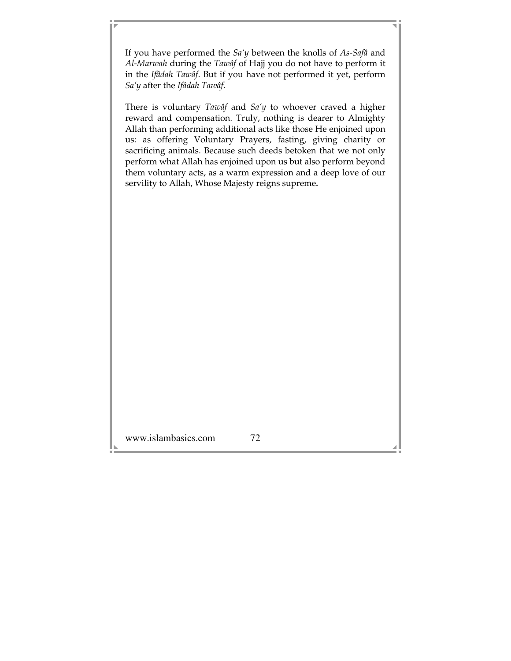If you have performed the *Sa'y* between the knolls of *As-Safâ* and *Al-Marwah* during the *Tawâf* of Hajj you do not have to perform it in the *Ifâdah Tawâf*. But if you have not performed it yet, perform *Sa'y* after the *Ifâdah Tawâf*.

There is voluntary *Tawâf* and *Sa'y* to whoever craved a higher reward and compensation. Truly, nothing is dearer to Almighty Allah than performing additional acts like those He enjoined upon us: as offering Voluntary Prayers, fasting, giving charity or sacrificing animals. Because such deeds betoken that we not only perform what Allah has enjoined upon us but also perform beyond them voluntary acts, as a warm expression and a deep love of our servility to Allah, Whose Majesty reigns supreme*.*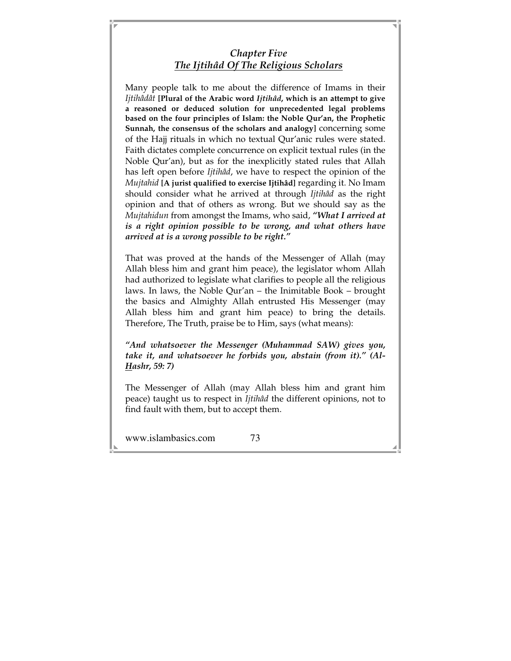# *Chapter Five The Ijtihâd Of The Religious Scholars*

Many people talk to me about the difference of Imams in their *Ijtihâdât* **[Plural of the Arabic word** *Ijtihâd***, which is an attempt to give a reasoned or deduced solution for unprecedented legal problems based on the four principles of Islam: the Noble Qur'an, the Prophetic Sunnah, the consensus of the scholars and analogy]** concerning some of the Hajj rituals in which no textual Qur'anic rules were stated. Faith dictates complete concurrence on explicit textual rules (in the Noble Qur'an), but as for the inexplicitly stated rules that Allah has left open before *Ijtihâd*, we have to respect the opinion of the *Mujtahid* **[A jurist qualified to exercise Ijtihâd]** regarding it. No Imam should consider what he arrived at through *Ijtihâd* as the right opinion and that of others as wrong. But we should say as the *Mujtahidun* from amongst the Imams, who said, *"What I arrived at is a right opinion possible to be wrong, and what others have arrived at is a wrong possible to be right."* 

That was proved at the hands of the Messenger of Allah (may Allah bless him and grant him peace), the legislator whom Allah had authorized to legislate what clarifies to people all the religious laws. In laws, the Noble Qur'an – the Inimitable Book – brought the basics and Almighty Allah entrusted His Messenger (may Allah bless him and grant him peace) to bring the details. Therefore, The Truth, praise be to Him, says (what means):

*"And whatsoever the Messenger (Muhammad SAW) gives you, take it, and whatsoever he forbids you, abstain (from it)." (Al-Hashr, 59: 7)* 

The Messenger of Allah (may Allah bless him and grant him peace) taught us to respect in *Ijtihâd* the different opinions, not to find fault with them, but to accept them.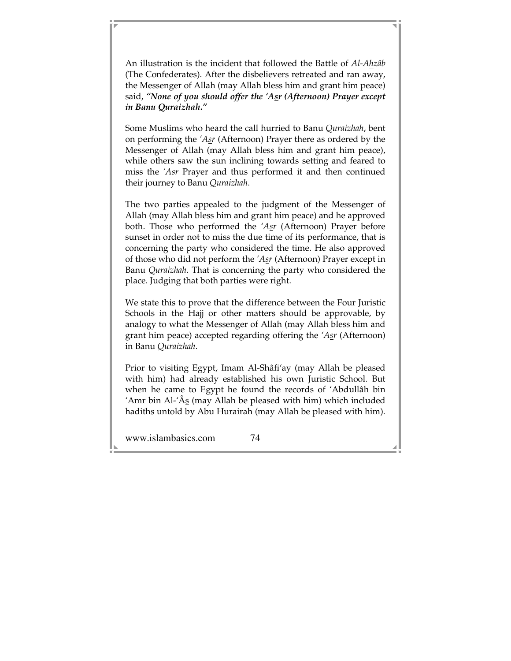An illustration is the incident that followed the Battle of *Al-Ahzâb* (The Confederates). After the disbelievers retreated and ran away, the Messenger of Allah (may Allah bless him and grant him peace) said, *"None of you should offer the 'Asr (Afternoon) Prayer except in Banu Quraizhah."* 

Some Muslims who heard the call hurried to Banu *Quraizhah*, bent on performing the *'Asr* (Afternoon) Prayer there as ordered by the Messenger of Allah (may Allah bless him and grant him peace), while others saw the sun inclining towards setting and feared to miss the *'Asr* Prayer and thus performed it and then continued their journey to Banu *Quraizhah*.

The two parties appealed to the judgment of the Messenger of Allah (may Allah bless him and grant him peace) and he approved both. Those who performed the *'Asr* (Afternoon) Prayer before sunset in order not to miss the due time of its performance, that is concerning the party who considered the time. He also approved of those who did not perform the *'Asr* (Afternoon) Prayer except in Banu *Quraizhah*. That is concerning the party who considered the place. Judging that both parties were right.

We state this to prove that the difference between the Four Juristic Schools in the Hajj or other matters should be approvable, by analogy to what the Messenger of Allah (may Allah bless him and grant him peace) accepted regarding offering the *'Asr* (Afternoon) in Banu *Quraizhah*.

Prior to visiting Egypt, Imam Al-Shâfi'ay (may Allah be pleased with him) had already established his own Juristic School. But when he came to Egypt he found the records of 'Abdullâh bin 'Amr bin Al-' $\hat{A}$ s (may Allah be pleased with him) which included hadiths untold by Abu Hurairah (may Allah be pleased with him).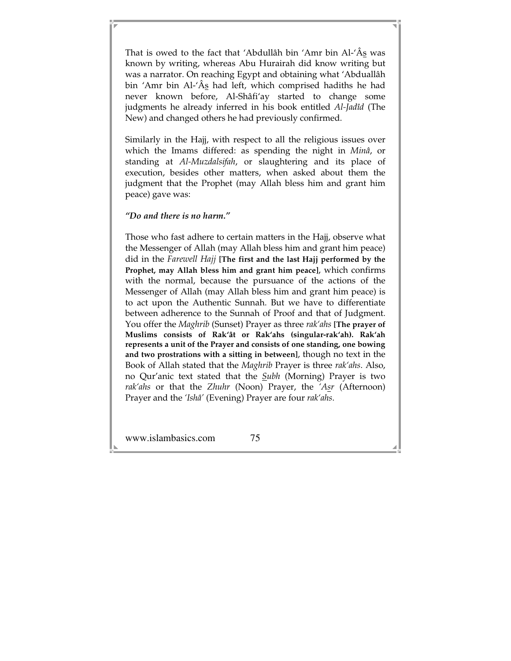That is owed to the fact that 'Abdullâh bin 'Amr bin Al-'Âs was known by writing, whereas Abu Hurairah did know writing but was a narrator. On reaching Egypt and obtaining what 'Abduallâh bin 'Amr bin Al-'Âs had left, which comprised hadiths he had never known before, Al-Shâfi'ay started to change some judgments he already inferred in his book entitled *Al-Jadîd* (The New) and changed others he had previously confirmed.

Similarly in the Hajj, with respect to all the religious issues over which the Imams differed: as spending the night in *Minâ*, or standing at *Al-Muzdalsifah*, or slaughtering and its place of execution, besides other matters, when asked about them the judgment that the Prophet (may Allah bless him and grant him peace) gave was:

#### *"Do and there is no harm."*

Those who fast adhere to certain matters in the Hajj, observe what the Messenger of Allah (may Allah bless him and grant him peace) did in the *Farewell Hajj* **[The first and the last Hajj performed by the Prophet, may Allah bless him and grant him peace]**, which confirms with the normal, because the pursuance of the actions of the Messenger of Allah (may Allah bless him and grant him peace) is to act upon the Authentic Sunnah. But we have to differentiate between adherence to the Sunnah of Proof and that of Judgment. You offer the *Maghrib* (Sunset) Prayer as three *rak'ahs* **[The prayer of Muslims consists of Rak'ât or Rak'ahs (singular-rak'ah). Rak'ah represents a unit of the Prayer and consists of one standing, one bowing and two prostrations with a sitting in between]**, though no text in the Book of Allah stated that the *Maghrib* Prayer is three *rak'ahs*. Also, no Qur'anic text stated that the *Subh* (Morning) Prayer is two *rak'ahs* or that the *Zhuhr* (Noon) Prayer, the *'Asr* (Afternoon) Prayer and the *'Ishâ'* (Evening) Prayer are four *rak'ahs*.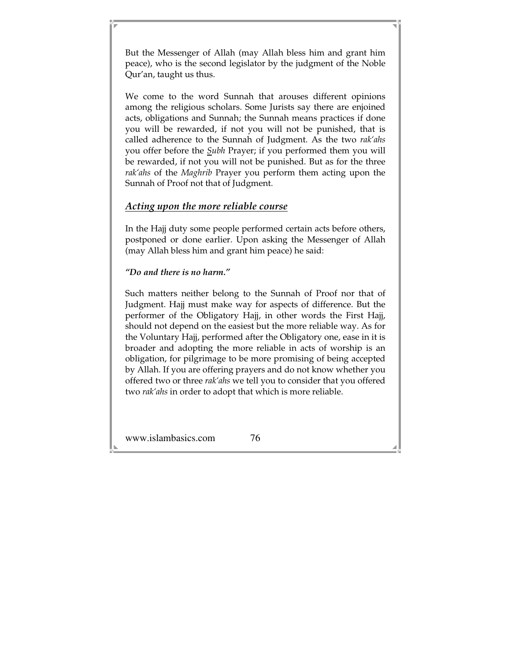But the Messenger of Allah (may Allah bless him and grant him peace), who is the second legislator by the judgment of the Noble Qur'an, taught us thus.

We come to the word Sunnah that arouses different opinions among the religious scholars. Some Jurists say there are enjoined acts, obligations and Sunnah; the Sunnah means practices if done you will be rewarded, if not you will not be punished, that is called adherence to the Sunnah of Judgment. As the two *rak'ahs*  you offer before the *Subh* Prayer; if you performed them you will be rewarded, if not you will not be punished. But as for the three *rak'ahs* of the *Maghrib* Prayer you perform them acting upon the Sunnah of Proof not that of Judgment.

### *Acting upon the more reliable course*

In the Hajj duty some people performed certain acts before others, postponed or done earlier. Upon asking the Messenger of Allah (may Allah bless him and grant him peace) he said:

#### *"Do and there is no harm."*

Such matters neither belong to the Sunnah of Proof nor that of Judgment. Hajj must make way for aspects of difference. But the performer of the Obligatory Hajj, in other words the First Hajj, should not depend on the easiest but the more reliable way. As for the Voluntary Hajj, performed after the Obligatory one, ease in it is broader and adopting the more reliable in acts of worship is an obligation, for pilgrimage to be more promising of being accepted by Allah. If you are offering prayers and do not know whether you offered two or three *rak'ahs* we tell you to consider that you offered two *rak'ahs* in order to adopt that which is more reliable.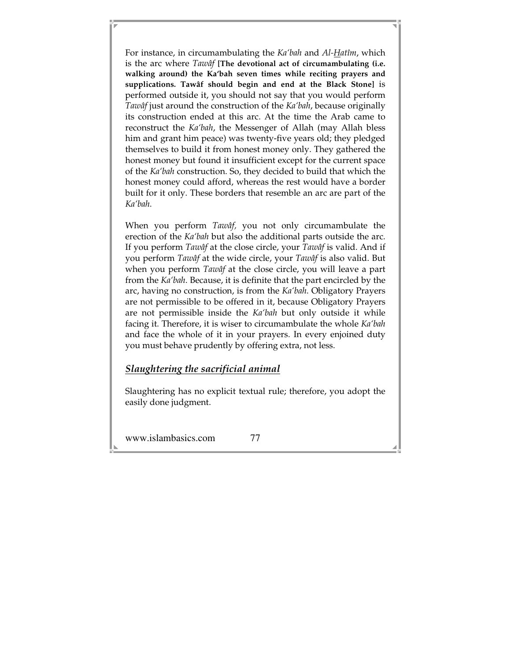For instance, in circumambulating the *Ka'bah* and *Al-Hatîm*, which is the arc where *Tawâf* **[The devotional act of circumambulating (i.e. walking around) the Ka'bah seven times while reciting prayers and supplications. Tawâf should begin and end at the Black Stone]** is performed outside it, you should not say that you would perform *Tawâf* just around the construction of the *Ka'bah*, because originally its construction ended at this arc. At the time the Arab came to reconstruct the *Ka'bah*, the Messenger of Allah (may Allah bless him and grant him peace) was twenty-five years old; they pledged themselves to build it from honest money only. They gathered the honest money but found it insufficient except for the current space of the *Ka'bah* construction. So, they decided to build that which the honest money could afford, whereas the rest would have a border built for it only. These borders that resemble an arc are part of the *Ka'bah*.

When you perform *Tawâf,* you not only circumambulate the erection of the *Ka'bah* but also the additional parts outside the arc. If you perform *Tawâf* at the close circle, your *Tawâf* is valid. And if you perform *Tawâf* at the wide circle, your *Tawâf* is also valid. But when you perform *Tawâf* at the close circle, you will leave a part from the *Ka'bah*. Because, it is definite that the part encircled by the arc, having no construction, is from the *Ka'bah*. Obligatory Prayers are not permissible to be offered in it, because Obligatory Prayers are not permissible inside the *Ka'bah* but only outside it while facing it. Therefore, it is wiser to circumambulate the whole *Ka'bah*  and face the whole of it in your prayers. In every enjoined duty you must behave prudently by offering extra, not less.

### *Slaughtering the sacrificial animal*

Slaughtering has no explicit textual rule; therefore, you adopt the easily done judgment.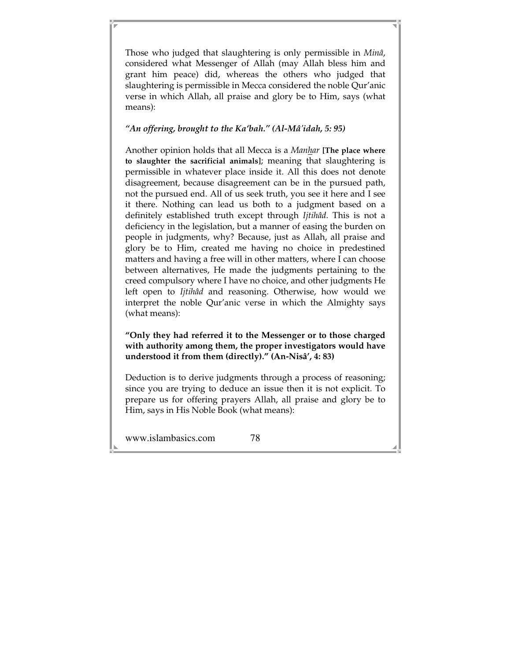Those who judged that slaughtering is only permissible in *Minâ*, considered what Messenger of Allah (may Allah bless him and grant him peace) did, whereas the others who judged that slaughtering is permissible in Mecca considered the noble Qur'anic verse in which Allah, all praise and glory be to Him, says (what means):

### *"An offering, brought to the Ka'bah." (Al-Mâ'idah, 5: 95)*

Another opinion holds that all Mecca is a *Manhar* **[The place where to slaughter the sacrificial animals]**; meaning that slaughtering is permissible in whatever place inside it. All this does not denote disagreement, because disagreement can be in the pursued path, not the pursued end. All of us seek truth, you see it here and I see it there. Nothing can lead us both to a judgment based on a definitely established truth except through *Ijtihâd*. This is not a deficiency in the legislation, but a manner of easing the burden on people in judgments, why? Because, just as Allah, all praise and glory be to Him, created me having no choice in predestined matters and having a free will in other matters, where I can choose between alternatives, He made the judgments pertaining to the creed compulsory where I have no choice, and other judgments He left open to *Ijtihâd* and reasoning. Otherwise, how would we interpret the noble Qur'anic verse in which the Almighty says (what means):

### **"Only they had referred it to the Messenger or to those charged with authority among them, the proper investigators would have understood it from them (directly)." (An-Nisâ', 4: 83)**

Deduction is to derive judgments through a process of reasoning; since you are trying to deduce an issue then it is not explicit. To prepare us for offering prayers Allah, all praise and glory be to Him, says in His Noble Book (what means):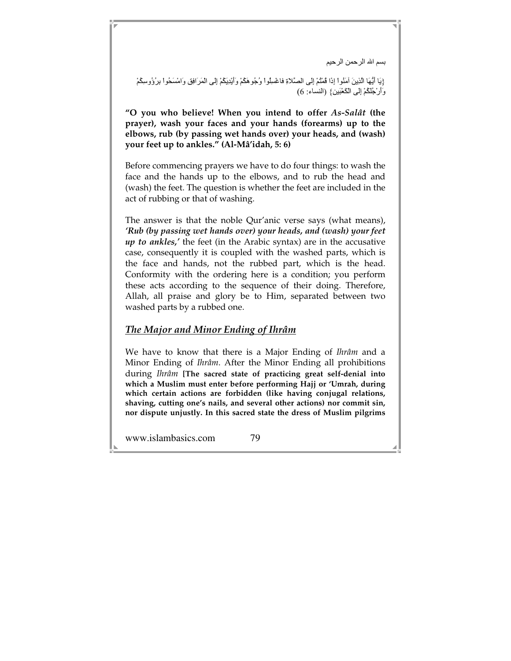بسم الله الرحمن الرحيم

{يَا أَيُّهَا الَّذِينَ أَمَنُواْ إِذَا فُمْتُمْ إِلَى الصَّلاةِ فاغْسِلُواْ وُجُو هَكُمْ وَأَيْدِيَكُمْ إِلَى الْمَرَافِقِ وَامْسَحُواْ بِرُؤُوسِكُمْ وَأَرْجُلَكُمْ إِلَى الْكَعْبَينِ} (النساء: 6)

**"O you who believe! When you intend to offer** *As-Salât* **(the prayer), wash your faces and your hands (forearms) up to the elbows, rub (by passing wet hands over) your heads, and (wash) your feet up to ankles." (Al-Mâ'idah, 5: 6)** 

Before commencing prayers we have to do four things: to wash the face and the hands up to the elbows, and to rub the head and (wash) the feet. The question is whether the feet are included in the act of rubbing or that of washing.

The answer is that the noble Qur'anic verse says (what means), *'Rub (by passing wet hands over) your heads, and (wash) your feet up to ankles,'* the feet (in the Arabic syntax) are in the accusative case, consequently it is coupled with the washed parts, which is the face and hands, not the rubbed part, which is the head. Conformity with the ordering here is a condition; you perform these acts according to the sequence of their doing. Therefore, Allah, all praise and glory be to Him, separated between two washed parts by a rubbed one.

### *The Major and Minor Ending of Ihrâm*

We have to know that there is a Major Ending of *Ihrâm* and a Minor Ending of *Ihrâm*. After the Minor Ending all prohibitions during *Ihrâm* **[The sacred state of practicing great self-denial into which a Muslim must enter before performing Hajj or 'Umrah, during which certain actions are forbidden (like having conjugal relations, shaving, cutting one's nails, and several other actions) nor commit sin, nor dispute unjustly. In this sacred state the dress of Muslim pilgrims**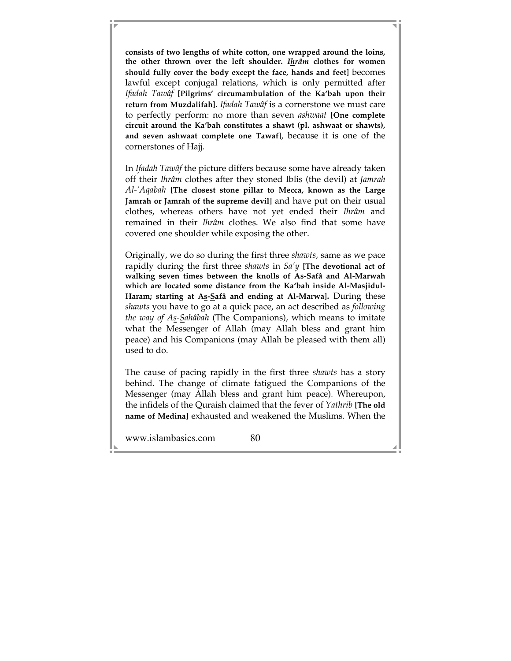**consists of two lengths of white cotton, one wrapped around the loins, the other thrown over the left shoulder.** *Ihrâm* **clothes for women should fully cover the body except the face, hands and feet]** becomes lawful except conjugal relations, which is only permitted after *Ifadah Tawâf* **[Pilgrims' circumambulation of the Ka'bah upon their return from Muzdalifah]**. *Ifadah Tawâf* is a cornerstone we must care to perfectly perform: no more than seven *ashwaat* **[One complete circuit around the Ka'bah constitutes a shawt (pl. ashwaat or shawts), and seven ashwaat complete one Tawaf]**, because it is one of the cornerstones of Hajj.

In *Ifadah Tawâf* the picture differs because some have already taken off their *Ihrâm* clothes after they stoned Iblis (the devil) at *Jamrah Al-'Aqabah* **[The closest stone pillar to Mecca, known as the Large Jamrah or Jamrah of the supreme devil]** and have put on their usual clothes, whereas others have not yet ended their *Ihrâm* and remained in their *Ihrâm* clothes. We also find that some have covered one shoulder while exposing the other.

Originally, we do so during the first three *shawts,* same as we pace rapidly during the first three *shawts* in *Sa'y* **[The devotional act of walking seven times between the knolls of As-Safâ and Al-Marwah which are located some distance from the Ka'bah inside Al-Masjidul-Haram; starting at As-Safâ and ending at Al-Marwa].** During these *shawts* you have to go at a quick pace, an act described as *following the way of As-Sahâbah* (The Companions), which means to imitate what the Messenger of Allah (may Allah bless and grant him peace) and his Companions (may Allah be pleased with them all) used to do.

The cause of pacing rapidly in the first three *shawts* has a story behind. The change of climate fatigued the Companions of the Messenger (may Allah bless and grant him peace). Whereupon, the infidels of the Quraish claimed that the fever of *Yathrib* **[The old name of Medina]** exhausted and weakened the Muslims. When the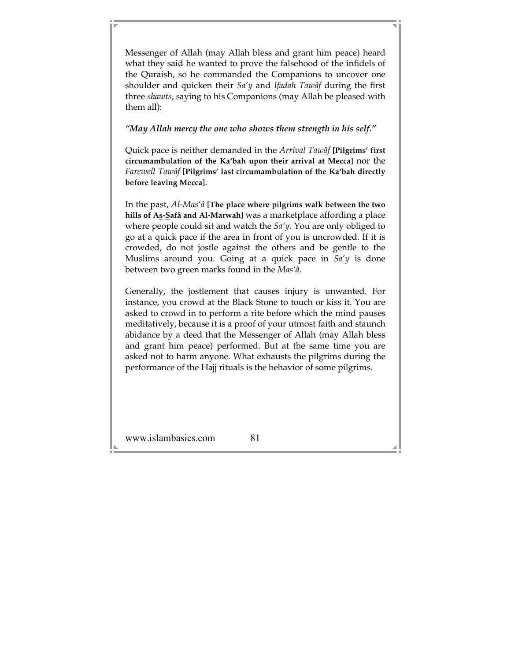Messenger of Allah (may Allah bless and grant him peace) heard what they said he wanted to prove the falsehood of the infidels of the Quraish, so he commanded the Companions to uncover one shoulder and quicken their *Sa'y* and *Ifadah Tawâf* during the first three *shawts*, saying to his Companions (may Allah be pleased with them all):

*"May Allah mercy the one who shows them strength in his self."* 

Quick pace is neither demanded in the *Arrival Tawâf* **[Pilgrims' first circumambulation of the Ka'bah upon their arrival at Mecca]** nor the *Farewell Tawâf* **[Pilgrims' last circumambulation of the Ka'bah directly before leaving Mecca]**.

In the past, *Al-Mas'â* **[The place where pilgrims walk between the two hills of As-Safâ and Al-Marwah]** was a marketplace affording a place where people could sit and watch the *Sa'y*. You are only obliged to go at a quick pace if the area in front of you is uncrowded. If it is crowded, do not jostle against the others and be gentle to the Muslims around you. Going at a quick pace in *Sa'y* is done between two green marks found in the *Mas'â*.

Generally, the jostlement that causes injury is unwanted. For instance, you crowd at the Black Stone to touch or kiss it. You are asked to crowd in to perform a rite before which the mind pauses meditatively, because it is a proof of your utmost faith and staunch abidance by a deed that the Messenger of Allah (may Allah bless and grant him peace) performed. But at the same time you are asked not to harm anyone. What exhausts the pilgrims during the performance of the Hajj rituals is the behavior of some pilgrims.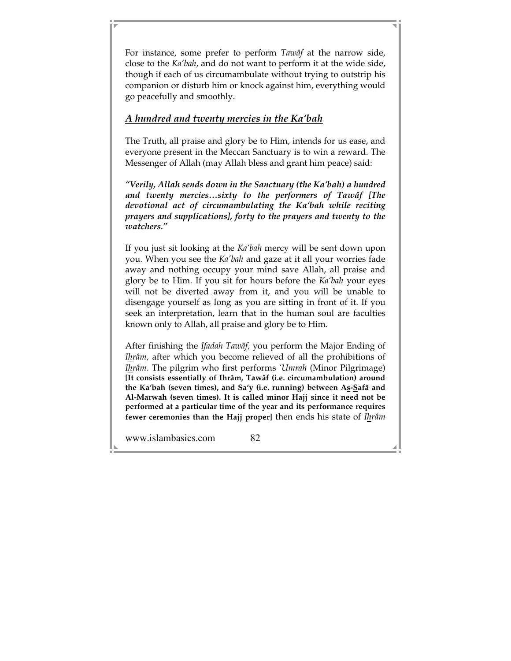For instance, some prefer to perform *Tawâf* at the narrow side, close to the *Ka'bah*, and do not want to perform it at the wide side, though if each of us circumambulate without trying to outstrip his companion or disturb him or knock against him, everything would go peacefully and smoothly.

### *A hundred and twenty mercies in the Ka'bah*

The Truth, all praise and glory be to Him, intends for us ease, and everyone present in the Meccan Sanctuary is to win a reward. The Messenger of Allah (may Allah bless and grant him peace) said:

*"Verily, Allah sends down in the Sanctuary (the Ka'bah) a hundred and twenty mercies…sixty to the performers of Tawâf [The devotional act of circumambulating the Ka'bah while reciting prayers and supplications], forty to the prayers and twenty to the watchers."* 

If you just sit looking at the *Ka'bah* mercy will be sent down upon you. When you see the *Ka'bah* and gaze at it all your worries fade away and nothing occupy your mind save Allah, all praise and glory be to Him. If you sit for hours before the *Ka'bah* your eyes will not be diverted away from it, and you will be unable to disengage yourself as long as you are sitting in front of it. If you seek an interpretation, learn that in the human soul are faculties known only to Allah, all praise and glory be to Him.

After finishing the *Ifadah Tawâf,* you perform the Major Ending of *Ihrâm,* after which you become relieved of all the prohibitions of *Ihrâm*. The pilgrim who first performs *'Umrah* (Minor Pilgrimage) **[It consists essentially of Ihrâm, Tawâf (i.e. circumambulation) around the Ka'bah (seven times), and Sa'y (i.e. running) between As-Safâ and Al-Marwah (seven times). It is called minor Hajj since it need not be performed at a particular time of the year and its performance requires fewer ceremonies than the Hajj proper]** then ends his state of *Ihrâm*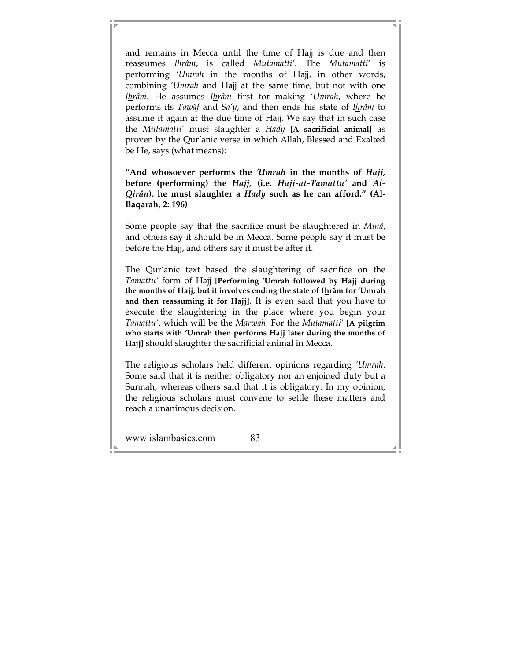and remains in Mecca until the time of Hajj is due and then reassumes *Ihrâm*, is called *Mutamatti'*. The *Mutamatti'* is performing *'Umrah* in the months of Hajj, in other words, combining *'Umrah* and Hajj at the same time, but not with one *Ihrâm*. He assumes *Ihrâm* first for making *'Umrah*, where he performs its *Tawâf* and *Sa'y*, and then ends his state of *Ihrâm* to assume it again at the due time of Hajj. We say that in such case the *Mutamatti'* must slaughter a *Hady* **[A sacrificial animal]** as proven by the Qur'anic verse in which Allah, Blessed and Exalted be He, says (what means):

**"And whosoever performs the** *'Umrah* **in the months of** *Hajj,*  **before (performing) the** *Hajj,* **(i.e.** *Hajj-at-Tamattu'* **and** *Al-Qirân***), he must slaughter a** *Hady* **such as he can afford." (Al-Baqarah, 2: 196)** 

Some people say that the sacrifice must be slaughtered in *Minâ*, and others say it should be in Mecca. Some people say it must be before the Hajj, and others say it must be after it.

The Qur'anic text based the slaughtering of sacrifice on the *Tamattu'* form of Hajj **[Performing 'Umrah followed by Hajj during the months of Hajj, but it involves ending the state of Ihrâm for 'Umrah and then reassuming it for Hajj]**. It is even said that you have to execute the slaughtering in the place where you begin your *Tamattu'*, which will be the *Marwah*. For the *Mutamatti'* **[A pilgrim who starts with 'Umrah then performs Hajj later during the months of Hajj]** should slaughter the sacrificial animal in Mecca.

The religious scholars held different opinions regarding *'Umrah*. Some said that it is neither obligatory nor an enjoined duty but a Sunnah, whereas others said that it is obligatory. In my opinion, the religious scholars must convene to settle these matters and reach a unanimous decision.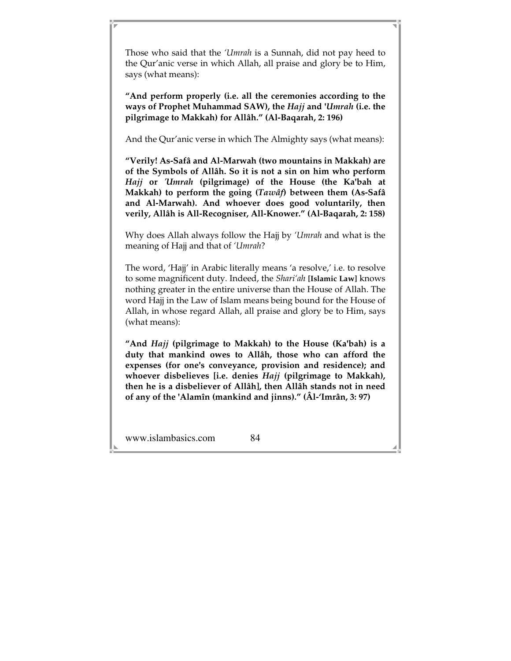Those who said that the *'Umrah* is a Sunnah, did not pay heed to the Qur'anic verse in which Allah, all praise and glory be to Him, says (what means):

**"And perform properly (i.e. all the ceremonies according to the ways of Prophet Muhammad SAW), the** *Hajj* **and '***Umrah* **(i.e. the pilgrimage to Makkah) for Allâh." (Al-Baqarah, 2: 196)** 

And the Qur'anic verse in which The Almighty says (what means):

**"Verily! As-Safâ and Al-Marwah (two mountains in Makkah) are of the Symbols of Allâh. So it is not a sin on him who perform**  *Hajj* **or** *'Umrah* **(pilgrimage) of the House (the Ka'bah at Makkah) to perform the going (***Tawâf***) between them (As-Safâ and Al-Marwah). And whoever does good voluntarily, then verily, Allâh is All-Recogniser, All-Knower." (Al-Baqarah, 2: 158)** 

Why does Allah always follow the Hajj by *'Umrah* and what is the meaning of Hajj and that of *'Umrah*?

The word, 'Hajj' in Arabic literally means 'a resolve,' i.e. to resolve to some magnificent duty. Indeed, the *Shari'ah* **[Islamic Law]** knows nothing greater in the entire universe than the House of Allah. The word Hajj in the Law of Islam means being bound for the House of Allah, in whose regard Allah, all praise and glory be to Him, says (what means):

**"And** *Hajj* **(pilgrimage to Makkah) to the House (Ka'bah) is a duty that mankind owes to Allâh, those who can afford the expenses (for one's conveyance, provision and residence); and whoever disbelieves [i.e. denies** *Hajj* **(pilgrimage to Makkah), then he is a disbeliever of Allâh], then Allâh stands not in need of any of the 'Alamîn (mankind and jinns)." (Âl-'Imrân, 3: 97)**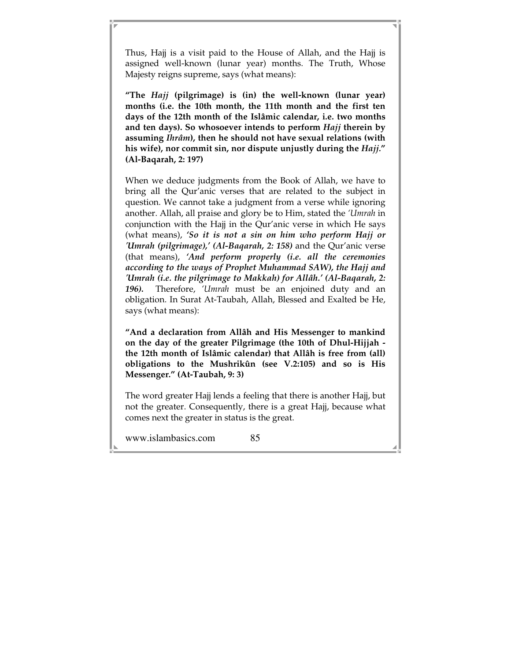Thus, Hajj is a visit paid to the House of Allah, and the Hajj is assigned well-known (lunar year) months. The Truth, Whose Majesty reigns supreme, says (what means):

**"The** *Hajj* **(pilgrimage) is (in) the well-known (lunar year) months (i.e. the 10th month, the 11th month and the first ten days of the 12th month of the Islâmic calendar, i.e. two months and ten days). So whosoever intends to perform** *Hajj* **therein by assuming** *Ihrâm***), then he should not have sexual relations (with his wife), nor commit sin, nor dispute unjustly during the** *Hajj.***" (Al-Baqarah, 2: 197)** 

When we deduce judgments from the Book of Allah, we have to bring all the Qur'anic verses that are related to the subject in question. We cannot take a judgment from a verse while ignoring another. Allah, all praise and glory be to Him, stated the *'Umrah* in conjunction with the Hajj in the Qur'anic verse in which He says (what means), *'So it is not a sin on him who perform Hajj or 'Umrah (pilgrimage),' (Al-Baqarah, 2: 158)* and the Qur'anic verse (that means), *'And perform properly (i.e. all the ceremonies according to the ways of Prophet Muhammad SAW), the Hajj and 'Umrah (i.e. the pilgrimage to Makkah) for Allâh.' (Al-Baqarah, 2: 196)***.** Therefore, *'Umrah* must be an enjoined duty and an obligation. In Surat At-Taubah, Allah, Blessed and Exalted be He, says (what means):

**"And a declaration from Allâh and His Messenger to mankind on the day of the greater Pilgrimage (the 10th of Dhul-Hijjah the 12th month of Islâmic calendar) that Allâh is free from (all) obligations to the Mushrikûn (see V.2:105) and so is His Messenger." (At-Taubah, 9: 3)** 

The word greater Hajj lends a feeling that there is another Hajj, but not the greater. Consequently, there is a great Hajj, because what comes next the greater in status is the great.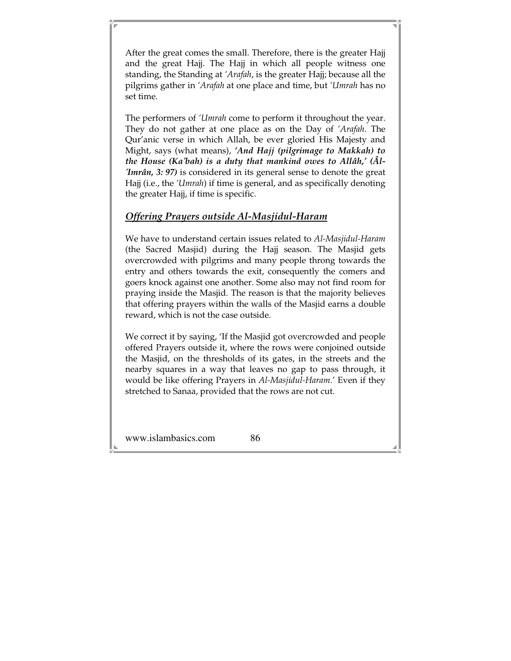After the great comes the small. Therefore, there is the greater Hajj and the great Hajj. The Hajj in which all people witness one standing, the Standing at *'Arafah*, is the greater Hajj; because all the pilgrims gather in *'Arafah* at one place and time, but *'Umrah* has no set time.

The performers of *'Umrah* come to perform it throughout the year. They do not gather at one place as on the Day of *'Arafah*. The Qur'anic verse in which Allah, be ever gloried His Majesty and Might, says (what means), *'And Hajj (pilgrimage to Makkah) to the House (Ka'bah) is a duty that mankind owes to Allâh,' (Âl- 'Imrân, 3: 97)* is considered in its general sense to denote the great Hajj (i.e., the *'Umrah*) if time is general, and as specifically denoting the greater Hajj, if time is specific.

## *Offering Prayers outside Al-Masjidul-Haram*

We have to understand certain issues related to *Al-Masjidul-Haram*  (the Sacred Masjid) during the Hajj season. The Masjid gets overcrowded with pilgrims and many people throng towards the entry and others towards the exit, consequently the comers and goers knock against one another. Some also may not find room for praying inside the Masjid. The reason is that the majority believes that offering prayers within the walls of the Masjid earns a double reward, which is not the case outside.

We correct it by saying, 'If the Masjid got overcrowded and people offered Prayers outside it, where the rows were conjoined outside the Masjid, on the thresholds of its gates, in the streets and the nearby squares in a way that leaves no gap to pass through, it would be like offering Prayers in *Al-Masjidul-Haram*.' Even if they stretched to Sanaa, provided that the rows are not cut.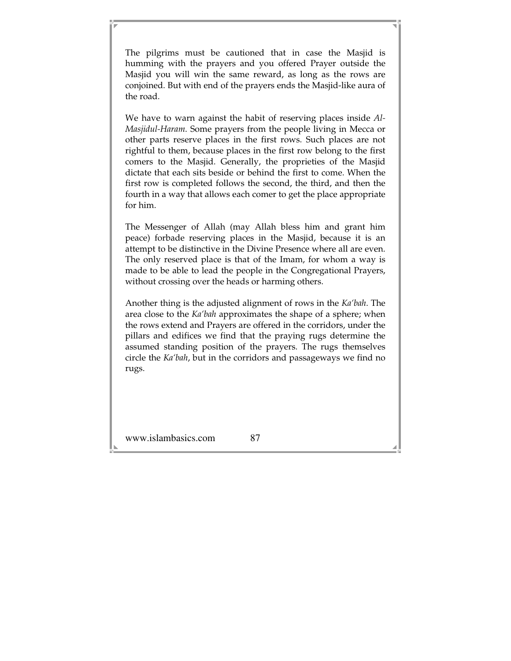The pilgrims must be cautioned that in case the Masjid is humming with the prayers and you offered Prayer outside the Masjid you will win the same reward, as long as the rows are conjoined. But with end of the prayers ends the Masjid-like aura of the road.

We have to warn against the habit of reserving places inside *Al-Masjidul-Haram*. Some prayers from the people living in Mecca or other parts reserve places in the first rows. Such places are not rightful to them, because places in the first row belong to the first comers to the Masjid. Generally, the proprieties of the Masjid dictate that each sits beside or behind the first to come. When the first row is completed follows the second, the third, and then the fourth in a way that allows each comer to get the place appropriate for him.

The Messenger of Allah (may Allah bless him and grant him peace) forbade reserving places in the Masjid, because it is an attempt to be distinctive in the Divine Presence where all are even. The only reserved place is that of the Imam, for whom a way is made to be able to lead the people in the Congregational Prayers, without crossing over the heads or harming others.

Another thing is the adjusted alignment of rows in the *Ka'bah*. The area close to the *Ka'bah* approximates the shape of a sphere; when the rows extend and Prayers are offered in the corridors, under the pillars and edifices we find that the praying rugs determine the assumed standing position of the prayers. The rugs themselves circle the *Ka'bah*, but in the corridors and passageways we find no rugs.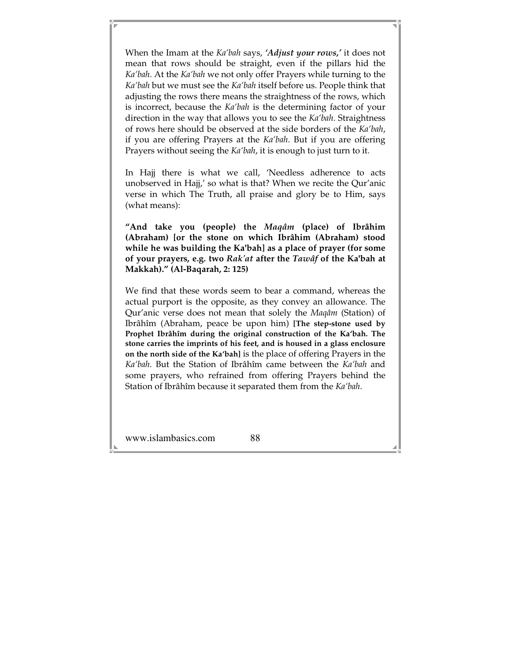When the Imam at the *Ka'bah* says, *'Adjust your rows,'* it does not mean that rows should be straight, even if the pillars hid the *Ka'bah*. At the *Ka'bah* we not only offer Prayers while turning to the *Ka'bah* but we must see the *Ka'bah* itself before us. People think that adjusting the rows there means the straightness of the rows, which is incorrect, because the *Ka'bah* is the determining factor of your direction in the way that allows you to see the *Ka'bah*. Straightness of rows here should be observed at the side borders of the *Ka'bah*, if you are offering Prayers at the *Ka'bah*. But if you are offering Prayers without seeing the *Ka'bah*, it is enough to just turn to it.

In Hajj there is what we call, 'Needless adherence to acts unobserved in Hajj,' so what is that? When we recite the Qur'anic verse in which The Truth, all praise and glory be to Him, says (what means):

**"And take you (people) the** *Maqâm* **(place) of Ibrâhim (Abraham) [or the stone on which Ibrâhim (Abraham) stood while he was building the Ka'bah] as a place of prayer (for some of your prayers, e.g. two** *Rak'at* **after the** *Tawâf* **of the Ka'bah at Makkah)." (Al-Baqarah, 2: 125)** 

We find that these words seem to bear a command, whereas the actual purport is the opposite, as they convey an allowance. The Qur'anic verse does not mean that solely the *Maqâm* (Station) of Ibrâhîm (Abraham, peace be upon him) **[The step-stone used by Prophet Ibrâhîm during the original construction of the Ka'bah. The stone carries the imprints of his feet, and is housed in a glass enclosure on the north side of the Ka'bah]** is the place of offering Prayers in the *Ka'bah*. But the Station of Ibrâhîm came between the *Ka'bah* and some prayers, who refrained from offering Prayers behind the Station of Ibrâhîm because it separated them from the *Ka'bah*.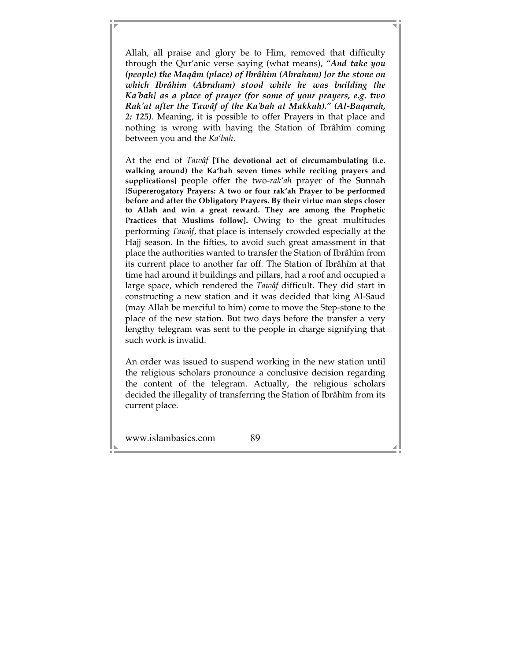Allah, all praise and glory be to Him, removed that difficulty through the Qur'anic verse saying (what means), *"And take you (people) the Maqâm (place) of Ibrâhim (Abraham) [or the stone on which Ibrâhim (Abraham) stood while he was building the Ka'bah] as a place of prayer (for some of your prayers, e.g. two Rak'at after the Tawâf of the Ka'bah at Makkah)." (Al-Baqarah, 2: 125)*. Meaning, it is possible to offer Prayers in that place and nothing is wrong with having the Station of Ibrâhîm coming between you and the *Ka'bah*.

At the end of *Tawâf* **[The devotional act of circumambulating (i.e. walking around) the Ka'bah seven times while reciting prayers and supplications]** people offer the two-*rak'ah* prayer of the Sunnah **[Supererogatory Prayers: A two or four rak'ah Prayer to be performed before and after the Obligatory Prayers. By their virtue man steps closer to Allah and win a great reward. They are among the Prophetic Practices that Muslims follow].** Owing to the great multitudes performing *Tawâf*, that place is intensely crowded especially at the Hajj season. In the fifties, to avoid such great amassment in that place the authorities wanted to transfer the Station of Ibrâhîm from its current place to another far off. The Station of Ibrâhîm at that time had around it buildings and pillars, had a roof and occupied a large space, which rendered the *Tawâf* difficult. They did start in constructing a new station and it was decided that king Al-Saud (may Allah be merciful to him) come to move the Step-stone to the place of the new station. But two days before the transfer a very lengthy telegram was sent to the people in charge signifying that such work is invalid.

An order was issued to suspend working in the new station until the religious scholars pronounce a conclusive decision regarding the content of the telegram. Actually, the religious scholars decided the illegality of transferring the Station of Ibrâhîm from its current place.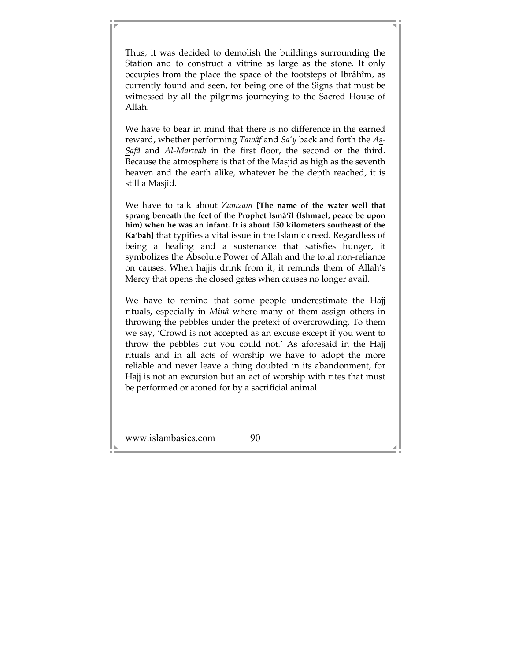Thus, it was decided to demolish the buildings surrounding the Station and to construct a vitrine as large as the stone. It only occupies from the place the space of the footsteps of Ibrâhîm, as currently found and seen, for being one of the Signs that must be witnessed by all the pilgrims journeying to the Sacred House of Allah.

We have to bear in mind that there is no difference in the earned reward, whether performing *Tawâf* and *Sa'y* back and forth the *As-Safâ* and *Al-Marwah* in the first floor, the second or the third. Because the atmosphere is that of the Masjid as high as the seventh heaven and the earth alike, whatever be the depth reached, it is still a Masjid.

We have to talk about *Zamzam* **[The name of the water well that sprang beneath the feet of the Prophet Ismâ'îl (Ishmael, peace be upon him) when he was an infant. It is about 150 kilometers southeast of the Ka'bah]** that typifies a vital issue in the Islamic creed. Regardless of being a healing and a sustenance that satisfies hunger, it symbolizes the Absolute Power of Allah and the total non-reliance on causes. When hajjis drink from it, it reminds them of Allah's Mercy that opens the closed gates when causes no longer avail.

We have to remind that some people underestimate the Hajj rituals, especially in *Minâ* where many of them assign others in throwing the pebbles under the pretext of overcrowding. To them we say, 'Crowd is not accepted as an excuse except if you went to throw the pebbles but you could not.' As aforesaid in the Hajj rituals and in all acts of worship we have to adopt the more reliable and never leave a thing doubted in its abandonment, for Hajj is not an excursion but an act of worship with rites that must be performed or atoned for by a sacrificial animal.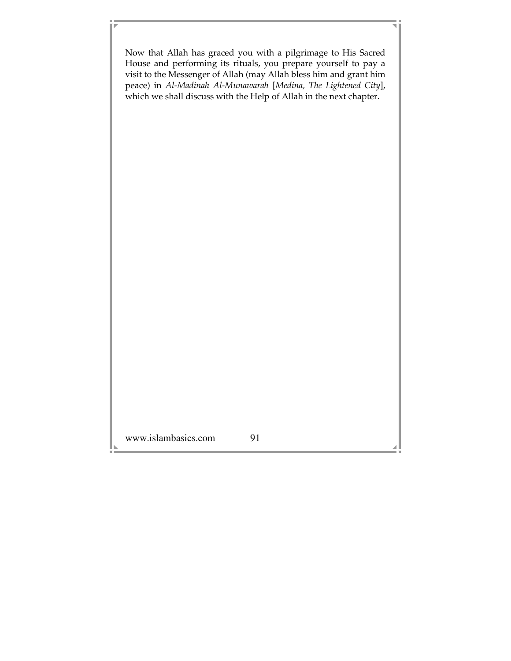www.islambasics.com 91 Now that Allah has graced you with a pilgrimage to His Sacred House and performing its rituals, you prepare yourself to pay a visit to the Messenger of Allah (may Allah bless him and grant him peace) in *Al-Madinah Al-Munawarah* [*Medina, The Lightened City*], which we shall discuss with the Help of Allah in the next chapter.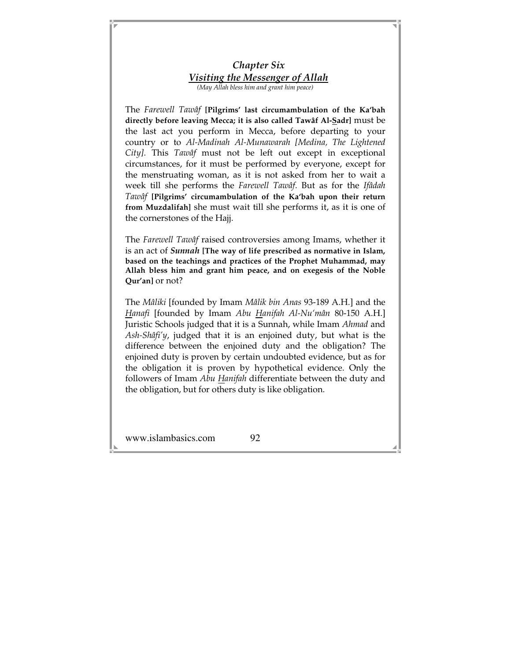### *Chapter Six Visiting the Messenger of Allah (May Allah bless him and grant him peace)*

The *Farewell Tawâf* **[Pilgrims' last circumambulation of the Ka'bah directly before leaving Mecca; it is also called Tawâf Al-Sadr]** must be the last act you perform in Mecca, before departing to your country or to *Al-Madinah Al-Munawarah [Medina, The Lightened City]*. This *Tawâf* must not be left out except in exceptional circumstances, for it must be performed by everyone, except for the menstruating woman, as it is not asked from her to wait a week till she performs the *Farewell Tawâf*. But as for the *Ifâdah Tawâf* **[Pilgrims' circumambulation of the Ka'bah upon their return from Muzdalifah]** she must wait till she performs it, as it is one of the cornerstones of the Hajj.

The *Farewell Tawâf* raised controversies among Imams, whether it is an act of *Sunnah* **[The way of life prescribed as normative in Islam, based on the teachings and practices of the Prophet Muhammad, may Allah bless him and grant him peace, and on exegesis of the Noble Qur'an]** or not?

The *Mâliki* [founded by Imam *Mâlik bin Anas* 93-189 A.H.] and the *Hanafi* [founded by Imam *Abu Hanifah Al-Nu'mân* 80-150 A.H.] Juristic Schools judged that it is a Sunnah, while Imam *Ahmad* and *Ash-Shâfi'y*, judged that it is an enjoined duty, but what is the difference between the enjoined duty and the obligation? The enjoined duty is proven by certain undoubted evidence, but as for the obligation it is proven by hypothetical evidence. Only the followers of Imam *Abu Hanifah* differentiate between the duty and the obligation, but for others duty is like obligation.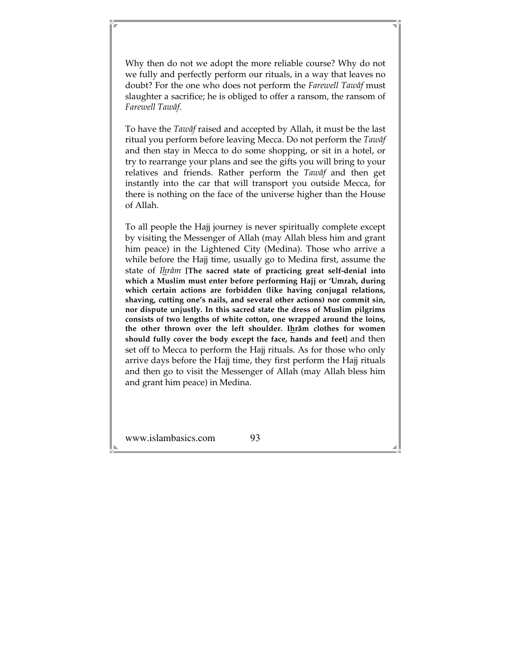Why then do not we adopt the more reliable course? Why do not we fully and perfectly perform our rituals, in a way that leaves no doubt? For the one who does not perform the *Farewell Tawâf* must slaughter a sacrifice; he is obliged to offer a ransom, the ransom of *Farewell Tawâf*.

To have the *Tawâf* raised and accepted by Allah, it must be the last ritual you perform before leaving Mecca. Do not perform the *Tawâf* and then stay in Mecca to do some shopping, or sit in a hotel, or try to rearrange your plans and see the gifts you will bring to your relatives and friends. Rather perform the *Tawâf* and then get instantly into the car that will transport you outside Mecca, for there is nothing on the face of the universe higher than the House of Allah.

To all people the Hajj journey is never spiritually complete except by visiting the Messenger of Allah (may Allah bless him and grant him peace) in the Lightened City (Medina). Those who arrive a while before the Hajj time, usually go to Medina first, assume the state of *Ihrâm* **[The sacred state of practicing great self-denial into which a Muslim must enter before performing Hajj or 'Umrah, during which certain actions are forbidden (like having conjugal relations, shaving, cutting one's nails, and several other actions) nor commit sin, nor dispute unjustly. In this sacred state the dress of Muslim pilgrims consists of two lengths of white cotton, one wrapped around the loins, the other thrown over the left shoulder. Ihrâm clothes for women should fully cover the body except the face, hands and feet]** and then set off to Mecca to perform the Hajj rituals. As for those who only arrive days before the Hajj time, they first perform the Hajj rituals and then go to visit the Messenger of Allah (may Allah bless him and grant him peace) in Medina.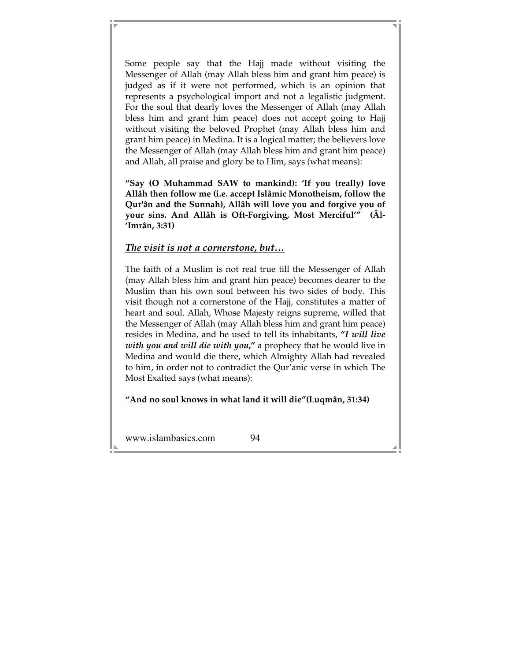Some people say that the Hajj made without visiting the Messenger of Allah (may Allah bless him and grant him peace) is judged as if it were not performed, which is an opinion that represents a psychological import and not a legalistic judgment. For the soul that dearly loves the Messenger of Allah (may Allah bless him and grant him peace) does not accept going to Hajj without visiting the beloved Prophet (may Allah bless him and grant him peace) in Medina. It is a logical matter; the believers love the Messenger of Allah (may Allah bless him and grant him peace) and Allah, all praise and glory be to Him, says (what means):

**"Say (O Muhammad SAW to mankind): 'If you (really) love Allâh then follow me (i.e. accept Islâmic Monotheism, follow the Qur'ân and the Sunnah), Allâh will love you and forgive you of your sins. And Allâh is Oft-Forgiving, Most Merciful'" (Âl- 'Imrân, 3:31)** 

### *The visit is not a cornerstone, but…*

The faith of a Muslim is not real true till the Messenger of Allah (may Allah bless him and grant him peace) becomes dearer to the Muslim than his own soul between his two sides of body. This visit though not a cornerstone of the Hajj, constitutes a matter of heart and soul. Allah, Whose Majesty reigns supreme, willed that the Messenger of Allah (may Allah bless him and grant him peace) resides in Medina, and he used to tell its inhabitants, **"***I will live with you and will die with you***,"** a prophecy that he would live in Medina and would die there, which Almighty Allah had revealed to him, in order not to contradict the Qur'anic verse in which The Most Exalted says (what means):

### **"And no soul knows in what land it will die"(Luqmân, 31:34)**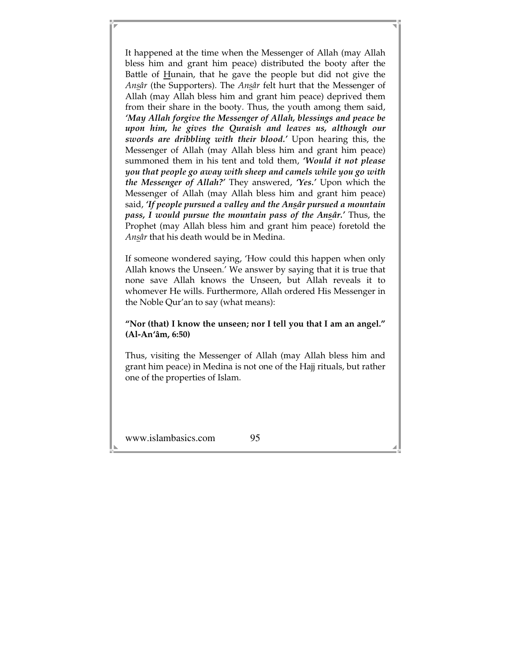It happened at the time when the Messenger of Allah (may Allah bless him and grant him peace) distributed the booty after the Battle of Hunain, that he gave the people but did not give the *Ansâr* (the Supporters). The *Ansâr* felt hurt that the Messenger of Allah (may Allah bless him and grant him peace) deprived them from their share in the booty. Thus, the youth among them said, *'May Allah forgive the Messenger of Allah, blessings and peace be upon him, he gives the Quraish and leaves us, although our swords are dribbling with their blood.'* Upon hearing this, the Messenger of Allah (may Allah bless him and grant him peace) summoned them in his tent and told them, *'Would it not please you that people go away with sheep and camels while you go with the Messenger of Allah?'* They answered, *'Yes.'* Upon which the Messenger of Allah (may Allah bless him and grant him peace) said, *'If people pursued a valley and the Ansâr pursued a mountain pass, I would pursue the mountain pass of the Ansâr.'* Thus, the Prophet (may Allah bless him and grant him peace) foretold the *Ansâr* that his death would be in Medina.

If someone wondered saying, 'How could this happen when only Allah knows the Unseen.' We answer by saying that it is true that none save Allah knows the Unseen, but Allah reveals it to whomever He wills. Furthermore, Allah ordered His Messenger in the Noble Qur'an to say (what means):

#### **"Nor (that) I know the unseen; nor I tell you that I am an angel." (Al-An'âm, 6:50)**

Thus, visiting the Messenger of Allah (may Allah bless him and grant him peace) in Medina is not one of the Hajj rituals, but rather one of the properties of Islam.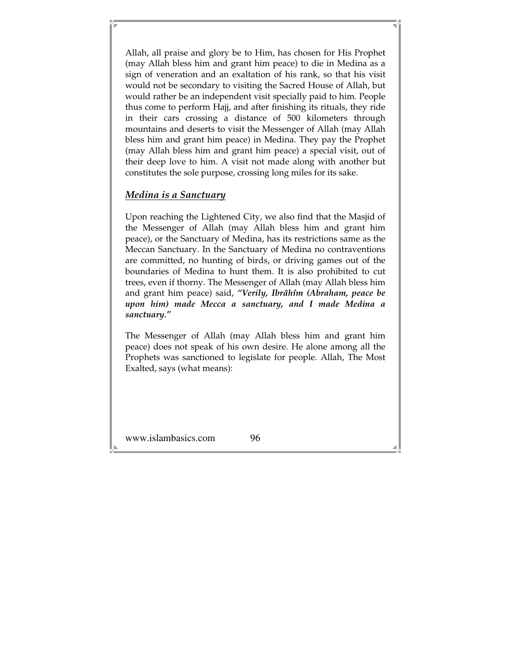Allah, all praise and glory be to Him, has chosen for His Prophet (may Allah bless him and grant him peace) to die in Medina as a sign of veneration and an exaltation of his rank, so that his visit would not be secondary to visiting the Sacred House of Allah, but would rather be an independent visit specially paid to him. People thus come to perform Hajj, and after finishing its rituals, they ride in their cars crossing a distance of 500 kilometers through mountains and deserts to visit the Messenger of Allah (may Allah bless him and grant him peace) in Medina. They pay the Prophet (may Allah bless him and grant him peace) a special visit, out of their deep love to him. A visit not made along with another but constitutes the sole purpose, crossing long miles for its sake.

### *Medina is a Sanctuary*

Upon reaching the Lightened City, we also find that the Masjid of the Messenger of Allah (may Allah bless him and grant him peace), or the Sanctuary of Medina, has its restrictions same as the Meccan Sanctuary. In the Sanctuary of Medina no contraventions are committed, no hunting of birds, or driving games out of the boundaries of Medina to hunt them. It is also prohibited to cut trees, even if thorny. The Messenger of Allah (may Allah bless him and grant him peace) said, *"Verily, Ibrâhîm (Abraham, peace be upon him) made Mecca a sanctuary, and I made Medina a sanctuary."*

The Messenger of Allah (may Allah bless him and grant him peace) does not speak of his own desire. He alone among all the Prophets was sanctioned to legislate for people. Allah, The Most Exalted, says (what means):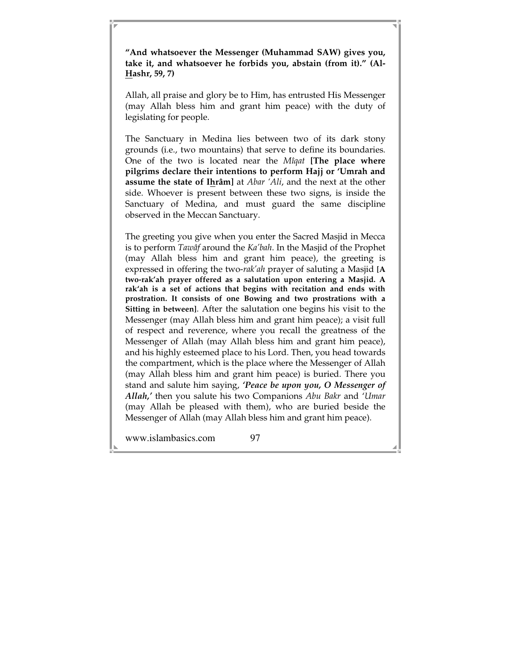**"And whatsoever the Messenger (Muhammad SAW) gives you, take it, and whatsoever he forbids you, abstain (from it)." (Al-Hashr, 59, 7)** 

Allah, all praise and glory be to Him, has entrusted His Messenger (may Allah bless him and grant him peace) with the duty of legislating for people.

The Sanctuary in Medina lies between two of its dark stony grounds (i.e., two mountains) that serve to define its boundaries. One of the two is located near the *Mîqat* **[The place where pilgrims declare their intentions to perform Hajj or 'Umrah and assume the state of Ihrâm]** at *Abar 'Ali*, and the next at the other side. Whoever is present between these two signs, is inside the Sanctuary of Medina, and must guard the same discipline observed in the Meccan Sanctuary.

The greeting you give when you enter the Sacred Masjid in Mecca is to perform *Tawâf* around the *Ka'bah*. In the Masjid of the Prophet (may Allah bless him and grant him peace), the greeting is expressed in offering the two-*rak'ah* prayer of saluting a Masjid **[A two-rak'ah prayer offered as a salutation upon entering a Masjid. A rak'ah is a set of actions that begins with recitation and ends with prostration. It consists of one Bowing and two prostrations with a Sitting in between]**. After the salutation one begins his visit to the Messenger (may Allah bless him and grant him peace); a visit full of respect and reverence, where you recall the greatness of the Messenger of Allah (may Allah bless him and grant him peace), and his highly esteemed place to his Lord. Then, you head towards the compartment, which is the place where the Messenger of Allah (may Allah bless him and grant him peace) is buried. There you stand and salute him saying, *'Peace be upon you, O Messenger of Allah,'* then you salute his two Companions *Abu Bakr* and '*Umar* (may Allah be pleased with them), who are buried beside the Messenger of Allah (may Allah bless him and grant him peace).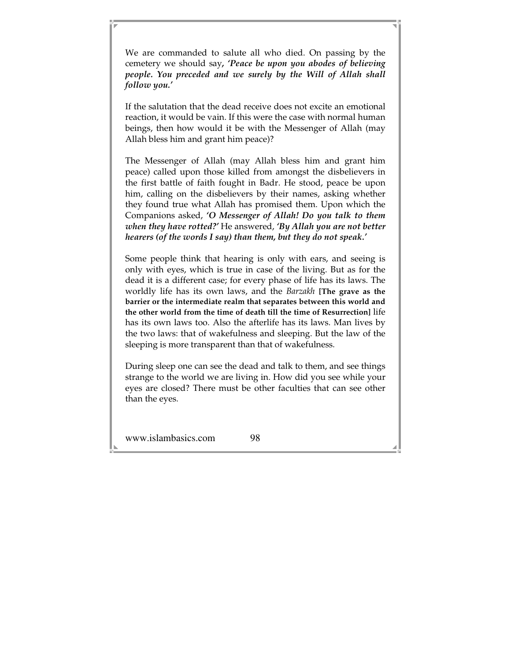We are commanded to salute all who died. On passing by the cemetery we should say*, 'Peace be upon you abodes of believing people. You preceded and we surely by the Will of Allah shall follow you.'*

If the salutation that the dead receive does not excite an emotional reaction, it would be vain. If this were the case with normal human beings, then how would it be with the Messenger of Allah (may Allah bless him and grant him peace)?

The Messenger of Allah (may Allah bless him and grant him peace) called upon those killed from amongst the disbelievers in the first battle of faith fought in Badr. He stood, peace be upon him, calling on the disbelievers by their names, asking whether they found true what Allah has promised them. Upon which the Companions asked, *'O Messenger of Allah! Do you talk to them when they have rotted?'* He answered, *'By Allah you are not better hearers (of the words I say) than them, but they do not speak.'*

Some people think that hearing is only with ears, and seeing is only with eyes, which is true in case of the living. But as for the dead it is a different case; for every phase of life has its laws. The worldly life has its own laws, and the *Barzakh* **[The grave as the barrier or the intermediate realm that separates between this world and the other world from the time of death till the time of Resurrection]** life has its own laws too. Also the afterlife has its laws. Man lives by the two laws: that of wakefulness and sleeping. But the law of the sleeping is more transparent than that of wakefulness.

During sleep one can see the dead and talk to them, and see things strange to the world we are living in. How did you see while your eyes are closed? There must be other faculties that can see other than the eyes.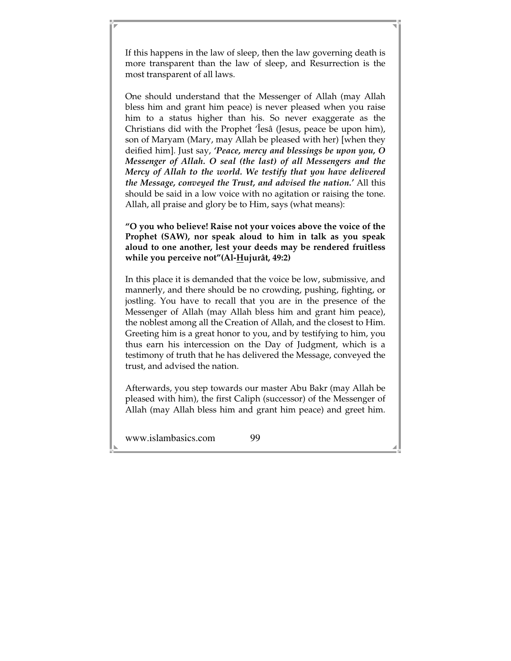If this happens in the law of sleep, then the law governing death is more transparent than the law of sleep, and Resurrection is the most transparent of all laws.

One should understand that the Messenger of Allah (may Allah bless him and grant him peace) is never pleased when you raise him to a status higher than his. So never exaggerate as the Christians did with the Prophet 'Îesâ (Jesus, peace be upon him), son of Maryam (Mary, may Allah be pleased with her) [when they deified him]. Just say, *'Peace, mercy and blessings be upon you, O Messenger of Allah. O seal (the last) of all Messengers and the Mercy of Allah to the world. We testify that you have delivered the Message, conveyed the Trust, and advised the nation.'* All this should be said in a low voice with no agitation or raising the tone. Allah, all praise and glory be to Him, says (what means):

**"O you who believe! Raise not your voices above the voice of the Prophet (SAW), nor speak aloud to him in talk as you speak aloud to one another, lest your deeds may be rendered fruitless while you perceive not"(Al-Hujurât, 49:2)** 

In this place it is demanded that the voice be low, submissive, and mannerly, and there should be no crowding, pushing, fighting, or jostling. You have to recall that you are in the presence of the Messenger of Allah (may Allah bless him and grant him peace), the noblest among all the Creation of Allah, and the closest to Him. Greeting him is a great honor to you, and by testifying to him, you thus earn his intercession on the Day of Judgment, which is a testimony of truth that he has delivered the Message, conveyed the trust, and advised the nation.

Afterwards, you step towards our master Abu Bakr (may Allah be pleased with him), the first Caliph (successor) of the Messenger of Allah (may Allah bless him and grant him peace) and greet him.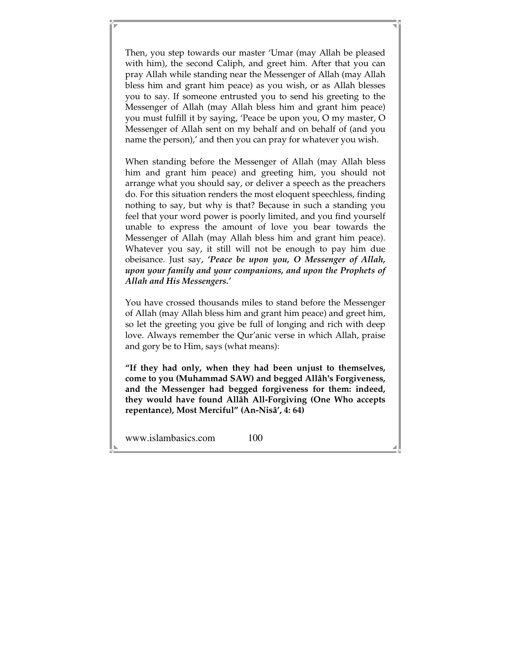Then, you step towards our master 'Umar (may Allah be pleased with him), the second Caliph, and greet him. After that you can pray Allah while standing near the Messenger of Allah (may Allah bless him and grant him peace) as you wish, or as Allah blesses you to say. If someone entrusted you to send his greeting to the Messenger of Allah (may Allah bless him and grant him peace) you must fulfill it by saying, 'Peace be upon you, O my master, O Messenger of Allah sent on my behalf and on behalf of (and you name the person),' and then you can pray for whatever you wish.

When standing before the Messenger of Allah (may Allah bless him and grant him peace) and greeting him, you should not arrange what you should say, or deliver a speech as the preachers do. For this situation renders the most eloquent speechless, finding nothing to say, but why is that? Because in such a standing you feel that your word power is poorly limited, and you find yourself unable to express the amount of love you bear towards the Messenger of Allah (may Allah bless him and grant him peace). Whatever you say, it still will not be enough to pay him due obeisance. Just say, *'Peace be upon you, O Messenger of Allah, upon your family and your companions, and upon the Prophets of Allah and His Messengers.'*

You have crossed thousands miles to stand before the Messenger of Allah (may Allah bless him and grant him peace) and greet him, so let the greeting you give be full of longing and rich with deep love. Always remember the Qur'anic verse in which Allah, praise and gory be to Him, says (what means):

**"If they had only, when they had been unjust to themselves, come to you (Muhammad SAW) and begged Allâh's Forgiveness, and the Messenger had begged forgiveness for them: indeed, they would have found Allâh All-Forgiving (One Who accepts repentance), Most Merciful" (An-Nisâ', 4: 64)**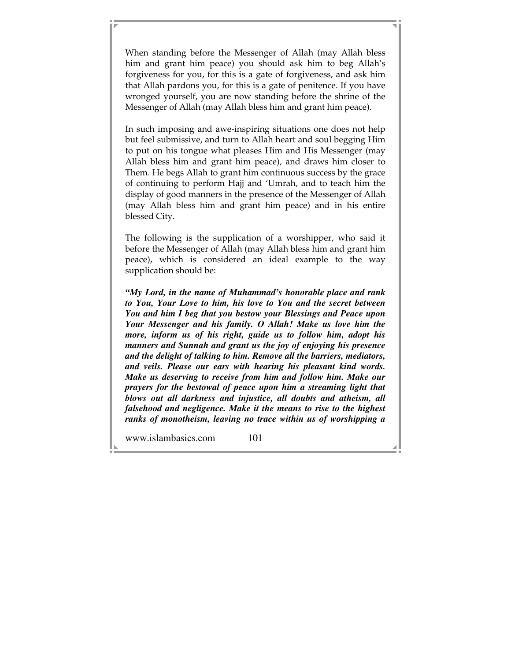When standing before the Messenger of Allah (may Allah bless him and grant him peace) you should ask him to beg Allah's forgiveness for you, for this is a gate of forgiveness, and ask him that Allah pardons you, for this is a gate of penitence. If you have wronged yourself, you are now standing before the shrine of the Messenger of Allah (may Allah bless him and grant him peace).

In such imposing and awe-inspiring situations one does not help but feel submissive, and turn to Allah heart and soul begging Him to put on his tongue what pleases Him and His Messenger (may Allah bless him and grant him peace), and draws him closer to Them. He begs Allah to grant him continuous success by the grace of continuing to perform Hajj and 'Umrah, and to teach him the display of good manners in the presence of the Messenger of Allah (may Allah bless him and grant him peace) and in his entire blessed City.

The following is the supplication of a worshipper, who said it before the Messenger of Allah (may Allah bless him and grant him peace), which is considered an ideal example to the way supplication should be:

*"My Lord, in the name of Muhammad's honorable place and rank to You, Your Love to him, his love to You and the secret between You and him I beg that you bestow your Blessings and Peace upon Your Messenger and his family. O Allah! Make us love him the more, inform us of his right, guide us to follow him, adopt his manners and Sunnah and grant us the joy of enjoying his presence and the delight of talking to him. Remove all the barriers, mediators, and veils. Please our ears with hearing his pleasant kind words. Make us deserving to receive from him and follow him. Make our prayers for the bestowal of peace upon him a streaming light that blows out all darkness and injustice, all doubts and atheism, all falsehood and negligence. Make it the means to rise to the highest ranks of monotheism, leaving no trace within us of worshipping a*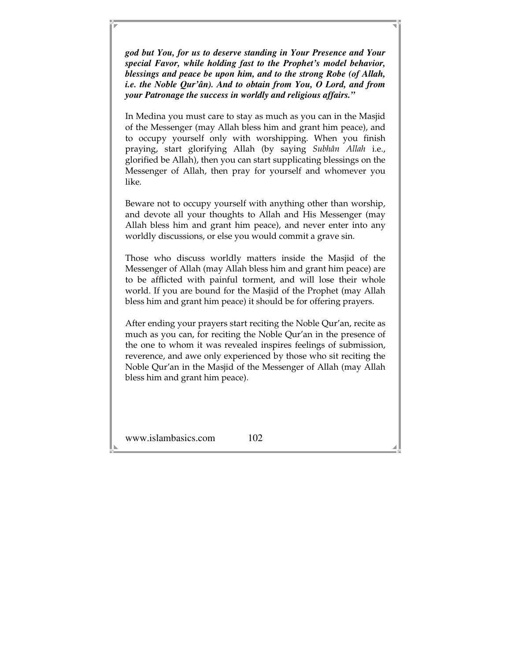*god but You, for us to deserve standing in Your Presence and Your special Favor, while holding fast to the Prophet's model behavior, blessings and peace be upon him, and to the strong Robe (of Allah, i.e. the Noble Qur'ân). And to obtain from You, O Lord, and from your Patronage the success in worldly and religious affairs."* 

In Medina you must care to stay as much as you can in the Masjid of the Messenger (may Allah bless him and grant him peace), and to occupy yourself only with worshipping. When you finish praying, start glorifying Allah (by saying *Subhân Allah* i.e., glorified be Allah), then you can start supplicating blessings on the Messenger of Allah, then pray for yourself and whomever you like.

Beware not to occupy yourself with anything other than worship, and devote all your thoughts to Allah and His Messenger (may Allah bless him and grant him peace), and never enter into any worldly discussions, or else you would commit a grave sin.

Those who discuss worldly matters inside the Masjid of the Messenger of Allah (may Allah bless him and grant him peace) are to be afflicted with painful torment, and will lose their whole world. If you are bound for the Masjid of the Prophet (may Allah bless him and grant him peace) it should be for offering prayers.

After ending your prayers start reciting the Noble Qur'an, recite as much as you can, for reciting the Noble Qur'an in the presence of the one to whom it was revealed inspires feelings of submission, reverence, and awe only experienced by those who sit reciting the Noble Qur'an in the Masjid of the Messenger of Allah (may Allah bless him and grant him peace).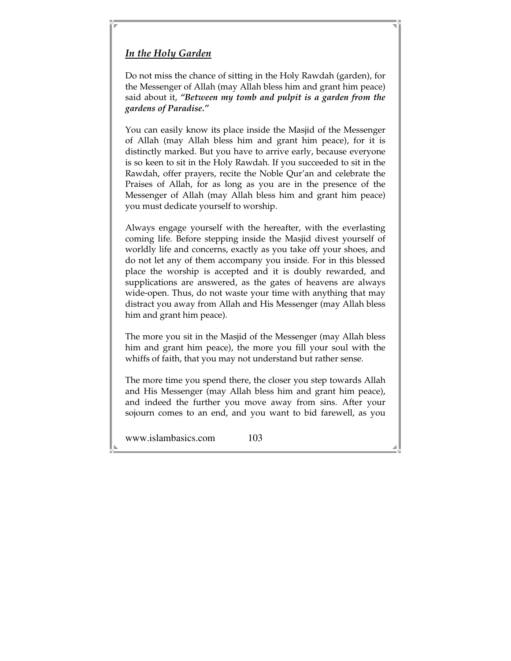## *In the Holy Garden*

Do not miss the chance of sitting in the Holy Rawdah (garden), for the Messenger of Allah (may Allah bless him and grant him peace) said about it, *"Between my tomb and pulpit is a garden from the gardens of Paradise."* 

You can easily know its place inside the Masjid of the Messenger of Allah (may Allah bless him and grant him peace), for it is distinctly marked. But you have to arrive early, because everyone is so keen to sit in the Holy Rawdah. If you succeeded to sit in the Rawdah, offer prayers, recite the Noble Qur'an and celebrate the Praises of Allah, for as long as you are in the presence of the Messenger of Allah (may Allah bless him and grant him peace) you must dedicate yourself to worship.

Always engage yourself with the hereafter, with the everlasting coming life. Before stepping inside the Masjid divest yourself of worldly life and concerns, exactly as you take off your shoes, and do not let any of them accompany you inside. For in this blessed place the worship is accepted and it is doubly rewarded, and supplications are answered, as the gates of heavens are always wide-open. Thus, do not waste your time with anything that may distract you away from Allah and His Messenger (may Allah bless him and grant him peace).

The more you sit in the Masjid of the Messenger (may Allah bless him and grant him peace), the more you fill your soul with the whiffs of faith, that you may not understand but rather sense.

The more time you spend there, the closer you step towards Allah and His Messenger (may Allah bless him and grant him peace), and indeed the further you move away from sins. After your sojourn comes to an end, and you want to bid farewell, as you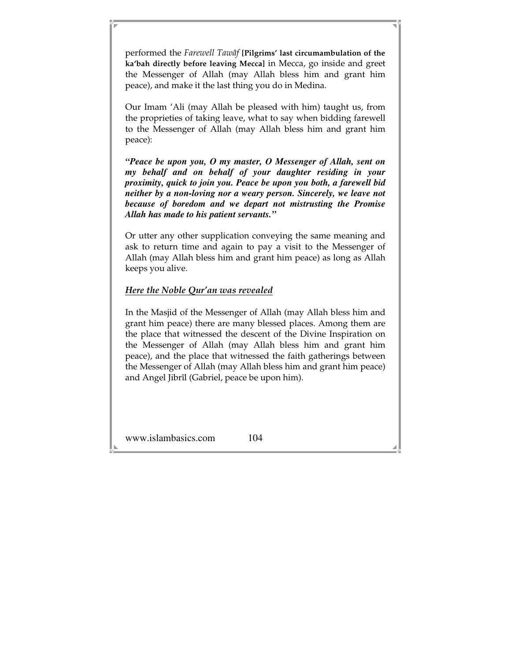performed the *Farewell Tawâf* **[Pilgrims' last circumambulation of the ka'bah directly before leaving Mecca]** in Mecca, go inside and greet the Messenger of Allah (may Allah bless him and grant him peace), and make it the last thing you do in Medina.

Our Imam 'Ali (may Allah be pleased with him) taught us, from the proprieties of taking leave, what to say when bidding farewell to the Messenger of Allah (may Allah bless him and grant him peace):

*"Peace be upon you, O my master, O Messenger of Allah, sent on my behalf and on behalf of your daughter residing in your proximity, quick to join you. Peace be upon you both, a farewell bid neither by a non-loving nor a weary person. Sincerely, we leave not because of boredom and we depart not mistrusting the Promise Allah has made to his patient servants."* 

Or utter any other supplication conveying the same meaning and ask to return time and again to pay a visit to the Messenger of Allah (may Allah bless him and grant him peace) as long as Allah keeps you alive.

### *Here the Noble Qur'an was revealed*

In the Masjid of the Messenger of Allah (may Allah bless him and grant him peace) there are many blessed places. Among them are the place that witnessed the descent of the Divine Inspiration on the Messenger of Allah (may Allah bless him and grant him peace), and the place that witnessed the faith gatherings between the Messenger of Allah (may Allah bless him and grant him peace) and Angel Jibrîl (Gabriel, peace be upon him).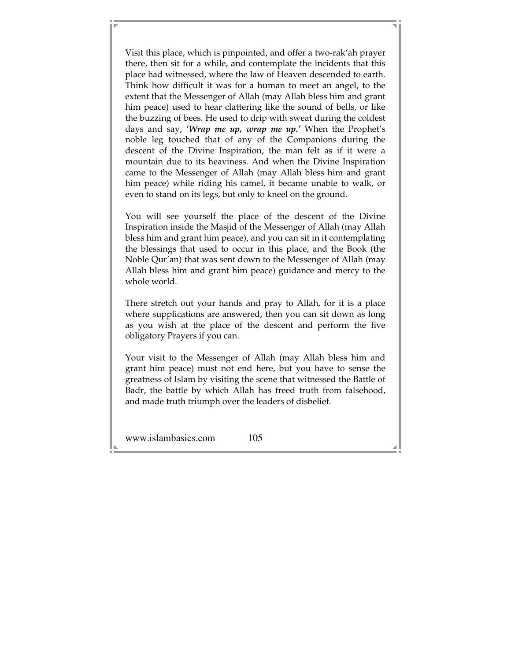Visit this place, which is pinpointed, and offer a two-rak'ah prayer there, then sit for a while, and contemplate the incidents that this place had witnessed, where the law of Heaven descended to earth. Think how difficult it was for a human to meet an angel, to the extent that the Messenger of Allah (may Allah bless him and grant him peace) used to hear clattering like the sound of bells, or like the buzzing of bees. He used to drip with sweat during the coldest days and say, *'Wrap me up, wrap me up.'* When the Prophet's noble leg touched that of any of the Companions during the descent of the Divine Inspiration, the man felt as if it were a mountain due to its heaviness. And when the Divine Inspiration came to the Messenger of Allah (may Allah bless him and grant him peace) while riding his camel, it became unable to walk, or even to stand on its legs, but only to kneel on the ground.

You will see yourself the place of the descent of the Divine Inspiration inside the Masjid of the Messenger of Allah (may Allah bless him and grant him peace), and you can sit in it contemplating the blessings that used to occur in this place, and the Book (the Noble Qur'an) that was sent down to the Messenger of Allah (may Allah bless him and grant him peace) guidance and mercy to the whole world.

There stretch out your hands and pray to Allah, for it is a place where supplications are answered, then you can sit down as long as you wish at the place of the descent and perform the five obligatory Prayers if you can.

Your visit to the Messenger of Allah (may Allah bless him and grant him peace) must not end here, but you have to sense the greatness of Islam by visiting the scene that witnessed the Battle of Badr, the battle by which Allah has freed truth from falsehood, and made truth triumph over the leaders of disbelief.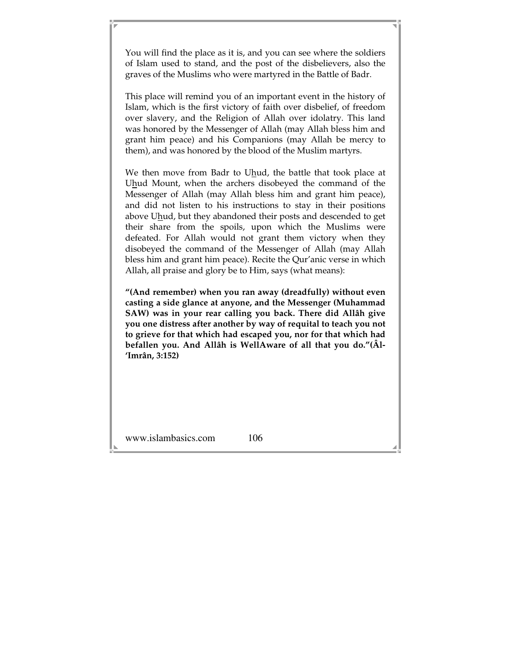You will find the place as it is, and you can see where the soldiers of Islam used to stand, and the post of the disbelievers, also the graves of the Muslims who were martyred in the Battle of Badr.

This place will remind you of an important event in the history of Islam, which is the first victory of faith over disbelief, of freedom over slavery, and the Religion of Allah over idolatry. This land was honored by the Messenger of Allah (may Allah bless him and grant him peace) and his Companions (may Allah be mercy to them), and was honored by the blood of the Muslim martyrs.

We then move from Badr to Uhud, the battle that took place at Uhud Mount, when the archers disobeyed the command of the Messenger of Allah (may Allah bless him and grant him peace), and did not listen to his instructions to stay in their positions above Uhud, but they abandoned their posts and descended to get their share from the spoils, upon which the Muslims were defeated. For Allah would not grant them victory when they disobeyed the command of the Messenger of Allah (may Allah bless him and grant him peace). Recite the Qur'anic verse in which Allah, all praise and glory be to Him, says (what means):

**"(And remember) when you ran away (dreadfully) without even casting a side glance at anyone, and the Messenger (Muhammad SAW) was in your rear calling you back. There did Allâh give you one distress after another by way of requital to teach you not to grieve for that which had escaped you, nor for that which had befallen you. And Allâh is WellAware of all that you do."(Âl- 'Imrân, 3:152)**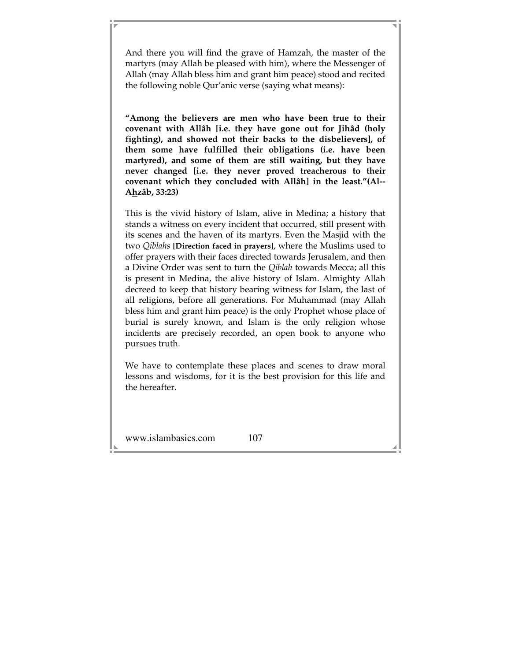And there you will find the grave of Hamzah, the master of the martyrs (may Allah be pleased with him), where the Messenger of Allah (may Allah bless him and grant him peace) stood and recited the following noble Qur'anic verse (saying what means):

**"Among the believers are men who have been true to their covenant with Allâh [i.e. they have gone out for Jihâd (holy fighting), and showed not their backs to the disbelievers], of them some have fulfilled their obligations (i.e. have been martyred), and some of them are still waiting, but they have never changed [i.e. they never proved treacherous to their covenant which they concluded with Allâh] in the least."(Al-- Ahzâb, 33:23)** 

This is the vivid history of Islam, alive in Medina; a history that stands a witness on every incident that occurred, still present with its scenes and the haven of its martyrs. Even the Masjid with the two *Qiblahs* **[Direction faced in prayers]**, where the Muslims used to offer prayers with their faces directed towards Jerusalem, and then a Divine Order was sent to turn the *Qiblah* towards Mecca; all this is present in Medina, the alive history of Islam. Almighty Allah decreed to keep that history bearing witness for Islam, the last of all religions, before all generations. For Muhammad (may Allah bless him and grant him peace) is the only Prophet whose place of burial is surely known, and Islam is the only religion whose incidents are precisely recorded, an open book to anyone who pursues truth.

We have to contemplate these places and scenes to draw moral lessons and wisdoms, for it is the best provision for this life and the hereafter.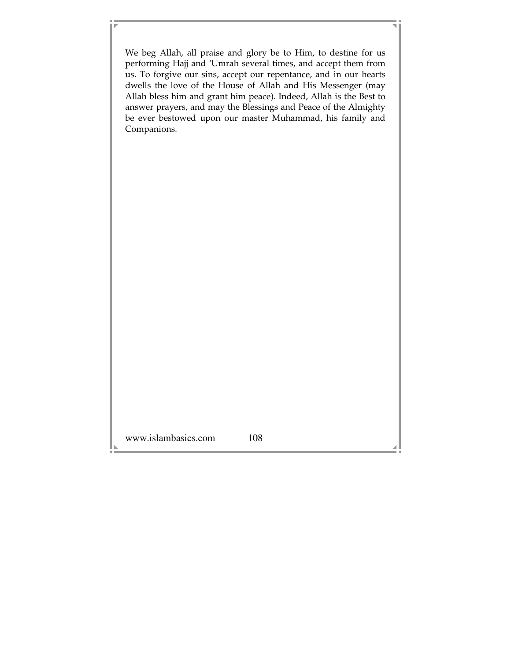www.islambasics.com 108 We beg Allah, all praise and glory be to Him, to destine for us performing Hajj and 'Umrah several times, and accept them from us. To forgive our sins, accept our repentance, and in our hearts dwells the love of the House of Allah and His Messenger (may Allah bless him and grant him peace). Indeed, Allah is the Best to answer prayers, and may the Blessings and Peace of the Almighty be ever bestowed upon our master Muhammad, his family and Companions.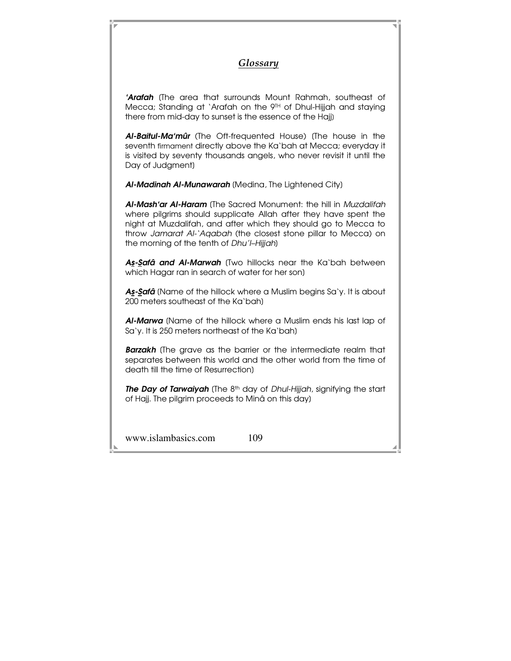## *Glossary*

**'Arafah** (The area that surrounds Mount Rahmah, southeast of Mecca; Standing at `Arafah on the 9TH of Dhul-Hijjah and staying there from mid-day to sunset is the essence of the Hajj]

Al-Baitul-Ma'mûr (The Oft-frequented House) (The house in the seventh firmament directly above the Ka'bah at Mecca; everyday it is visited by seventy thousands angels, who never revisit it until the Day of Judgment]

Al-Madinah Al-Munawarah (Medina, The Lightened City)

Al-Mash'ar Al-Haram (The Sacred Monument: the hill in Muzdalifah where pilgrims should supplicate Allah after they have spent the night at Muzdalifah, and after which they should go to Mecca to throw Jamarat Al-'Aqabah (the closest stone pillar to Mecca) on the morning of the tenth of Dhu'l-Hijjah)

As-Safâ and Al-Marwah (Two hillocks near the Ka'bah between which Hagar ran in search of water for her son]

As-Safâ (Name of the hillock where a Muslim begins Sa'y. It is about 200 meters southeast of the Ka'bah]

Al-Marwa (Name of the hillock where a Muslim ends his last lap of Sa'y. It is 250 meters northeast of the Ka'bah]

**Barzakh** (The grave as the barrier or the intermediate realm that separates between this world and the other world from the time of death till the time of Resurrection]

The Day of Tarwaiyah (The 8<sup>th</sup> day of Dhul-Hijjah, signifying the start of Hajj. The pilgrim proceeds to Minâ on this day]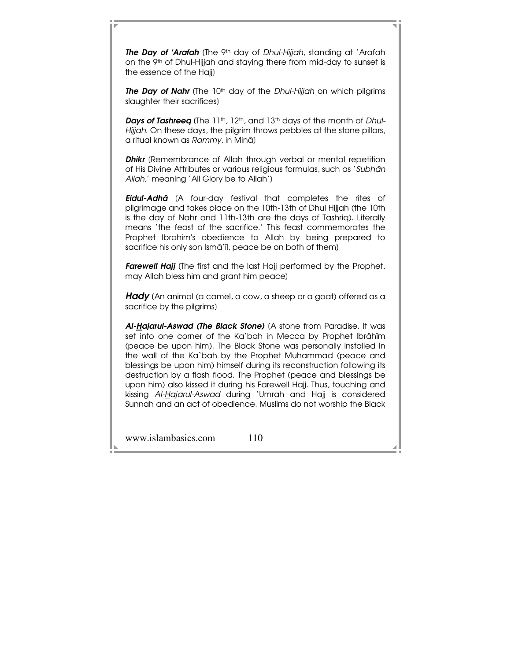The Day of 'Arafah (The 9<sup>th</sup> day of Dhul-Hijjah, standing at 'Arafah on the 9th of Dhul-Hijjah and staying there from mid-day to sunset is the essence of the Hajj]

The Day of Nahr (The 10<sup>th</sup> day of the Dhul-Hijjah on which pilgrims slaughter their sacrifices]

**Days of Tashreeq** (The 11<sup>th</sup>, 12<sup>th</sup>, and 13<sup>th</sup> days of the month of *Dhul-*Hijjah. On these days, the pilgrim throws pebbles at the stone pillars, a ritual known as Rammy, in Minâ]

**Dhikr** (Remembrance of Allah through verbal or mental repetition of His Divine Attributes or various religious formulas, such as 'Subhân Allah,' meaning 'All Glory be to Allah']

**Eidul-Adhâ** (A four-day festival that completes the rites of pilgrimage and takes place on the 10th-13th of DhuI Hijjah (the 10th is the day of Nahr and 11th-13th are the days of Tashriq). Literally means 'the feast of the sacrifice.' This feast commemorates the Prophet Ibrahim's obedience to Allah by being prepared to sacrifice his only son Ismâ'îl, peace be on both of them]

Farewell Hajj (The first and the last Hajj performed by the Prophet, may Allah bless him and grant him peace]

**Hady** (An animal (a camel, a cow, a sheep or a goat) offered as a sacrifice by the pilgrims]

Al-Hajarul-Aswad (The Black Stone) (A stone from Paradise. It was set into one corner of the Ka'bah in Mecca by Prophet Ibrâhîm (peace be upon him). The Black Stone was personally installed in the wall of the Ka`bah by the Prophet Muhammad (peace and blessings be upon him) himself during its reconstruction following its destruction by a flash flood. The Prophet (peace and blessings be upon him) also kissed it during his Farewell Hajj. Thus, touching and kissing Al-Hajarul-Aswad during 'Umrah and Hajj is considered Sunnah and an act of obedience. Muslims do not worship the Black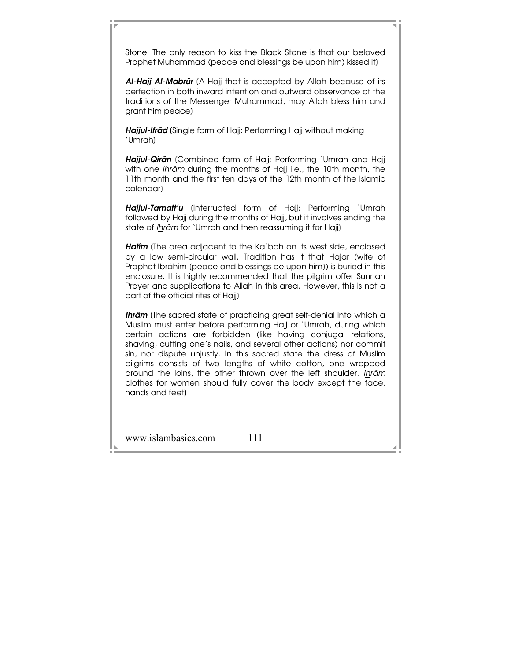Stone. The only reason to kiss the Black Stone is that our beloved Prophet Muhammad (peace and blessings be upon him) kissed it]

Al-Hajj Al-Mabrûr (A Hajj that is accepted by Allah because of its perfection in both inward intention and outward observance of the traditions of the Messenger Muhammad, may Allah bless him and grant him peace]

Hajjul-Ifrâd (Single form of Hajj: Performing Hajj without making 'Umrah]

Hajjul-Qirân (Combined form of Hajj: Performing 'Umrah and Hajj with one *Ihrâm* during the months of Hajj i.e., the 10th month, the 11th month and the first ten days of the 12th month of the Islamic calendar]

Hajjul-Tamatt'u (Interrupted form of Hajj: Performing 'Umrah followed by Hajj during the months of Hajj, but it involves ending the state of Ihrâm for 'Umrah and then reassuming it for Hajj)

Hatîm (The area adjacent to the Ka`bah on its west side, enclosed by a low semi-circular wall. Tradition has it that Hajar (wife of Prophet Ibrâhîm [peace and blessings be upon him]) is buried in this enclosure. It is highly recommended that the pilgrim offer Sunnah Prayer and supplications to Allah in this area. However, this is not a part of the official rites of Hajj]

**Ihrâm** (The sacred state of practicing great self-denial into which a Muslim must enter before performing Hajj or 'Umrah, during which certain actions are forbidden (like having conjugal relations, shaving, cutting one's nails, and several other actions) nor commit sin, nor dispute unjustly. In this sacred state the dress of Muslim pilgrims consists of two lengths of white cotton, one wrapped around the loins, the other thrown over the left shoulder. Ihrâm clothes for women should fully cover the body except the face, hands and feet]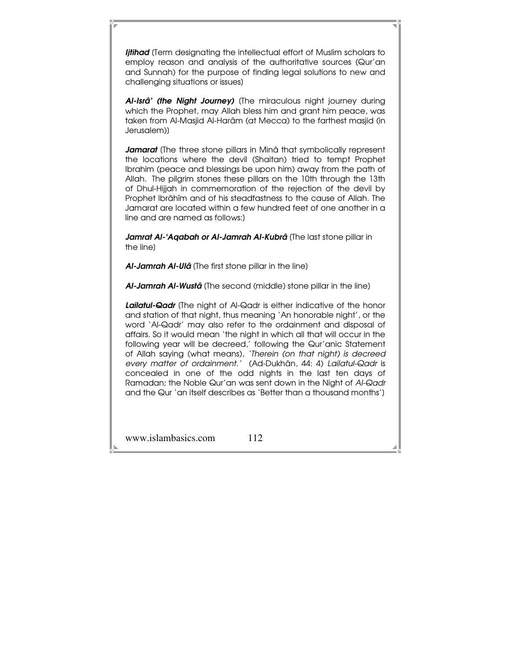**Ijtihad** (Term designating the intellectual effort of Muslim scholars to employ reason and analysis of the authoritative sources (Qur'an and Sunnah) for the purpose of finding legal solutions to new and challenging situations or issues]

Al-Isrâ' (the Night Journey) (The miraculous night journey during which the Prophet, may Allah bless him and grant him peace, was taken from Al-Masjid Al-Harâm (at Mecca) to the farthest masjid (in Jerusalem)]

Jamarat (The three stone pillars in Minâ that symbolically represent the locations where the devil (Shaitan) tried to tempt Prophet Ibrahim (peace and blessings be upon him) away from the path of Allah. The pilgrim stones these pillars on the 10th through the 13th of Dhul-Hijjah in commemoration of the rejection of the devil by Prophet Ibrâhîm and of his steadfastness to the cause of Allah. The Jamarat are located within a few hundred feet of one another in a line and are named as follows:]

Jamrat Al-'Aqabah or Al-Jamrah Al-Kubrâ (The last stone pillar in the line]

Al-Jamrah Al-Ulâ (The first stone pillar in the line)

Al-Jamrah Al-Wustâ (The second (middle) stone pillar in the line)

Lailatul-Qadr (The night of Al-Qadr is either indicative of the honor and station of that night, thus meaning 'An honorable night', or the word 'Al-Qadr' may also refer to the ordainment and disposal of affairs. So it would mean 'the night in which all that will occur in the following year will be decreed,' following the Qur'anic Statement of Allah saying (what means), 'Therein (on that night) is decreed every matter of ordainment.' (Ad-Dukhân, 44: 4) Lailatul-Qadr is concealed in one of the odd nights in the last ten days of Ramadan; the Noble Qur'an was sent down in the Night of Al-Qadr and the Qur 'an itself describes as 'Better than a thousand months']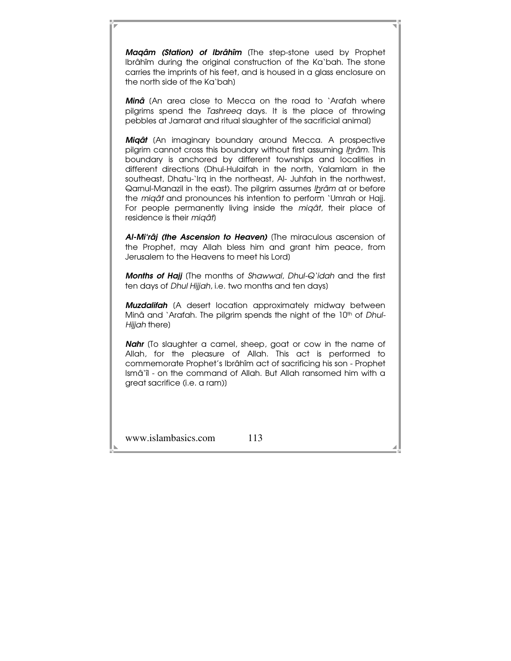Magâm (Station) of Ibrâhîm (The step-stone used by Prophet Ibrâhîm during the original construction of the Ka'bah. The stone carries the imprints of his feet, and is housed in a glass enclosure on the north side of the Ka'bah]

Minâ (An area close to Mecca on the road to 'Arafah where pilgrims spend the Tashreeq days. It is the place of throwing pebbles at Jamarat and ritual slaughter of the sacrificial animal]

**Migât** (An imaginary boundary around Mecca. A prospective pilgrim cannot cross this boundary without first assuming Ihrâm. This boundary is anchored by different townships and localities in different directions (Dhul-Hulaifah in the north, Yalamlam in the southeast, Dhatu-'Irq in the northeast, AI- Juhfah in the northwest, Qarnul-Manazil in the east). The pilgrim assumes Ihrâm at or before the miqât and pronounces his intention to perform 'Umrah or Hajj. For people permanently living inside the migât, their place of residence is their *migât*)

Al-Mi'râj (the Ascension to Heaven) (The miraculous ascension of the Prophet, may Allah bless him and grant him peace, from Jerusalem to the Heavens to meet his Lord]

Months of Hajj (The months of Shawwal, Dhul-Q'idah and the first ten days of *Dhul Hijjah*, i.e. two months and ten days)

**Muzdalifah** (A desert location approximately midway between Minâ and 'Arafah. The pilgrim spends the night of the 10<sup>th</sup> of Dhul-Hijjah there)

Nahr (To slaughter a camel, sheep, goat or cow in the name of Allah, for the pleasure of Allah. This act is performed to commemorate Prophet's Ibrâhîm act of sacrificing his son - Prophet Ismâ'îl - on the command of Allah. But Allah ransomed him with a great sacrifice (i.e. a ram)]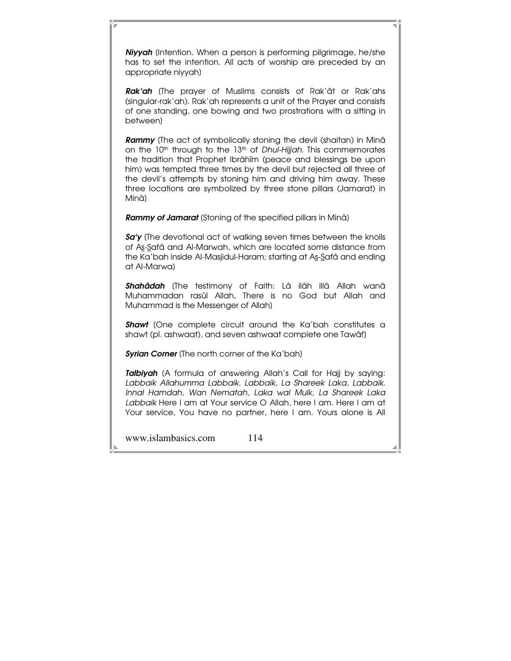Niyyah (Intention. When a person is performing pilgrimage, he/she has to set the intention. All acts of worship are preceded by an appropriate niyyah]

Rak'ah (The prayer of Muslims consists of Rak'ât or Rak'ahs (singular-rak'ah). Rak'ah represents a unit of the Prayer and consists of one standing, one bowing and two prostrations with a sitting in between]

**Rammy** (The act of symbolically stoning the devil (shaitan) in Minâ on the  $10<sup>th</sup>$  through to the  $13<sup>th</sup>$  of *Dhul-Hijjah*. This commemorates the tradition that Prophet Ibrâhîm (peace and blessings be upon him) was tempted three times by the devil but rejected all three of the devil's attempts by stoning him and driving him away. These three locations are symbolized by three stone pillars (Jamarat) in Minâ]

**Rammy of Jamarat** (Stoning of the specified pillars in Minâ)

Sa'y (The devotional act of walking seven times between the knolls of As-Safâ and Al-Marwah, which are located some distance from the Ka`bah inside Al-Masjidul-Haram; starting at As-Safâ and ending at Al-Marwa]

Shahâdah (The testimony of Faith: Lâ ilâh illâ Allah wanâ Muhammadan rasûl Allah, There is no God but Allah and Muhammad is the Messenger of Allah]

**Shawt** (One complete circuit around the Ka'bah constitutes a shawt (pl. ashwaat), and seven ashwaat complete one Tawâf]

Syrian Corner (The north corner of the Ka'bah)

**Talbiyah** (A formula of answering Allah's Call for Hajj by saying: Labbaik Allahumma Labbaik. Labbaik, La Shareek Laka, Labbaik. Innal Hamdah, Wan Nematah, Laka wal Mulk, La Shareek Laka Labbaik Here I am at Your service O Allah, here I am. Here I am at Your service, You have no partner, here I am. Yours alone is All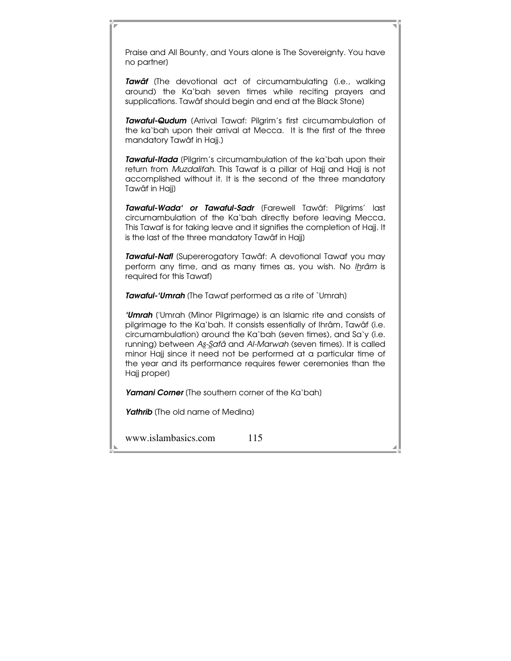Praise and All Bounty, and Yours alone is The Sovereignty. You have no partner]

Tawaf (The devotional act of circumambulating (i.e., walking around) the Ka'bah seven times while reciting prayers and supplications. Tawâf should begin and end at the Black Stone]

**Tawaful-Qudum** (Arrival Tawaf: Pilgrim's first circumambulation of the ka'bah upon their arrival at Mecca. It is the first of the three mandatory Tawâf in Hajj.]

Tawaful-Ifada (Pilgrim's circumambulation of the ka'bah upon their return from Muzdalifah. This Tawaf is a pillar of Hajj and Hajj is not accomplished without it. It is the second of the three mandatory Tawâf in Hajj]

Tawaful-Wada' or Tawaful-Sadr (Farewell Tawâf: Pilgrims' last circumambulation of the Ka'bah directly before leaving Mecca, This Tawaf is for taking leave and it signifies the completion of Hajj. It is the last of the three mandatory Tawâf in Hajj]

Tawaful-Nafl (Supererogatory Tawâf: A devotional Tawaf you may perform any time, and as many times as, you wish. No Ihrâm is required for this Tawaf]

Tawaful-'Umrah (The Tawaf performed as a rite of `Umrah)

'**Umrah** ('Umrah (Minor Pilgrimage) is an Islamic rite and consists of pilgrimage to the Ka'bah. It consists essentially of Ihrâm, Tawâf (i.e. circumambulation) around the Ka'bah (seven times), and Sa'y (i.e. running) between As-Safâ and Al-Marwah (seven times). It is called minor Hajj since it need not be performed at a particular time of the year and its performance requires fewer ceremonies than the Hajj proper]

Yamani Corner (The southern corner of the Ka'bah)

Yathrib (The old name of Medina)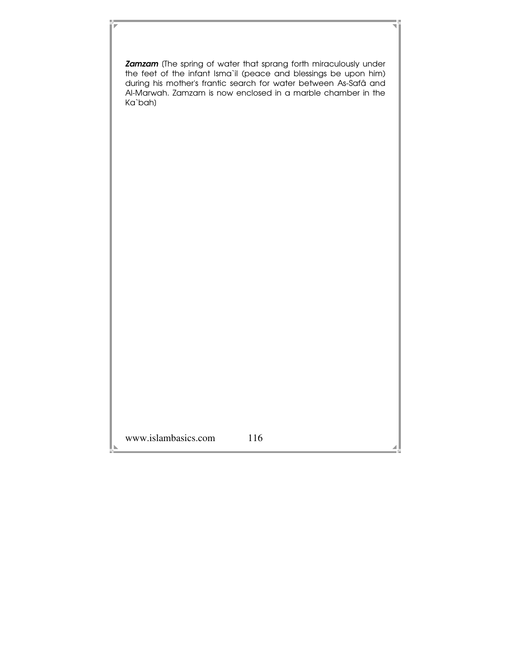www.islambasics.com 116 **Zamzam** (The spring of water that sprang forth miraculously under the feet of the infant Isma`il (peace and blessings be upon him) during his mother's frantic search for water between As-Safâ and Al-Marwah. Zamzam is now enclosed in a marble chamber in the Ka`bah]